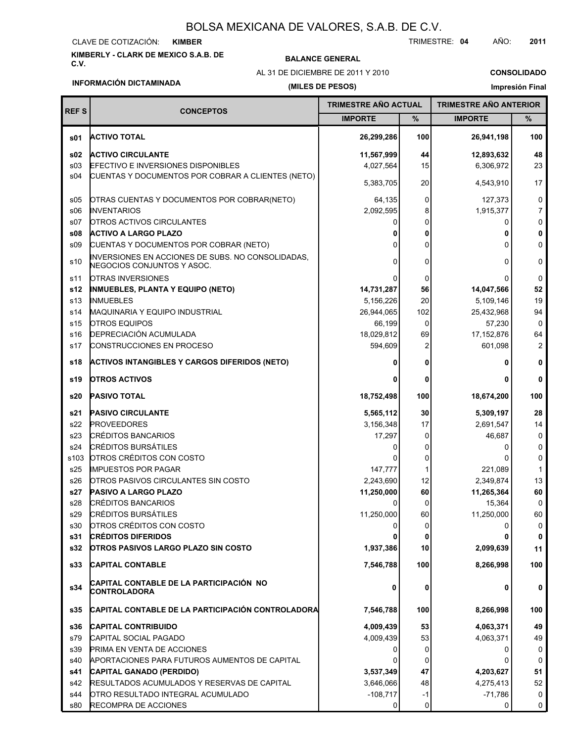#### CLAVE DE COTIZACIÓN: **KIMBER**

**KIMBERLY - CLARK DE MEXICO S.A.B. DE**

### **BALANCE GENERAL**

AL 31 DE DICIEMBRE DE 2011 Y 2010

TRIMESTRE: **04** AÑO: **2011**

**CONSOLIDADO Impresión Final**

## **INFORMACIÓN DICTAMINADA**

Г

т

### **(MILES DE PESOS)**

| <b>REFS</b>     | <b>CONCEPTOS</b>                                                                | TRIMESTRE ANO ACTUAL |      | <b>TRIMESTRE ANO ANTERIOR</b> |                |
|-----------------|---------------------------------------------------------------------------------|----------------------|------|-------------------------------|----------------|
|                 |                                                                                 | <b>IMPORTE</b>       | $\%$ | <b>IMPORTE</b>                | %              |
| s01             | <b>ACTIVO TOTAL</b>                                                             | 26,299,286           | 100  | 26,941,198                    | 100            |
| \$02            | <b>ACTIVO CIRCULANTE</b>                                                        | 11,567,999           | 44   | 12,893,632                    | 48             |
| \$03            | <b>EFECTIVO E INVERSIONES DISPONIBLES</b>                                       | 4,027,564            | 15   | 6,306,972                     | 23             |
| s04             | CUENTAS Y DOCUMENTOS POR COBRAR A CLIENTES (NETO)                               |                      |      |                               |                |
|                 |                                                                                 | 5,383,705            | 20   | 4,543,910                     | 17             |
| s05             | OTRAS CUENTAS Y DOCUMENTOS POR COBRAR(NETO)                                     | 64,135               | 0    | 127,373                       | 0              |
| \$06            | <b>INVENTARIOS</b>                                                              | 2,092,595            | 8    | 1,915,377                     | 7              |
| s07             | <b>OTROS ACTIVOS CIRCULANTES</b>                                                |                      | 0    | 0                             | $\mathbf 0$    |
| s08             | <b>ACTIVO A LARGO PLAZO</b>                                                     |                      | 0    | 0                             | 0              |
| \$09            | CUENTAS Y DOCUMENTOS POR COBRAR (NETO)                                          |                      | 0    | 0                             | 0              |
| s10             | INVERSIONES EN ACCIONES DE SUBS. NO CONSOLIDADAS,<br>NEGOCIOS CONJUNTOS Y ASOC. | 0                    | 0    | 0                             | 0              |
| s11             | <b>OTRAS INVERSIONES</b>                                                        |                      | 0    | O                             | $\mathbf 0$    |
| s12             | <b>INMUEBLES, PLANTA Y EQUIPO (NETO)</b>                                        | 14,731,287           | 56   | 14,047,566                    | 52             |
| s <sub>13</sub> | <b>INMUEBLES</b>                                                                | 5,156,226            | 20   | 5,109,146                     | 19             |
| s14             | MAQUINARIA Y EQUIPO INDUSTRIAL                                                  | 26,944,065           | 102  | 25,432,968                    | 94             |
| s15             | <b>OTROS EQUIPOS</b>                                                            | 66,199               | 0    | 57,230                        | 0              |
| s16             | <b>DEPRECIACIÓN ACUMULADA</b>                                                   | 18,029,812           | 69   | 17,152,876                    | 64             |
| s17             | <b>CONSTRUCCIONES EN PROCESO</b>                                                | 594,609              | 2    | 601,098                       | $\overline{2}$ |
| s18             | <b>ACTIVOS INTANGIBLES Y CARGOS DIFERIDOS (NETO)</b>                            |                      | 0    |                               | 0              |
| s19             | <b>OTROS ACTIVOS</b>                                                            |                      | 0    | 0                             | 0              |
| s20             | <b>PASIVO TOTAL</b>                                                             | 18,752,498           | 100  | 18,674,200                    | 100            |
| s21             | <b>PASIVO CIRCULANTE</b>                                                        | 5,565,112            | 30   | 5,309,197                     | 28             |
| s22             | <b>PROVEEDORES</b>                                                              | 3,156,348            | 17   | 2,691,547                     | 14             |
| s23             | <b>CRÉDITOS BANCARIOS</b>                                                       | 17,297               | 0    | 46,687                        | 0              |
| s24             | <b>CRÉDITOS BURSÁTILES</b>                                                      |                      | 0    | 0                             | 0              |
| s103            | OTROS CRÉDITOS CON COSTO                                                        |                      | 0    | O                             | 0              |
| s25             | <b>IMPUESTOS POR PAGAR</b>                                                      | 147,777              | 1    | 221,089                       | $\mathbf{1}$   |
| s26             | OTROS PASIVOS CIRCULANTES SIN COSTO                                             | 2,243,690            | 12   | 2,349,874                     | 13             |
| s27             | <b>PASIVO A LARGO PLAZO</b>                                                     | 11,250,000           | 60   | 11,265,364                    | 60             |
| s28             | <b>CRÉDITOS BANCARIOS</b>                                                       |                      | 0    | 15,364                        | $\Omega$       |
| s29             | <b>CRÉDITOS BURSÁTILES</b>                                                      | 11,250,000           | 60   | 11,250,000                    | 60             |
| s30             | OTROS CREDITOS CON COSTO                                                        |                      |      | 0                             | 0              |
| s31             | <b>CRÉDITOS DIFERIDOS</b>                                                       |                      |      |                               | 0              |
| s32             | <b>OTROS PASIVOS LARGO PLAZO SIN COSTO</b>                                      | 1,937,386            | 10   | 2,099,639                     | 11             |
| s33             | <b>CAPITAL CONTABLE</b>                                                         | 7,546,788            | 100  | 8,266,998                     | 100            |
| s34             | CAPITAL CONTABLE DE LA PARTICIPACIÓN NO<br>CONTROLADORA                         | 0                    | 0    | 0                             | 0              |
| s35             | CAPITAL CONTABLE DE LA PARTICIPACIÓN CONTROLADORA                               | 7,546,788            | 100  | 8,266,998                     | 100            |
| s36             | <b>CAPITAL CONTRIBUIDO</b>                                                      | 4,009,439            | 53   | 4,063,371                     | 49             |
| s79             | CAPITAL SOCIAL PAGADO                                                           | 4,009,439            | 53   | 4,063,371                     | 49             |
| s39             | <b>PRIMA EN VENTA DE ACCIONES</b>                                               |                      | 0    | 0                             | 0              |
| s40             | APORTACIONES PARA FUTUROS AUMENTOS DE CAPITAL                                   |                      | 0    | 0                             | 0              |
| s41             | CAPITAL GANADO (PERDIDO)                                                        | 3,537,349            | 47   | 4,203,627                     | 51             |
| s42             | RESULTADOS ACUMULADOS Y RESERVAS DE CAPITAL                                     | 3,646,066            | 48   | 4,275,413                     | 52             |
| s44             | OTRO RESULTADO INTEGRAL ACUMULADO                                               | $-108,717$           | -1   | $-71,786$                     | 0              |
| s80             | RECOMPRA DE ACCIONES                                                            | 0                    | 0    | 0                             | 0              |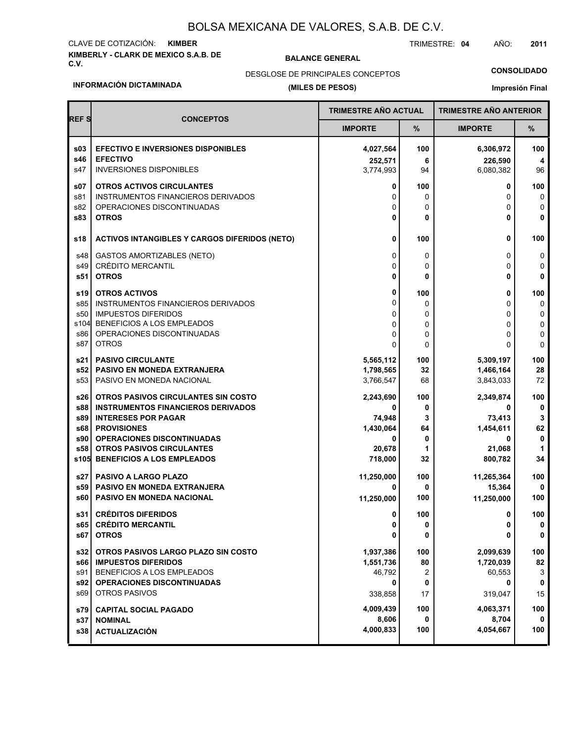# **KIMBERLY - CLARK DE MEXICO S.A.B. DE** CLAVE DE COTIZACIÓN: **KIMBER**

### **BALANCE GENERAL**

TRIMESTRE: **04** AÑO: **2011**

DESGLOSE DE PRINCIPALES CONCEPTOS

### **CONSOLIDADO**

#### **INFORMACIÓN DICTAMINADA**

### **(MILES DE PESOS)**

**Impresión Final**

| <b>REFS</b> | <b>CONCEPTOS</b>                                     | <b>TRIMESTRE AÑO ACTUAL</b> |     | <b>TRIMESTRE AÑO ANTERIOR</b> |             |
|-------------|------------------------------------------------------|-----------------------------|-----|-------------------------------|-------------|
|             |                                                      | <b>IMPORTE</b>              | %   | <b>IMPORTE</b>                | %           |
| s03         | <b>EFECTIVO E INVERSIONES DISPONIBLES</b>            | 4,027,564                   | 100 | 6,306,972                     | 100         |
| s46         | <b>EFECTIVO</b>                                      | 252,571                     | 6   | 226,590                       | 4           |
| s47         | <b>INVERSIONES DISPONIBLES</b>                       | 3,774,993                   | 94  | 6,080,382                     | 96          |
| s07         | OTROS ACTIVOS CIRCULANTES                            | 0                           | 100 | 0                             | 100         |
| s81         | <b>INSTRUMENTOS FINANCIEROS DERIVADOS</b>            | 0                           | 0   | 0                             | 0           |
| s82         | OPERACIONES DISCONTINUADAS                           | 0                           | 0   | 0                             | 0           |
| <b>s83</b>  | <b>OTROS</b>                                         | 0                           | 0   | 0                             | 0           |
| s18         | <b>ACTIVOS INTANGIBLES Y CARGOS DIFERIDOS (NETO)</b> | 0                           | 100 | 0                             | 100         |
| s48         | <b>GASTOS AMORTIZABLES (NETO)</b>                    | 0                           | 0   | 0                             | 0           |
| s49         | <b>CRÉDITO MERCANTIL</b>                             | $\Omega$                    | 0   | $\Omega$                      | 0           |
| s51         | <b>OTROS</b>                                         | 0                           | 0   | 0                             | 0           |
| s19         | <b>OTROS ACTIVOS</b>                                 | 0                           | 100 | 0                             | 100         |
| s85         | INSTRUMENTOS FINANCIEROS DERIVADOS                   | 0                           | 0   | 0                             | 0           |
| s50         | <b>IMPUESTOS DIFERIDOS</b>                           | 0                           | 0   | 0                             | 0           |
| s104        | BENEFICIOS A LOS EMPLEADOS                           | 0                           | 0   | $\Omega$                      | 0           |
| s86         | OPERACIONES DISCONTINUADAS                           | $\Omega$                    | 0   | 0                             | 0           |
| s87         | <b>OTROS</b>                                         | 0                           | 0   | O                             | $\mathbf 0$ |
| s21         | <b>PASIVO CIRCULANTE</b>                             | 5,565,112                   | 100 | 5,309,197                     | 100         |
| s52 l       | PASIVO EN MONEDA EXTRANJERA                          | 1,798,565                   | 32  | 1,466,164                     | 28          |
| s53         | PASIVO EN MONEDA NACIONAL                            | 3,766,547                   | 68  | 3,843,033                     | 72          |
| s26         | OTROS PASIVOS CIRCULANTES SIN COSTO                  | 2,243,690                   | 100 | 2,349,874                     | 100         |
| s88         | <b>INSTRUMENTOS FINANCIEROS DERIVADOS</b>            | 0                           | 0   | 0                             | 0           |
| s89         | <b>INTERESES POR PAGAR</b>                           | 74,948                      | 3   | 73,413                        | 3           |
| s68         | <b>PROVISIONES</b>                                   | 1,430,064                   | 64  | 1,454,611                     | 62          |
| s90         | <b>OPERACIONES DISCONTINUADAS</b>                    | 0                           | 0   | 0                             | $\mathbf 0$ |
| s58         | <b>OTROS PASIVOS CIRCULANTES</b>                     | 20,678                      | 1   | 21,068                        | 1           |
| s105        | <b>BENEFICIOS A LOS EMPLEADOS</b>                    | 718,000                     | 32  | 800,782                       | 34          |
| s27 l       | <b>PASIVO A LARGO PLAZO</b>                          | 11,250,000                  | 100 | 11,265,364                    | 100         |
| s59         | <b>PASIVO EN MONEDA EXTRANJERA</b>                   | 0                           | 0   | 15,364                        | 0           |
| s60         | <b>PASIVO EN MONEDA NACIONAL</b>                     | 11,250,000                  | 100 | 11,250,000                    | 100         |
| s31         | <b>CRÉDITOS DIFERIDOS</b>                            | 0                           | 100 | 0                             | 100         |
| s65         | <b>CRÉDITO MERCANTIL</b>                             | 0                           | 0   | 0                             | $\pmb{0}$   |
| s67         | <b>OTROS</b>                                         | 0                           | 0   | 0                             | 0           |
| s32         | OTROS PASIVOS LARGO PLAZO SIN COSTO                  | 1,937,386                   | 100 | 2,099,639                     | 100         |
| s66 l       | <b>IMPUESTOS DIFERIDOS</b>                           | 1,551,736                   | 80  | 1,720,039                     | 82          |
| s91         | BENEFICIOS A LOS EMPLEADOS                           | 46,792                      | 2   | 60,553                        | 3           |
| s92         | <b>OPERACIONES DISCONTINUADAS</b>                    | 0                           | 0   | 0                             | 0           |
| s69         | <b>OTROS PASIVOS</b>                                 | 338,858                     | 17  | 319,047                       | 15          |
| s79         | <b>CAPITAL SOCIAL PAGADO</b>                         | 4,009,439                   | 100 | 4,063,371                     | 100         |
| s37         | <b>NOMINAL</b>                                       | 8,606                       | 0   | 8,704                         | 0           |
| s38         | <b>ACTUALIZACIÓN</b>                                 | 4,000,833                   | 100 | 4,054,667                     | 100         |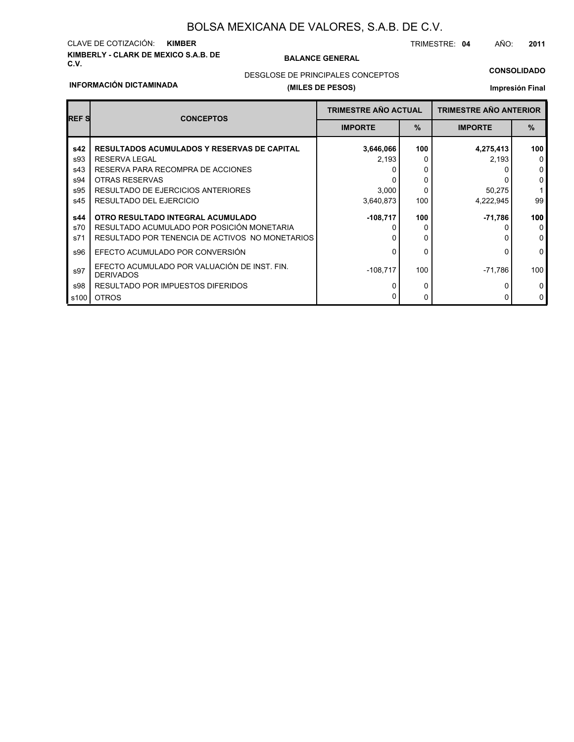# **KIMBERLY - CLARK DE MEXICO S.A.B. DE** CLAVE DE COTIZACIÓN: **KIMBER**

### **BALANCE GENERAL**

TRIMESTRE: **04** AÑO: **2011**

### **CONSOLIDADO**

### **INFORMACIÓN DICTAMINADA**

# **(MILES DE PESOS)** DESGLOSE DE PRINCIPALES CONCEPTOS

### **Impresión Final**

| <b>REFS</b> | <b>CONCEPTOS</b>                                                 | <b>TRIMESTRE AÑO ACTUAL</b> |      | <b>TRIMESTRE AÑO ANTERIOR</b> |               |
|-------------|------------------------------------------------------------------|-----------------------------|------|-------------------------------|---------------|
|             |                                                                  | <b>IMPORTE</b>              | $\%$ | <b>IMPORTE</b>                | $\frac{0}{0}$ |
| s42         | <b>RESULTADOS ACUMULADOS Y RESERVAS DE CAPITAL</b>               | 3,646,066                   | 100  | 4,275,413                     | 100           |
| s93         | <b>RESERVA LEGAL</b>                                             | 2,193                       |      | 2,193                         | $\Omega$      |
| s43         | RESERVA PARA RECOMPRA DE ACCIONES                                |                             |      |                               | $\mathbf 0$   |
| s94         | <b>OTRAS RESERVAS</b>                                            |                             | 0    |                               | 0             |
| s95         | RESULTADO DE EJERCICIOS ANTERIORES                               | 3,000                       | 0    | 50,275                        |               |
| s45         | RESULTADO DEL EJERCICIO                                          | 3,640,873                   | 100  | 4,222,945                     | 99            |
| s44         | OTRO RESULTADO INTEGRAL ACUMULADO                                | $-108,717$                  | 100  | -71,786                       | 100           |
| s70         | RESULTADO ACUMULADO POR POSICIÓN MONETARIA                       |                             | O    |                               | $\Omega$      |
| s71         | RESULTADO POR TENENCIA DE ACTIVOS NO MONETARIOS                  |                             | 0    |                               | $\mathbf 0$   |
| s96         | EFECTO ACUMULADO POR CONVERSIÓN                                  |                             | 0    |                               | $\mathbf 0$   |
| s97         | EFECTO ACUMULADO POR VALUACIÓN DE INST. FIN.<br><b>DERIVADOS</b> | $-108,717$                  | 100  | $-71,786$                     | 100           |
| s98         | RESULTADO POR IMPUESTOS DIFERIDOS                                |                             | 0    |                               | $\Omega$      |
| s100        | <b>OTROS</b>                                                     |                             | 0    |                               | $\mathbf 0$   |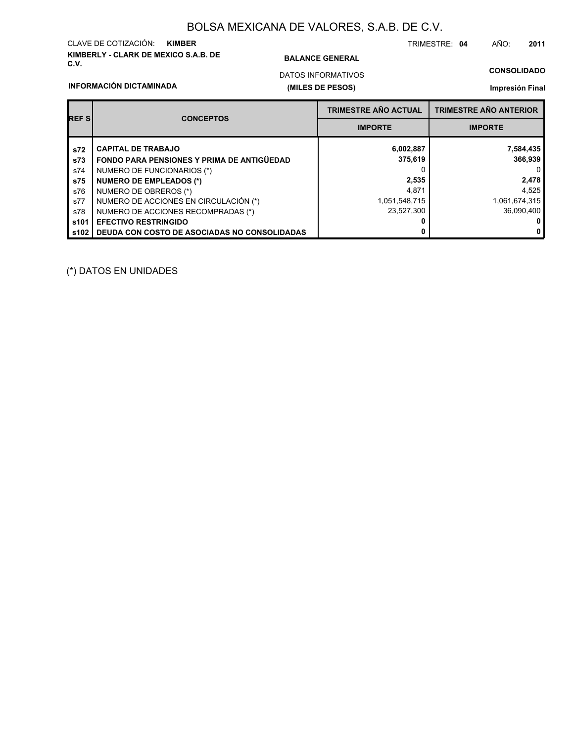# **KIMBERLY - CLARK DE MEXICO S.A.B. DE** CLAVE DE COTIZACIÓN: **KIMBER**

### **BALANCE GENERAL**

TRIMESTRE: **04** AÑO: **2011**

# DATOS INFORMATIVOS

# **CONSOLIDADO**

### **INFORMACIÓN DICTAMINADA**

# **(MILES DE PESOS)**

### **Impresión Final**

| <b>REFS</b>      | <b>CONCEPTOS</b>                                  | <b>TRIMESTRE AÑO ACTUAL</b> | <b>TRIMESTRE AÑO ANTERIOR</b> |  |
|------------------|---------------------------------------------------|-----------------------------|-------------------------------|--|
|                  |                                                   | <b>IMPORTE</b>              | <b>IMPORTE</b>                |  |
| s72              | <b>CAPITAL DE TRABAJO</b>                         | 6,002,887                   | 7,584,435                     |  |
| s73              | <b>FONDO PARA PENSIONES Y PRIMA DE ANTIGÜEDAD</b> | 375,619                     | 366,939                       |  |
| s74              | NUMERO DE FUNCIONARIOS (*)                        |                             | 0                             |  |
| s75              | <b>NUMERO DE EMPLEADOS (*)</b>                    | 2,535                       | 2,478                         |  |
| s76              | NUMERO DE OBREROS (*)                             | 4.871                       | 4,525                         |  |
| s77              | NUMERO DE ACCIONES EN CIRCULACIÓN (*)             | 1,051,548,715               | 1,061,674,315                 |  |
| s78              | NUMERO DE ACCIONES RECOMPRADAS (*)                | 23.527.300                  | 36.090.400                    |  |
| s <sub>101</sub> | <b>EFECTIVO RESTRINGIDO</b>                       |                             | 0                             |  |
| s102             | DEUDA CON COSTO DE ASOCIADAS NO CONSOLIDADAS      | 0                           | $\mathbf 0$                   |  |

(\*) DATOS EN UNIDADES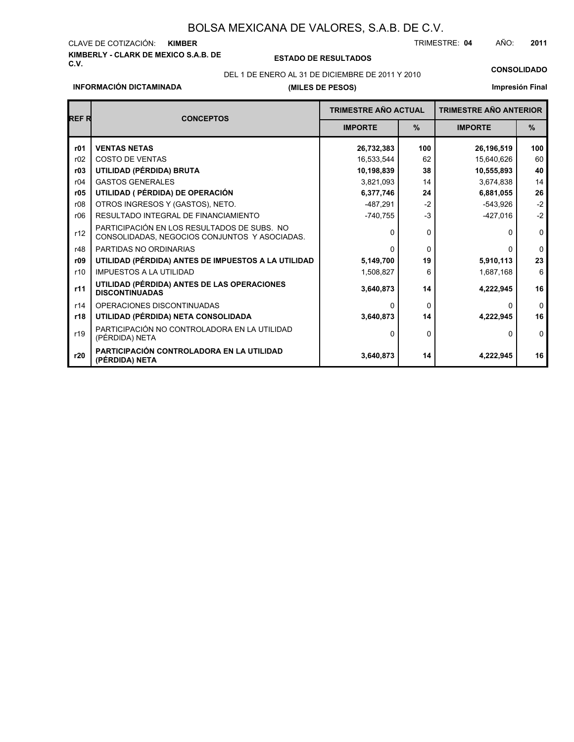# **KIMBERLY - CLARK DE MEXICO S.A.B. DE** CLAVE DE COTIZACIÓN:

**INFORMACIÓN DICTAMINADA**

**C.V. ESTADO DE RESULTADOS**

**(MILES DE PESOS)**

TRIMESTRE: AÑO: **KIMBER 04 2011**

DEL 1 DE ENERO AL 31 DE DICIEMBRE DE 2011 Y 2010 **CONSOLIDADO**

# **Impresión Final**

| <b>REFR</b> | <b>CONCEPTOS</b>                                                                             | <b>TRIMESTRE AÑO ACTUAL</b> |               | <b>TRIMESTRE AÑO ANTERIOR</b> |              |
|-------------|----------------------------------------------------------------------------------------------|-----------------------------|---------------|-------------------------------|--------------|
|             |                                                                                              | <b>IMPORTE</b>              | $\frac{9}{6}$ | <b>IMPORTE</b>                | $\%$         |
| r01         | <b>VENTAS NETAS</b>                                                                          | 26,732,383                  | 100           | 26,196,519                    | 100          |
| r02         | <b>COSTO DE VENTAS</b>                                                                       | 16,533,544                  | 62            | 15,640,626                    | 60           |
| r03         | UTILIDAD (PÉRDIDA) BRUTA                                                                     | 10,198,839                  | 38            | 10,555,893                    | 40           |
| r04         | <b>GASTOS GENERALES</b>                                                                      | 3,821,093                   | 14            | 3,674,838                     | 14           |
| r05         | UTILIDAD ( PÉRDIDA) DE OPERACIÓN                                                             | 6,377,746                   | 24            | 6,881,055                     | 26           |
| r08         | OTROS INGRESOS Y (GASTOS), NETO.                                                             | $-487,291$                  | $-2$          | $-543,926$                    | $-2$         |
| r06         | RESULTADO INTEGRAL DE FINANCIAMIENTO                                                         | $-740,755$                  | $-3$          | $-427,016$                    | $-2$         |
| r12         | PARTICIPACIÓN EN LOS RESULTADOS DE SUBS. NO<br>CONSOLIDADAS, NEGOCIOS CONJUNTOS Y ASOCIADAS. | 0                           | 0             | $\Omega$                      | $\mathbf 0$  |
| r48         | PARTIDAS NO ORDINARIAS                                                                       | ŋ                           | $\Omega$      | $\Omega$                      | $\mathbf{0}$ |
| r09         | UTILIDAD (PÉRDIDA) ANTES DE IMPUESTOS A LA UTILIDAD                                          | 5,149,700                   | 19            | 5,910,113                     | 23           |
| r10         | <b>IMPUESTOS A LA UTILIDAD</b>                                                               | 1,508,827                   | 6             | 1,687,168                     | 6            |
| r11         | UTILIDAD (PÉRDIDA) ANTES DE LAS OPERACIONES<br><b>DISCONTINUADAS</b>                         | 3,640,873                   | 14            | 4,222,945                     | 16           |
| r14         | OPERACIONES DISCONTINUADAS                                                                   | 0                           | $\Omega$      | $\Omega$                      | $\mathbf{0}$ |
| r18         | UTILIDAD (PÉRDIDA) NETA CONSOLIDADA                                                          | 3,640,873                   | 14            | 4,222,945                     | 16           |
| r19         | PARTICIPACIÓN NO CONTROLADORA EN LA UTILIDAD<br>(PÉRDIDA) NETA                               | 0                           | $\Omega$      | 0                             | $\mathbf 0$  |
| r20         | PARTICIPACIÓN CONTROLADORA EN LA UTILIDAD<br>(PÉRDIDA) NETA                                  | 3,640,873                   | 14            | 4,222,945                     | 16           |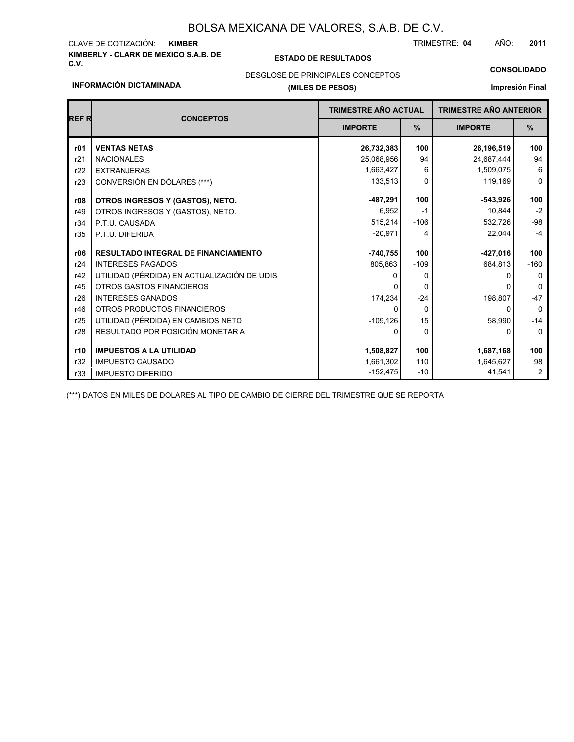# **KIMBERLY - CLARK DE MEXICO S.A.B. DE** CLAVE DE COTIZACIÓN:

### **C.V. ESTADO DE RESULTADOS**

TRIMESTRE: AÑO: **KIMBER 04 2011**

#### **CONSOLIDADO**

### **INFORMACIÓN DICTAMINADA**

# **(MILES DE PESOS)** DESGLOSE DE PRINCIPALES CONCEPTOS

### **Impresión Final**

| <b>REFR</b> | <b>CONCEPTOS</b>                            | <b>TRIMESTRE AÑO ACTUAL</b> |          | <b>TRIMESTRE AÑO ANTERIOR</b> |                |
|-------------|---------------------------------------------|-----------------------------|----------|-------------------------------|----------------|
|             |                                             | <b>IMPORTE</b>              | $\%$     | <b>IMPORTE</b>                | $\%$           |
| r01         | <b>VENTAS NETAS</b>                         | 26,732,383                  | 100      | 26,196,519                    | 100            |
| r21         | <b>NACIONALES</b>                           | 25,068,956                  | 94       | 24,687,444                    | 94             |
| r22         | <b>EXTRANJERAS</b>                          | 1,663,427                   | 6        | 1,509,075                     | 6              |
| r23         | CONVERSIÓN EN DÓLARES (***)                 | 133,513                     | $\Omega$ | 119,169                       | $\Omega$       |
| r08         | OTROS INGRESOS Y (GASTOS), NETO.            | $-487,291$                  | 100      | $-543,926$                    | 100            |
| r49         | OTROS INGRESOS Y (GASTOS), NETO.            | 6,952                       | $-1$     | 10,844                        | $-2$           |
| r34         | P.T.U. CAUSADA                              | 515,214                     | $-106$   | 532,726                       | $-98$          |
| r35         | P.T.U. DIFERIDA                             | $-20,971$                   | 4        | 22,044                        | $-4$           |
| r06         | <b>RESULTADO INTEGRAL DE FINANCIAMIENTO</b> | $-740,755$                  | 100      | -427,016                      | 100            |
| r24         | <b>INTERESES PAGADOS</b>                    | 805,863                     | $-109$   | 684,813                       | $-160$         |
| r42         | UTILIDAD (PÉRDIDA) EN ACTUALIZACIÓN DE UDIS |                             | $\Omega$ |                               | $\Omega$       |
| r45         | OTROS GASTOS FINANCIEROS                    |                             | $\Omega$ |                               | $\Omega$       |
| r26         | <b>INTERESES GANADOS</b>                    | 174,234                     | $-24$    | 198,807                       | $-47$          |
| r46         | OTROS PRODUCTOS FINANCIEROS                 | $\Omega$                    | $\Omega$ | 0                             | $\Omega$       |
| r25         | UTILIDAD (PÉRDIDA) EN CAMBIOS NETO          | $-109, 126$                 | 15       | 58,990                        | $-14$          |
| r28         | RESULTADO POR POSICIÓN MONETARIA            | 0                           | $\Omega$ | 0                             | $\Omega$       |
| r10         | <b>IMPUESTOS A LA UTILIDAD</b>              | 1,508,827                   | 100      | 1,687,168                     | 100            |
| r32         | <b>IMPUESTO CAUSADO</b>                     | 1,661,302                   | 110      | 1,645,627                     | 98             |
| r33         | <b>IMPUESTO DIFERIDO</b>                    | $-152,475$                  | $-10$    | 41,541                        | $\overline{2}$ |

(\*\*\*) DATOS EN MILES DE DOLARES AL TIPO DE CAMBIO DE CIERRE DEL TRIMESTRE QUE SE REPORTA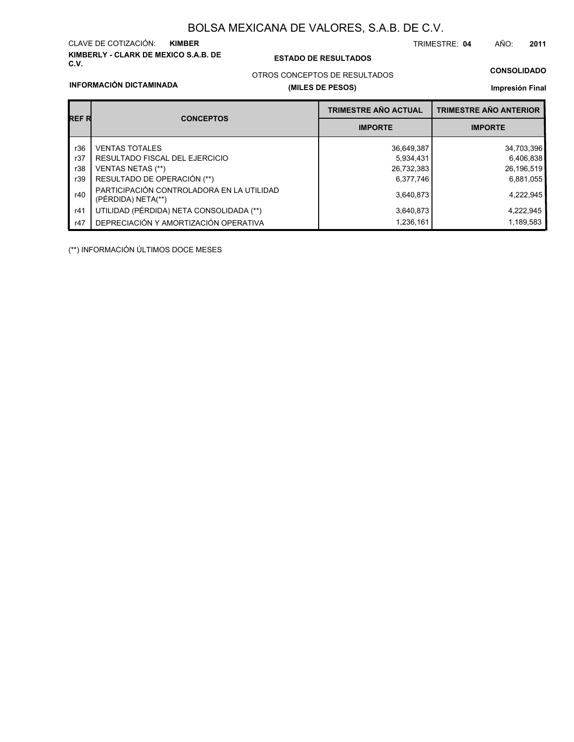# **KIMBERLY - CLARK DE MEXICO S.A.B. DE** CLAVE DE COTIZACIÓN:

### **C.V. ESTADO DE RESULTADOS**

TRIMESTRE: AÑO: **KIMBER 04 2011**

# OTROS CONCEPTOS DE RESULTADOS

### **INFORMACIÓN DICTAMINADA**

### **(MILES DE PESOS)**

# **CONSOLIDADO**

**Impresión Final**

|       |                                                                 | <b>TRIMESTRE AÑO ACTUAL</b> | <b>TRIMESTRE AÑO ANTERIOR</b> |  |
|-------|-----------------------------------------------------------------|-----------------------------|-------------------------------|--|
| REF R | <b>CONCEPTOS</b>                                                | <b>IMPORTE</b>              | <b>IMPORTE</b>                |  |
| r36   | <b>VENTAS TOTALES</b>                                           | 36,649,387                  | 34,703,396                    |  |
| r37   | RESULTADO FISCAL DEL EJERCICIO                                  | 5,934,431                   | 6,406,838                     |  |
| r38   | <b>VENTAS NETAS (**)</b>                                        | 26,732,383                  | 26,196,519                    |  |
| r39   | RESULTADO DE OPERACIÓN (**)                                     | 6,377,746                   | 6,881,055                     |  |
| r40   | PARTICIPACIÓN CONTROLADORA EN LA UTILIDAD<br>(PÉRDIDA) NETA(**) | 3,640,873                   | 4,222,945                     |  |
| r41   | UTILIDAD (PÉRDIDA) NETA CONSOLIDADA (**)                        | 3,640,873                   | 4,222,945                     |  |
| r47   | DEPRECIACIÓN Y AMORTIZACIÓN OPERATIVA                           | 1,236,161                   | 1,189,583                     |  |

(\*\*) INFORMACIÓN ÚLTIMOS DOCE MESES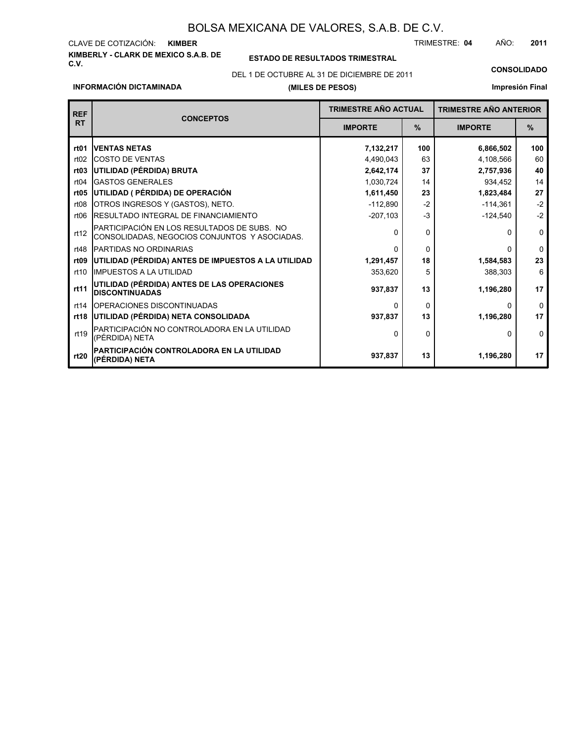### **KIMBERLY - CLARK DE MEXICO S.A.B. DE** CLAVE DE COTIZACIÓN: TRIMESTRE: AÑO: **KIMBER 04 2011**

# **C.V. ESTADO DE RESULTADOS TRIMESTRAL**

DEL 1 DE OCTUBRE AL 31 DE DICIEMBRE DE 2011 **CONSOLIDADO**

### **INFORMACIÓN DICTAMINADA**

### **(MILES DE PESOS)**

**Impresión Final**

| <b>REF</b>        |                                                                                              | <b>TRIMESTRE AÑO ACTUAL</b> |          | <b>TRIMESTRE AÑO ANTERIOR</b> |             |
|-------------------|----------------------------------------------------------------------------------------------|-----------------------------|----------|-------------------------------|-------------|
| <b>RT</b>         | <b>CONCEPTOS</b>                                                                             | <b>IMPORTE</b>              | $\%$     | <b>IMPORTE</b>                | $\%$        |
| rt01              | <b>VENTAS NETAS</b>                                                                          | 7,132,217                   | 100      | 6,866,502                     | 100         |
| rt02              | <b>COSTO DE VENTAS</b>                                                                       | 4,490,043                   | 63       | 4,108,566                     | 60          |
| rt03              | UTILIDAD (PÉRDIDA) BRUTA                                                                     | 2,642,174                   | 37       | 2,757,936                     | 40          |
| rt04              | <b>GASTOS GENERALES</b>                                                                      | 1,030,724                   | 14       | 934,452                       | 14          |
| r <sub>t</sub> 05 | UTILIDAD ( PÉRDIDA) DE OPERACIÓN                                                             | 1,611,450                   | 23       | 1,823,484                     | 27          |
| rt08              | OTROS INGRESOS Y (GASTOS), NETO.                                                             | $-112,890$                  | $-2$     | $-114,361$                    | $-2$        |
| rt <sub>06</sub>  | RESULTADO INTEGRAL DE FINANCIAMIENTO                                                         | $-3$<br>$-207,103$          |          | $-124,540$                    | $-2$        |
| rt12              | PARTICIPACIÓN EN LOS RESULTADOS DE SUBS. NO<br>CONSOLIDADAS, NEGOCIOS CONJUNTOS Y ASOCIADAS. | O                           | $\Omega$ | n                             | $\mathbf 0$ |
| rt48              | PARTIDAS NO ORDINARIAS                                                                       | ŋ                           | $\Omega$ | <sup>0</sup>                  | $\Omega$    |
| rt09              | UTILIDAD (PÉRDIDA) ANTES DE IMPUESTOS A LA UTILIDAD                                          | 1,291,457                   | 18       | 1,584,583                     | 23          |
| rt10              | <b>IMPUESTOS A LA UTILIDAD</b>                                                               | 353,620                     | 5        | 388,303                       | 6           |
| rt11              | UTILIDAD (PÉRDIDA) ANTES DE LAS OPERACIONES<br><b>DISCONTINUADAS</b>                         | 937,837                     | 13       | 1,196,280                     | 17          |
| rt14              | OPERACIONES DISCONTINUADAS                                                                   | O                           | 0        | 0                             | $\Omega$    |
| rt18              | UTILIDAD (PÉRDIDA) NETA CONSOLIDADA                                                          | 937,837                     | 13       | 1,196,280                     | 17          |
| rt19              | PARTICIPACIÓN NO CONTROLADORA EN LA UTILIDAD<br>(PÉRDIDA) NETA                               | 0                           | 0        | 0                             | $\Omega$    |
| rt20              | PARTICIPACIÓN CONTROLADORA EN LA UTILIDAD<br>(PÉRDIDA) NETA                                  | 937,837                     | 13       | 1,196,280                     | 17          |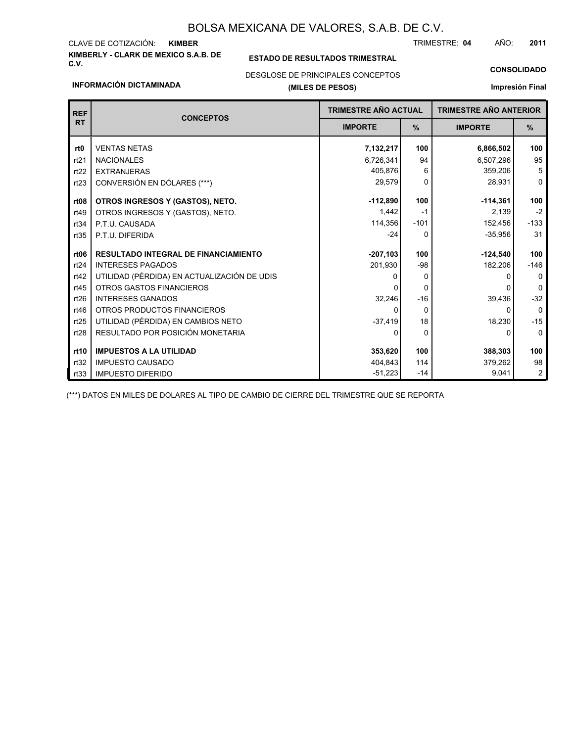# **KIMBERLY - CLARK DE MEXICO S.A.B. DE** CLAVE DE COTIZACIÓN:

### **C.V. ESTADO DE RESULTADOS TRIMESTRAL**

TRIMESTRE: AÑO: **KIMBER 04 2011**

# **(MILES DE PESOS)** DESGLOSE DE PRINCIPALES CONCEPTOS

### **INFORMACIÓN DICTAMINADA**

# **CONSOLIDADO Impresión Final**

| <b>REF</b>       | <b>CONCEPTOS</b>                            | <b>TRIMESTRE AÑO ACTUAL</b> |          | <b>TRIMESTRE AÑO ANTERIOR</b> |                |
|------------------|---------------------------------------------|-----------------------------|----------|-------------------------------|----------------|
| <b>RT</b>        |                                             | <b>IMPORTE</b>              | $\%$     | <b>IMPORTE</b>                | $\%$           |
| rt0              | <b>VENTAS NETAS</b>                         | 7,132,217                   | 100      | 6,866,502                     | 100            |
| rt21             | <b>NACIONALES</b>                           | 6,726,341                   | 94       | 6,507,296                     | 95             |
| rt22             | <b>EXTRANJERAS</b>                          | 405,876                     | 6        | 359,206                       | 5              |
| rt23             | CONVERSIÓN EN DÓLARES (***)                 | 29,579                      | $\Omega$ | 28,931                        | 0              |
| rt <sub>08</sub> | OTROS INGRESOS Y (GASTOS), NETO.            | $-112.890$                  | 100      | $-114,361$                    | 100            |
| rt49             | OTROS INGRESOS Y (GASTOS), NETO.            | 1.442                       | $-1$     | 2,139                         | $-2$           |
| rt34             | P.T.U. CAUSADA                              | 114,356                     | $-101$   | 152,456                       | $-133$         |
| rt35             | P.T.U. DIFERIDA                             | $-24$                       | $\Omega$ | $-35,956$                     | 31             |
| rt06             | <b>RESULTADO INTEGRAL DE FINANCIAMIENTO</b> | $-207,103$                  | 100      | $-124,540$                    | 100            |
| rt24             | <b>INTERESES PAGADOS</b>                    | 201,930                     | $-98$    | 182,206                       | $-146$         |
| rt42             | UTILIDAD (PÉRDIDA) EN ACTUALIZACIÓN DE UDIS |                             | $\Omega$ |                               | 0              |
| rt45             | <b>OTROS GASTOS FINANCIEROS</b>             |                             | $\Omega$ |                               | $\Omega$       |
| rt26             | <b>INTERESES GANADOS</b>                    | 32,246                      | $-16$    | 39,436                        | $-32$          |
| rt46             | OTROS PRODUCTOS FINANCIEROS                 | <sup>0</sup>                | $\Omega$ | 0                             | $\mathbf 0$    |
| rt25             | UTILIDAD (PÉRDIDA) EN CAMBIOS NETO          | $-37,419$                   | 18       | 18,230                        | $-15$          |
| rt28             | RESULTADO POR POSICIÓN MONETARIA            | ŋ                           | $\Omega$ | 0                             | $\mathbf 0$    |
| rt10             | <b>IMPUESTOS A LA UTILIDAD</b>              | 353,620                     | 100      | 388,303                       | 100            |
| rt32             | <b>IMPUESTO CAUSADO</b>                     | 404,843                     | 114      | 379,262                       | 98             |
| rt33             | <b>IMPUESTO DIFERIDO</b>                    | $-51,223$                   | $-14$    | 9,041                         | $\overline{c}$ |

(\*\*\*) DATOS EN MILES DE DOLARES AL TIPO DE CAMBIO DE CIERRE DEL TRIMESTRE QUE SE REPORTA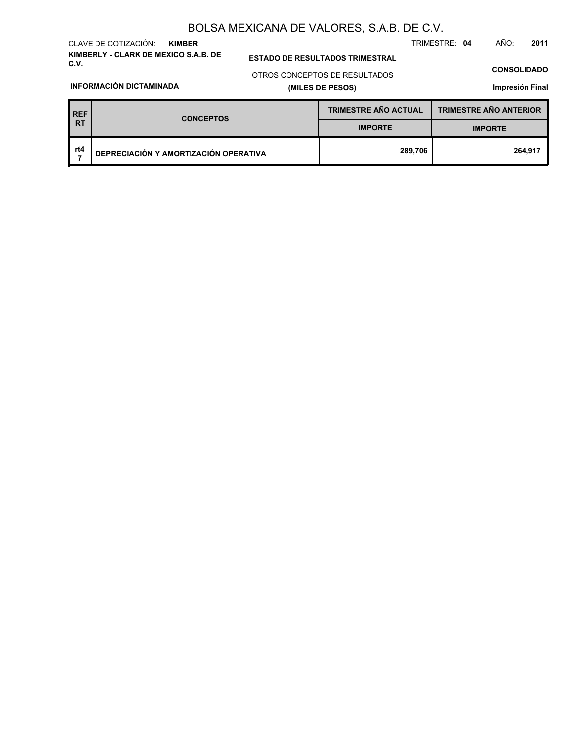**KIMBERLY - CLARK DE MEXICO S.A.B. DE** CLAVE DE COTIZACIÓN: **KIMBER**

**C.V. ESTADO DE RESULTADOS TRIMESTRAL**

TRIMESTRE: **04** AÑO: **2011**

**CONSOLIDADO**

**INFORMACIÓN DICTAMINADA**

# **(MILES DE PESOS)** OTROS CONCEPTOS DE RESULTADOS

**Impresión Final**

| <b>REF</b> | <b>CONCEPTOS</b>                      | <b>TRIMESTRE AÑO ACTUAL</b> | <b>TRIMESTRE AÑO ANTERIOR</b> |  |
|------------|---------------------------------------|-----------------------------|-------------------------------|--|
| RT         |                                       | <b>IMPORTE</b>              | <b>IMPORTE</b>                |  |
| rt4        | DEPRECIACIÓN Y AMORTIZACIÓN OPERATIVA | 289,706                     | 264,917                       |  |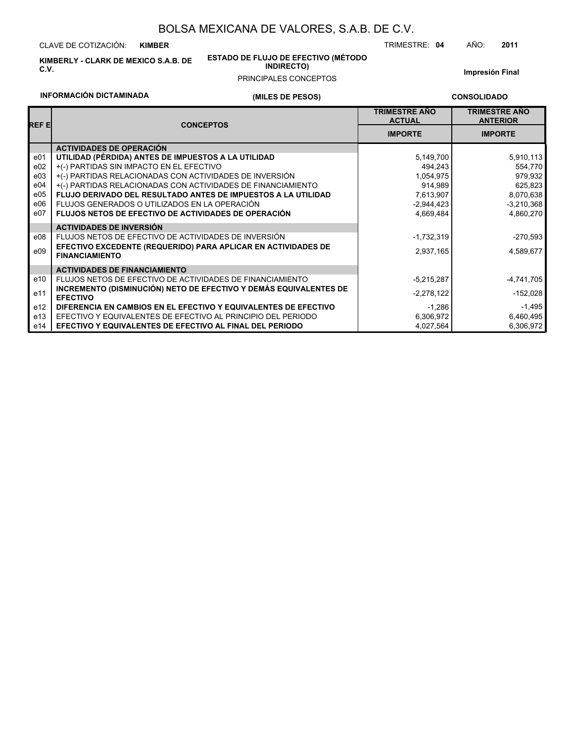CLAVE DE COTIZACIÓN: **KIMBER**

**INFORMACIÓN DICTAMINADA**

**KIMBERLY - CLARK DE MEXICO S.A.B. DE C.V.**

# **ESTADO DE FLUJO DE EFECTIVO (MÉTODO**

**INDIRECTO)**

**Impresión Final**

TRIMESTRE: **04** AÑO: **2011**

## PRINCIPALES CONCEPTOS

**CONSOLIDADO**

|                 | <b>INFORMACIÓN DICTAMINADA</b><br>(MILES DE PESOS)                                     |  |                                       | <b>CONSOLIDADO</b>                      |
|-----------------|----------------------------------------------------------------------------------------|--|---------------------------------------|-----------------------------------------|
| REF E           | <b>CONCEPTOS</b>                                                                       |  | <b>TRIMESTRE AÑO</b><br><b>ACTUAL</b> | <b>TRIMESTRE AÑO</b><br><b>ANTERIOR</b> |
|                 |                                                                                        |  | <b>IMPORTE</b>                        | <b>IMPORTE</b>                          |
|                 | <b>ACTIVIDADES DE OPERACIÓN</b>                                                        |  |                                       |                                         |
| e01             | UTILIDAD (PÉRDIDA) ANTES DE IMPUESTOS A LA UTILIDAD                                    |  | 5,149,700                             | 5,910,113                               |
| e02             | +(-) PARTIDAS SIN IMPACTO EN EL EFECTIVO                                               |  | 494,243                               | 554,770                                 |
| e03             | +(-) PARTIDAS RELACIONADAS CON ACTIVIDADES DE INVERSIÓN                                |  | 1,054,975                             | 979,932                                 |
| e04             | +(-) PARTIDAS RELACIONADAS CON ACTIVIDADES DE FINANCIAMIENTO                           |  | 914,989                               | 625,823                                 |
| e05             | FLUJO DERIVADO DEL RESULTADO ANTES DE IMPUESTOS A LA UTILIDAD                          |  | 7,613,907                             | 8,070,638                               |
| e06             | FLUJOS GENERADOS O UTILIZADOS EN LA OPERACIÓN                                          |  | $-2,944,423$                          | $-3,210,368$                            |
| e07             | <b>FLUJOS NETOS DE EFECTIVO DE ACTIVIDADES DE OPERACIÓN</b>                            |  | 4,669,484                             | 4,860,270                               |
|                 | <b>ACTIVIDADES DE INVERSIÓN</b>                                                        |  |                                       |                                         |
| e08             | FLUJOS NETOS DE EFECTIVO DE ACTIVIDADES DE INVERSIÓN                                   |  | $-1,732,319$                          | $-270,593$                              |
| e09             | EFECTIVO EXCEDENTE (REQUERIDO) PARA APLICAR EN ACTIVIDADES DE<br><b>FINANCIAMIENTO</b> |  | 2,937,165                             | 4,589,677                               |
|                 | <b>ACTIVIDADES DE FINANCIAMIENTO</b>                                                   |  |                                       |                                         |
| e10             | FLUJOS NETOS DE EFECTIVO DE ACTIVIDADES DE FINANCIAMIENTO                              |  | $-5,215,287$                          | $-4,741,705$                            |
| e11             | INCREMENTO (DISMINUCIÓN) NETO DE EFECTIVO Y DEMÁS EQUIVALENTES DE<br><b>EFECTIVO</b>   |  | $-2,278,122$                          | $-152,028$                              |
| e <sub>12</sub> | DIFERENCIA EN CAMBIOS EN EL EFECTIVO Y EQUIVALENTES DE EFECTIVO                        |  | $-1,286$                              | $-1,495$                                |
| e13             | EFECTIVO Y EQUIVALENTES DE EFECTIVO AL PRINCIPIO DEL PERIODO                           |  | 6,306,972                             | 6,460,495                               |
| e14             | EFECTIVO Y EQUIVALENTES DE EFECTIVO AL FINAL DEL PERIODO                               |  | 4,027,564                             | 6,306,972                               |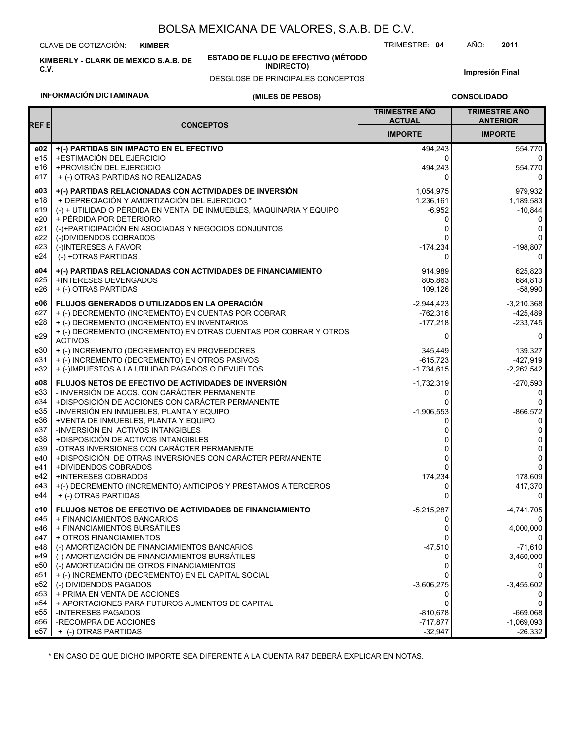CLAVE DE COTIZACIÓN: **KIMBER**

**KIMBERLY - CLARK DE MEXICO S.A.B. DE C.V.**

**ESTADO DE FLUJO DE EFECTIVO (MÉTODO INDIRECTO)**

DESGLOSE DE PRINCIPALES CONCEPTOS

**Impresión Final**

# **INFORMACIÓN DICTAMINADA**

## **(MILES DE PESOS)**

**CONSOLIDADO**

| REF E      | <b>CONCEPTOS</b>                                                                    | <b>TRIMESTRE AÑO</b><br><b>ACTUAL</b> | <b>TRIMESTRE ANO</b><br><b>ANTERIOR</b> |
|------------|-------------------------------------------------------------------------------------|---------------------------------------|-----------------------------------------|
|            |                                                                                     | <b>IMPORTE</b>                        | <b>IMPORTE</b>                          |
| e02        | +(-) PARTIDAS SIN IMPACTO EN EL EFECTIVO                                            | 494,243                               | 554,770                                 |
| e15        | +ESTIMACIÓN DEL EJERCICIO                                                           | 0                                     | $\Omega$                                |
| e16        | +PROVISIÓN DEL EJERCICIO                                                            | 494,243                               | 554,770                                 |
| e17        | + (-) OTRAS PARTIDAS NO REALIZADAS                                                  | 0                                     | 0                                       |
| e03        | +(-) PARTIDAS RELACIONADAS CON ACTIVIDADES DE INVERSIÓN                             | 1,054,975                             | 979,932                                 |
| e18        | + DEPRECIACIÓN Y AMORTIZACIÓN DEL EJERCICIO *                                       | 1,236,161                             | 1,189,583                               |
| e19        | (-) + UTILIDAD O PÉRDIDA EN VENTA DE INMUEBLES, MAQUINARIA Y EQUIPO                 | $-6,952$                              | $-10,844$                               |
| e20        | + PÉRDIDA POR DETERIORO                                                             | 0                                     | 0                                       |
| e21<br>e22 | (-)+PARTICIPACIÓN EN ASOCIADAS Y NEGOCIOS CONJUNTOS<br>(-)DIVIDENDOS COBRADOS       | 0                                     | 0<br>0                                  |
| e23        | (-)INTERESES A FAVOR                                                                | $-174,234$                            | $-198,807$                              |
| e24        | (-) +OTRAS PARTIDAS                                                                 | 0                                     | 0                                       |
|            |                                                                                     |                                       |                                         |
| e04        | +(-) PARTIDAS RELACIONADAS CON ACTIVIDADES DE FINANCIAMIENTO                        | 914,989                               | 625,823                                 |
| e25<br>e26 | +INTERESES DEVENGADOS<br>+ (-) OTRAS PARTIDAS                                       | 805,863<br>109,126                    | 684,813<br>-58,990                      |
|            |                                                                                     |                                       |                                         |
| e06        | FLUJOS GENERADOS O UTILIZADOS EN LA OPERACIÓN                                       | $-2,944,423$                          | $-3,210,368$                            |
| e27        | + (-) DECREMENTO (INCREMENTO) EN CUENTAS POR COBRAR                                 | $-762,316$                            | $-425,489$                              |
| e28        | + (-) DECREMENTO (INCREMENTO) EN INVENTARIOS                                        | $-177,218$                            | $-233,745$                              |
| e29        | + (-) DECREMENTO (INCREMENTO) EN OTRAS CUENTAS POR COBRAR Y OTROS<br><b>ACTIVOS</b> | 0                                     | 0                                       |
| e30        | + (-) INCREMENTO (DECREMENTO) EN PROVEEDORES                                        | 345,449                               | 139,327                                 |
| e31        | + (-) INCREMENTO (DECREMENTO) EN OTROS PASIVOS                                      | $-615,723$                            | $-427,919$                              |
| e32        | + (-)IMPUESTOS A LA UTILIDAD PAGADOS O DEVUELTOS                                    | $-1,734,615$                          | $-2,262,542$                            |
| e08        | <b>FLUJOS NETOS DE EFECTIVO DE ACTIVIDADES DE INVERSIÓN</b>                         | $-1,732,319$                          | $-270,593$                              |
| e33        | - INVERSIÓN DE ACCS. CON CARÁCTER PERMANENTE                                        | 0                                     | 0                                       |
| e34        | +DISPOSICIÓN DE ACCIONES CON CARÁCTER PERMANENTE                                    |                                       | $\Omega$                                |
| e35        | -INVERSIÓN EN INMUEBLES, PLANTA Y EQUIPO                                            | $-1,906,553$                          | $-866,572$                              |
| e36        | +VENTA DE INMUEBLES, PLANTA Y EQUIPO                                                | 0                                     | 0                                       |
| e37        | -INVERSIÓN EN ACTIVOS INTANGIBLES                                                   | 0                                     | 0                                       |
| e38<br>e39 | +DISPOSICIÓN DE ACTIVOS INTANGIBLES<br>-OTRAS INVERSIONES CON CARÁCTER PERMANENTE   | ი<br>0                                | 0<br>0                                  |
| e40        | +DISPOSICIÓN DE OTRAS INVERSIONES CON CARÁCTER PERMANENTE                           | 0                                     | $\Omega$                                |
| e41        | +DIVIDENDOS COBRADOS                                                                | 0                                     | $\Omega$                                |
| e42        | <b>+INTERESES COBRADOS</b>                                                          | 174,234                               | 178,609                                 |
| e43        | +(-) DECREMENTO (INCREMENTO) ANTICIPOS Y PRESTAMOS A TERCEROS                       | 0                                     | 417,370                                 |
| e44        | + (-) OTRAS PARTIDAS                                                                | 0                                     | 0                                       |
| e10        | <b>FLUJOS NETOS DE EFECTIVO DE ACTIVIDADES DE FINANCIAMIENTO</b>                    | $-5,215,287$                          | $-4,741,705$                            |
| e45        | + FINANCIAMIENTOS BANCARIOS                                                         | 0                                     | 0                                       |
| e46        | + FINANCIAMIENTOS BURSÁTILES                                                        | 0                                     | 4,000,000                               |
| e47        | + OTROS FINANCIAMIENTOS                                                             | 0                                     |                                         |
| e48        | (-) AMORTIZACIÓN DE FINANCIAMIENTOS BANCARIOS                                       | $-47,510$                             | $-71,610$                               |
| e49        | (-) AMORTIZACIÓN DE FINANCIAMIENTOS BURSÁTILES                                      | O                                     | $-3,450,000$                            |
| e50        | (-) AMORTIZACIÓN DE OTROS FINANCIAMIENTOS                                           | 0                                     |                                         |
| e51<br>e52 | + (-) INCREMENTO (DECREMENTO) EN EL CAPITAL SOCIAL<br>(-) DIVIDENDOS PAGADOS        | $-3,606,275$                          | 0<br>$-3,455,602$                       |
| e53        | + PRIMA EN VENTA DE ACCIONES                                                        | 0                                     |                                         |
| e54        | + APORTACIONES PARA FUTUROS AUMENTOS DE CAPITAL                                     | 0                                     | 0                                       |
| e55        | -INTERESES PAGADOS                                                                  | $-810,678$                            | $-669,068$                              |
| e56        | -RECOMPRA DE ACCIONES                                                               | $-717,877$                            | $-1,069,093$                            |
| e57        | + (-) OTRAS PARTIDAS                                                                | $-32,947$                             | $-26,332$                               |

\* EN CASO DE QUE DICHO IMPORTE SEA DIFERENTE A LA CUENTA R47 DEBERÁ EXPLICAR EN NOTAS.

TRIMESTRE: **04** AÑO: **2011**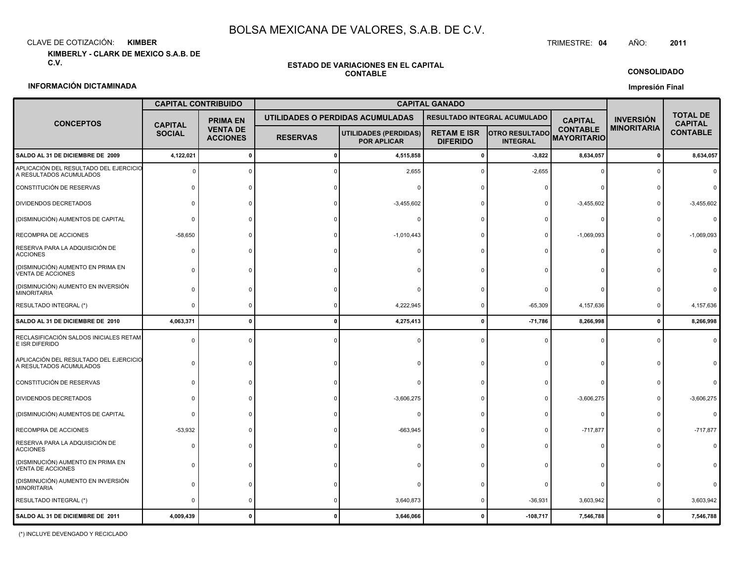CLAVE DE COTIZACIÓN:**KIMBER**: KIMBER TRIMESTRE:

**KIMBERLY - CLARK DE MEXICO S.A.B. DE C.V.**

#### **ESTADO DE VARIACIONES EN EL CAPITALCONTABLE**

**CONSOLIDADO**

#### **Impresión Final**

### **INFORMACIÓN DICTAMINADA**

|                                                                   | <b>CAPITAL CONTRIBUIDO</b>      |                                    |                 |                                             |                                       |                                          |                                       |                    |                                   |
|-------------------------------------------------------------------|---------------------------------|------------------------------------|-----------------|---------------------------------------------|---------------------------------------|------------------------------------------|---------------------------------------|--------------------|-----------------------------------|
| <b>CONCEPTOS</b>                                                  |                                 | <b>PRIMA EN</b>                    |                 | UTILIDADES O PERDIDAS ACUMULADAS            |                                       | RESULTADO INTEGRAL ACUMULADO             | <b>CAPITAL</b>                        | <b>INVERSIÓN</b>   | <b>TOTAL DE</b><br><b>CAPITAL</b> |
|                                                                   | <b>CAPITAL</b><br><b>SOCIAL</b> | <b>VENTA DE</b><br><b>ACCIONES</b> | <b>RESERVAS</b> | UTILIDADES (PERDIDAS)<br><b>POR APLICAR</b> | <b>RETAM E ISR</b><br><b>DIFERIDO</b> | <b>OTRO RESULTADO</b><br><b>INTEGRAL</b> | <b>CONTABLE</b><br><b>MAYORITARIO</b> | <b>MINORITARIA</b> | <b>CONTABLE</b>                   |
| SALDO AL 31 DE DICIEMBRE DE 2009                                  | 4,122,021                       | $\mathbf 0$                        |                 | 4,515,858                                   | $\Omega$                              | $-3,822$                                 | 8,634,057                             | $\mathbf 0$        | 8,634,057                         |
| APLICACIÓN DEL RESULTADO DEL EJERCICIO<br>A RESULTADOS ACUMULADOS |                                 | $\Omega$                           |                 | 2,655                                       |                                       | $-2,655$                                 | $\Omega$                              | $\Omega$           |                                   |
| CONSTITUCIÓN DE RESERVAS                                          | ŋ                               | $\Omega$                           |                 |                                             |                                       |                                          |                                       |                    |                                   |
| DIVIDENDOS DECRETADOS                                             | U                               | $\Omega$                           |                 | $-3,455,602$                                |                                       |                                          | $-3,455,602$                          | $\Omega$           | $-3,455,602$                      |
| (DISMINUCIÓN) AUMENTOS DE CAPITAL                                 | 0                               |                                    |                 | n                                           |                                       |                                          | $\Omega$                              |                    |                                   |
| RECOMPRA DE ACCIONES                                              | $-58,650$                       | $\Omega$                           |                 | $-1,010,443$                                |                                       |                                          | $-1,069,093$                          | $\Omega$           | $-1,069,093$                      |
| RESERVA PARA LA ADQUISICIÓN DE<br><b>ACCIONES</b>                 | 0                               |                                    |                 |                                             |                                       |                                          |                                       |                    |                                   |
| (DISMINUCIÓN) AUMENTO EN PRIMA EN<br>VENTA DE ACCIONES            | ŋ                               |                                    |                 |                                             |                                       |                                          |                                       |                    |                                   |
| (DISMINUCIÓN) AUMENTO EN INVERSIÓN<br><b>MINORITARIA</b>          | O                               |                                    |                 |                                             |                                       |                                          |                                       |                    |                                   |
| RESULTADO INTEGRAL (*)                                            | 0                               | $\Omega$                           |                 | 4,222,945                                   |                                       | $-65,309$                                | 4,157,636                             | $\Omega$           | 4,157,636                         |
| SALDO AL 31 DE DICIEMBRE DE 2010                                  | 4,063,371                       | $\mathbf 0$                        |                 | 4,275,413                                   | $\mathbf{0}$                          | $-71,786$                                | 8,266,998                             | $\mathbf 0$        | 8,266,998                         |
| RECLASIFICACIÓN SALDOS INICIALES RETAM<br>E ISR DIFERIDO          | $\Omega$                        | $\Omega$                           |                 |                                             |                                       |                                          | $\Omega$                              | $\Omega$           |                                   |
| APLICACIÓN DEL RESULTADO DEL EJERCICIO<br>A RESULTADOS ACUMULADOS | $\Omega$                        | $\Omega$                           |                 |                                             |                                       |                                          | $\Omega$                              | $\Omega$           |                                   |
| CONSTITUCIÓN DE RESERVAS                                          | 0                               | $\Omega$                           |                 |                                             |                                       |                                          | $\Omega$                              |                    |                                   |
| DIVIDENDOS DECRETADOS                                             | n                               |                                    |                 | $-3,606,275$                                |                                       |                                          | $-3,606,275$                          | $\Omega$           | $-3,606,275$                      |
| (DISMINUCIÓN) AUMENTOS DE CAPITAL                                 | $\Omega$                        |                                    |                 |                                             |                                       |                                          | $\Omega$                              | $\Omega$           |                                   |
| RECOMPRA DE ACCIONES                                              | $-53,932$                       |                                    |                 | $-663,945$                                  |                                       |                                          | $-717,877$                            |                    | $-717,877$                        |
| RESERVA PARA LA ADQUISICIÓN DE<br><b>ACCIONES</b>                 | 0                               |                                    |                 |                                             |                                       |                                          |                                       |                    |                                   |
| (DISMINUCIÓN) AUMENTO EN PRIMA EN<br>VENTA DE ACCIONES            | ŋ                               |                                    |                 |                                             |                                       |                                          |                                       |                    |                                   |
| (DISMINUCIÓN) AUMENTO EN INVERSIÓN<br><b>MINORITARIA</b>          |                                 |                                    |                 |                                             |                                       |                                          |                                       |                    |                                   |
| RESULTADO INTEGRAL (*)                                            | 0                               | $\Omega$                           |                 | 3,640,873                                   |                                       | $-36,931$                                | 3,603,942                             | $\Omega$           | 3,603,942                         |
| SALDO AL 31 DE DICIEMBRE DE 2011                                  | 4,009,439                       | $\Omega$                           |                 | 3,646,066                                   |                                       | $-108,717$                               | 7,546,788                             | $\Omega$           | 7,546,788                         |

(\*) INCLUYE DEVENGADO Y RECICLADO

#### TRIMESTRE: 04 AÑO: **<sup>2011</sup>**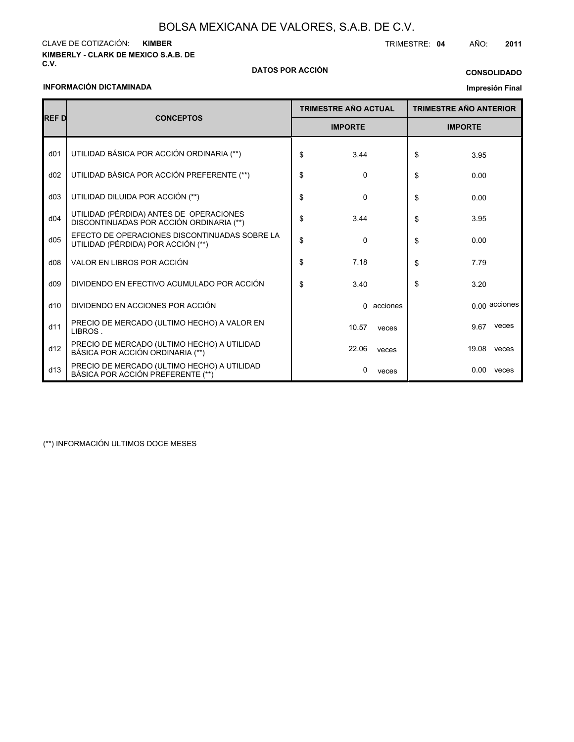### **KIMBERLY - CLARK DE MEXICO S.A.B. DE** CLAVE DE COTIZACIÓN: TRIMESTRE: **04** AÑO: **2011 KIMBER**

### **C.V. DATOS POR ACCIÓN**

# **CONSOLIDADO**

### **INFORMACIÓN DICTAMINADA**

## **Impresión Final**

| <b>REFD</b>     | <b>CONCEPTOS</b>                                                                    |    | <b>TRIMESTRE AÑO ACTUAL</b> |          |    | <b>TRIMESTRE AÑO ANTERIOR</b> |                 |  |  |
|-----------------|-------------------------------------------------------------------------------------|----|-----------------------------|----------|----|-------------------------------|-----------------|--|--|
|                 |                                                                                     |    | <b>IMPORTE</b>              |          |    | <b>IMPORTE</b>                |                 |  |  |
| d <sub>01</sub> | UTILIDAD BÁSICA POR ACCIÓN ORDINARIA (**)                                           | \$ | 3.44                        |          | \$ | 3.95                          |                 |  |  |
| d02             | UTILIDAD BÁSICA POR ACCIÓN PREFERENTE (**)                                          | \$ | 0                           |          | \$ | 0.00                          |                 |  |  |
| d03             | UTILIDAD DILUIDA POR ACCIÓN (**)                                                    | \$ | 0                           |          | \$ | 0.00                          |                 |  |  |
| d04             | UTILIDAD (PÉRDIDA) ANTES DE OPERACIONES<br>DISCONTINUADAS POR ACCIÓN ORDINARIA (**) | \$ | 3.44                        |          | \$ | 3.95                          |                 |  |  |
| d05             | EFECTO DE OPERACIONES DISCONTINUADAS SOBRE LA<br>UTILIDAD (PÉRDIDA) POR ACCIÓN (**) | \$ | $\Omega$                    |          | \$ | 0.00                          |                 |  |  |
| d08             | VALOR EN LIBROS POR ACCIÓN                                                          | \$ | 7.18                        |          | \$ | 7.79                          |                 |  |  |
| d09             | DIVIDENDO EN EFECTIVO ACUMULADO POR ACCIÓN                                          | \$ | 3.40                        |          | \$ | 3.20                          |                 |  |  |
| d10             | DIVIDENDO EN ACCIONES POR ACCIÓN                                                    |    | 0                           | acciones |    |                               | $0.00$ acciones |  |  |
| d11             | PRECIO DE MERCADO (ULTIMO HECHO) A VALOR EN<br>LIBROS.                              |    | 10.57                       | veces    |    | 9.67                          | veces           |  |  |
| d12             | PRECIO DE MERCADO (ULTIMO HECHO) A UTILIDAD<br>BÁSICA POR ACCIÓN ORDINARIA (**)     |    | 22.06                       | veces    |    | 19.08                         | veces           |  |  |
| d13             | PRECIO DE MERCADO (ULTIMO HECHO) A UTILIDAD<br>BÁSICA POR ACCIÓN PREFERENTE (**)    |    | 0                           | veces    |    | 0.00                          | veces           |  |  |

(\*\*) INFORMACIÓN ULTIMOS DOCE MESES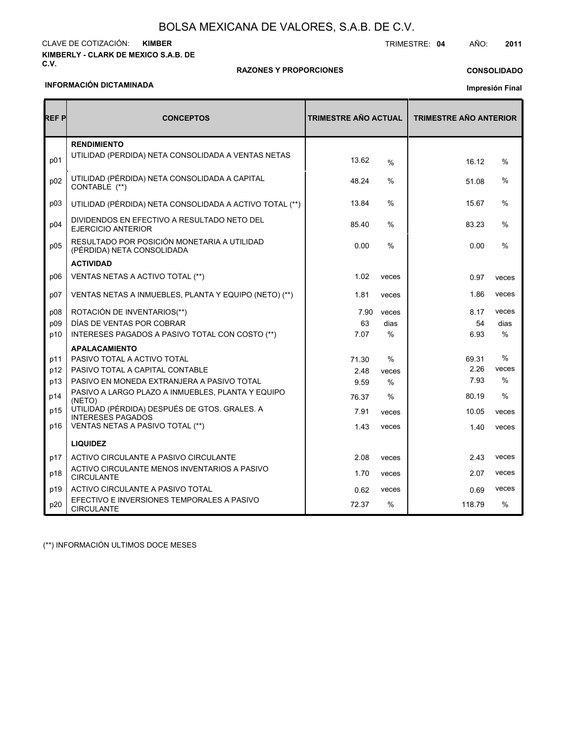#### **KIMBERLY - CLARK DE MEXICO S.A.B. DE C.V.** CLAVE DE COTIZACIÓN: TRIMESTRE: **04** AÑO: **2011 KIMBER**

### **RAZONES Y PROPORCIONES**

# **CONSOLIDADO**

### **INFORMACIÓN DICTAMINADA**

# **Impresión Final**

| REF P | <b>CONCEPTOS</b>                                                          | <b>TRIMESTRE AÑO ACTUAL</b> |               | <b>TRIMESTRE AÑO ANTERIOR</b> |       |
|-------|---------------------------------------------------------------------------|-----------------------------|---------------|-------------------------------|-------|
| p01   | <b>RENDIMIENTO</b><br>UTILIDAD (PÉRDIDA) NETA CONSOLIDADA A VENTAS NETAS  | 13.62                       | %             | 16.12                         | $\%$  |
| p02   | UTILIDAD (PÉRDIDA) NETA CONSOLIDADA A CAPITAL<br>CONTABLE (**)            | 48.24                       | %             | 51.08                         | %     |
| p03   | UTILIDAD (PÉRDIDA) NETA CONSOLIDADA A ACTIVO TOTAL (**)                   | 13.84                       | %             | 15.67                         | %     |
| p04   | DIVIDENDOS EN EFECTIVO A RESULTADO NETO DEL<br><b>EJERCICIO ANTERIOR</b>  | 85.40                       | $\frac{0}{0}$ | 83.23                         | %     |
| p05   | RESULTADO POR POSICIÓN MONETARIA A UTILIDAD<br>(PÉRDIDA) NETA CONSOLIDADA | 0.00                        | %             | 0.00                          | %     |
|       | <b>ACTIVIDAD</b>                                                          |                             |               |                               |       |
| p06   | VENTAS NETAS A ACTIVO TOTAL (**)                                          | 1.02                        | veces         | 0.97                          | veces |
| p07   | VENTAS NETAS A INMUEBLES, PLANTA Y EQUIPO (NETO) (**)                     | 1.81                        | veces         | 1.86                          | veces |
| p08   | ROTACIÓN DE INVENTARIOS(**)                                               | 7.90                        | veces         | 8.17                          | veces |
| p09   | DÍAS DE VENTAS POR COBRAR                                                 | 63                          | dias          | 54                            | dias  |
| p10   | INTERESES PAGADOS A PASIVO TOTAL CON COSTO (**)                           | 7.07                        | $\%$          | 6.93                          | $\%$  |
|       | <b>APALACAMIENTO</b>                                                      |                             |               |                               |       |
| p11   | PASIVO TOTAL A ACTIVO TOTAL                                               | 71.30                       | $\%$          | 69.31                         | %     |
| p12   | PASIVO TOTAL A CAPITAL CONTABLE                                           | 2.48                        | veces         | 2.26                          | veces |
| p13   | PASIVO EN MONEDA EXTRANJERA A PASIVO TOTAL                                | 9.59                        | %             | 7.93                          | $\%$  |
| p14   | PASIVO A LARGO PLAZO A INMUEBLES, PLANTA Y EQUIPO<br>(NETO)               | 76.37                       | $\%$          | 80.19                         | $\%$  |
| p15   | UTILIDAD (PÉRDIDA) DESPUÉS DE GTOS. GRALES. A<br><b>INTERESES PAGADOS</b> | 7.91                        | veces         | 10.05                         | veces |
| p16   | VENTAS NETAS A PASIVO TOTAL (**)                                          | 1.43                        | veces         | 1.40                          | veces |
|       | <b>LIQUIDEZ</b>                                                           |                             |               |                               |       |
| p17   | ACTIVO CIRCULANTE A PASIVO CIRCULANTE                                     | 2.08                        | veces         | 2.43                          | veces |
| p18   | ACTIVO CIRCULANTE MENOS INVENTARIOS A PASIVO<br><b>CIRCULANTE</b>         | 1.70                        | veces         | 2.07                          | veces |
| p19   | ACTIVO CIRCULANTE A PASIVO TOTAL                                          | 0.62                        | veces         | 0.69                          | veces |
| p20   | EFECTIVO E INVERSIONES TEMPORALES A PASIVO<br><b>CIRCULANTE</b>           | 72.37                       | $\%$          | 118.79                        | $\%$  |

(\*\*) INFORMACIÓN ULTIMOS DOCE MESES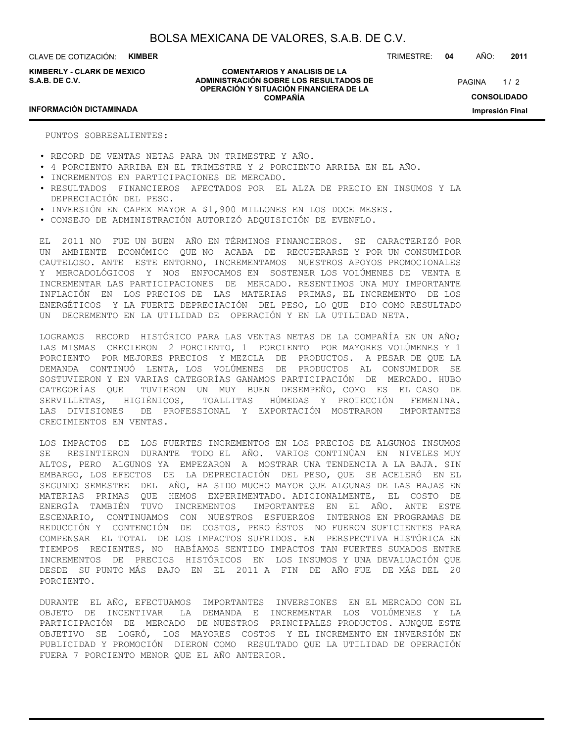**KIMBERLY - CLARK DE MEXICO S.A.B. DE C.V.**

**COMENTARIOS Y ANALISIS DE LA ADMINISTRACIÓN SOBRE LOS RESULTADOS DE OPERACIÓN Y SITUACIÓN FINANCIERA DE LA COMPAÑÍA**

TRIMESTRE: **04** AÑO: **2011**

 $1/2$ **CONSOLIDADO Impresión Final** PAGINA

### **INFORMACIÓN DICTAMINADA**

PUNTOS SOBRESALIENTES:

- RECORD DE VENTAS NETAS PARA UN TRIMESTRE Y AÑO.
- 4 PORCIENTO ARRIBA EN EL TRIMESTRE Y 2 PORCIENTO ARRIBA EN EL AÑO.
- INCREMENTOS EN PARTICIPACIONES DE MERCADO.
- RESULTADOS FINANCIEROS AFECTADOS POR EL ALZA DE PRECIO EN INSUMOS Y LA DEPRECIACIÓN DEL PESO.
- INVERSIÓN EN CAPEX MAYOR A \$1,900 MILLONES EN LOS DOCE MESES.
- CONSEJO DE ADMINISTRACIÓN AUTORIZÓ ADQUISICIÓN DE EVENFLO.

EL 2011 NO FUE UN BUEN AÑO EN TÉRMINOS FINANCIEROS. SE CARACTERIZÓ POR UN AMBIENTE ECONÓMICO QUE NO ACABA DE RECUPERARSE Y POR UN CONSUMIDOR CAUTELOSO. ANTE ESTE ENTORNO, INCREMENTAMOS NUESTROS APOYOS PROMOCIONALES Y MERCADOLÓGICOS Y NOS ENFOCAMOS EN SOSTENER LOS VOLÚMENES DE VENTA E INCREMENTAR LAS PARTICIPACIONES DE MERCADO. RESENTIMOS UNA MUY IMPORTANTE INFLACIÓN EN LOS PRECIOS DE LAS MATERIAS PRIMAS, EL INCREMENTO DE LOS ENERGÉTICOS Y LA FUERTE DEPRECIACIÓN DEL PESO, LO QUE DIO COMO RESULTADO UN DECREMENTO EN LA UTILIDAD DE OPERACIÓN Y EN LA UTILIDAD NETA.

LOGRAMOS RECORD HISTÓRICO PARA LAS VENTAS NETAS DE LA COMPAÑÍA EN UN AÑO; LAS MISMAS CRECIERON 2 PORCIENTO, 1 PORCIENTO POR MAYORES VOLÚMENES Y 1 PORCIENTO POR MEJORES PRECIOS Y MEZCLA DE PRODUCTOS. A PESAR DE QUE LA DEMANDA CONTINUÓ LENTA, LOS VOLÚMENES DE PRODUCTOS AL CONSUMIDOR SE SOSTUVIERON Y EN VARIAS CATEGORÍAS GANAMOS PARTICIPACIÓN DE MERCADO. HUBO CATEGORÍAS QUE TUVIERON UN MUY BUEN DESEMPEÑO, COMO ES EL CASO DE SERVILLETAS, HIGIÉNICOS, TOALLITAS HÚMEDAS Y PROTECCIÓN FEMENINA. LAS DIVISIONES DE PROFESSIONAL Y EXPORTACIÓN MOSTRARON IMPORTANTES CRECIMIENTOS EN VENTAS.

LOS IMPACTOS DE LOS FUERTES INCREMENTOS EN LOS PRECIOS DE ALGUNOS INSUMOS SE RESINTIERON DURANTE TODO EL AÑO. VARIOS CONTINÚAN EN NIVELES MUY ALTOS, PERO ALGUNOS YA EMPEZARON A MOSTRAR UNA TENDENCIA A LA BAJA. SIN EMBARGO, LOS EFECTOS DE LA DEPRECIACIÓN DEL PESO, QUE SE ACELERÓ EN EL SEGUNDO SEMESTRE DEL AÑO, HA SIDO MUCHO MAYOR QUE ALGUNAS DE LAS BAJAS EN MATERIAS PRIMAS QUE HEMOS EXPERIMENTADO. ADICIONALMENTE, EL COSTO DE ENERGÍA TAMBIÉN TUVO INCREMENTOS IMPORTANTES EN EL AÑO. ANTE ESTE ESCENARIO, CONTINUAMOS CON NUESTROS ESFUERZOS INTERNOS EN PROGRAMAS DE REDUCCIÓN Y CONTENCIÓN DE COSTOS, PERO ÉSTOS NO FUERON SUFICIENTES PARA COMPENSAR EL TOTAL DE LOS IMPACTOS SUFRIDOS. EN PERSPECTIVA HISTÓRICA EN TIEMPOS RECIENTES, NO HABÍAMOS SENTIDO IMPACTOS TAN FUERTES SUMADOS ENTRE INCREMENTOS DE PRECIOS HISTÓRICOS EN LOS INSUMOS Y UNA DEVALUACIÓN QUE DESDE SU PUNTO MÁS BAJO EN EL 2011 A FIN DE AÑO FUE DE MÁS DEL 20 PORCIENTO.

DURANTE EL AÑO, EFECTUAMOS IMPORTANTES INVERSIONES EN EL MERCADO CON EL OBJETO DE INCENTIVAR LA DEMANDA E INCREMENTAR LOS VOLÚMENES Y LA PARTICIPACIÓN DE MERCADO DE NUESTROS PRINCIPALES PRODUCTOS. AUNQUE ESTE OBJETIVO SE LOGRÓ, LOS MAYORES COSTOS Y EL INCREMENTO EN INVERSIÓN EN PUBLICIDAD Y PROMOCIÓN DIERON COMO RESULTADO QUE LA UTILIDAD DE OPERACIÓN FUERA 7 PORCIENTO MENOR QUE EL AÑO ANTERIOR.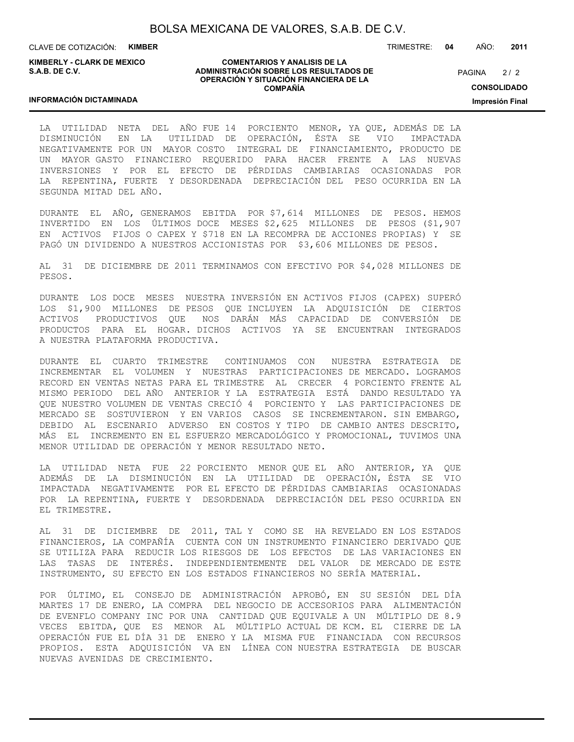CLAVE DE COTIZACIÓN: **KIMBER**

**KIMBERLY - CLARK DE MEXICO S.A.B. DE C.V.**

#### **COMENTARIOS Y ANALISIS DE LA ADMINISTRACIÓN SOBRE LOS RESULTADOS DE OPERACIÓN Y SITUACIÓN FINANCIERA DE LA COMPAÑÍA**

 $2/2$ **CONSOLIDADO** PAGINA

**Impresión Final**

### **INFORMACIÓN DICTAMINADA**

LA UTILIDAD NETA DEL AÑO FUE 14 PORCIENTO MENOR, YA QUE, ADEMÁS DE LA DISMINUCIÓN EN LA UTILIDAD DE OPERACIÓN, ÉSTA SE VIO IMPACTADA NEGATIVAMENTE POR UN MAYOR COSTO INTEGRAL DE FINANCIAMIENTO, PRODUCTO DE UN MAYOR GASTO FINANCIERO REQUERIDO PARA HACER FRENTE A LAS NUEVAS INVERSIONES Y POR EL EFECTO DE PÉRDIDAS CAMBIARIAS OCASIONADAS POR LA REPENTINA, FUERTE Y DESORDENADA DEPRECIACIÓN DEL PESO OCURRIDA EN LA SEGUNDA MITAD DEL AÑO.

DURANTE EL AÑO, GENERAMOS EBITDA POR \$7,614 MILLONES DE PESOS. HEMOS INVERTIDO EN LOS ÚLTIMOS DOCE MESES \$2,625 MILLONES DE PESOS (\$1,907 EN ACTIVOS FIJOS O CAPEX Y \$718 EN LA RECOMPRA DE ACCIONES PROPIAS) Y SE PAGÓ UN DIVIDENDO A NUESTROS ACCIONISTAS POR \$3,606 MILLONES DE PESOS.

AL 31 DE DICIEMBRE DE 2011 TERMINAMOS CON EFECTIVO POR \$4,028 MILLONES DE PESOS.

DURANTE LOS DOCE MESES NUESTRA INVERSIÓN EN ACTIVOS FIJOS (CAPEX) SUPERÓ LOS \$1,900 MILLONES DE PESOS QUE INCLUYEN LA ADQUISICIÓN DE CIERTOS ACTIVOS PRODUCTIVOS QUE NOS DARÁN MÁS CAPACIDAD DE CONVERSIÓN DE PRODUCTOS PARA EL HOGAR. DICHOS ACTIVOS YA SE ENCUENTRAN INTEGRADOS A NUESTRA PLATAFORMA PRODUCTIVA.

DURANTE EL CUARTO TRIMESTRE CONTINUAMOS CON NUESTRA ESTRATEGIA DE INCREMENTAR EL VOLUMEN Y NUESTRAS PARTICIPACIONES DE MERCADO. LOGRAMOS RECORD EN VENTAS NETAS PARA EL TRIMESTRE AL CRECER 4 PORCIENTO FRENTE AL MISMO PERIODO DEL AÑO ANTERIOR Y LA ESTRATEGIA ESTÁ DANDO RESULTADO YA QUE NUESTRO VOLUMEN DE VENTAS CRECIÓ 4 PORCIENTO Y LAS PARTICIPACIONES DE MERCADO SE SOSTUVIERON Y EN VARIOS CASOS SE INCREMENTARON. SIN EMBARGO, DEBIDO AL ESCENARIO ADVERSO EN COSTOS Y TIPO DE CAMBIO ANTES DESCRITO, MÁS EL INCREMENTO EN EL ESFUERZO MERCADOLÓGICO Y PROMOCIONAL, TUVIMOS UNA MENOR UTILIDAD DE OPERACIÓN Y MENOR RESULTADO NETO.

LA UTILIDAD NETA FUE 22 PORCIENTO MENOR QUE EL AÑO ANTERIOR, YA QUE ADEMÁS DE LA DISMINUCIÓN EN LA UTILIDAD DE OPERACIÓN, ÉSTA SE VIO IMPACTADA NEGATIVAMENTE POR EL EFECTO DE PÉRDIDAS CAMBIARIAS OCASIONADAS POR LA REPENTINA, FUERTE Y DESORDENADA DEPRECIACIÓN DEL PESO OCURRIDA EN EL TRIMESTRE.

AL 31 DE DICIEMBRE DE 2011, TAL Y COMO SE HA REVELADO EN LOS ESTADOS FINANCIEROS, LA COMPAÑÍA CUENTA CON UN INSTRUMENTO FINANCIERO DERIVADO QUE SE UTILIZA PARA REDUCIR LOS RIESGOS DE LOS EFECTOS DE LAS VARIACIONES EN LAS TASAS DE INTERÉS. INDEPENDIENTEMENTE DEL VALOR DE MERCADO DE ESTE INSTRUMENTO, SU EFECTO EN LOS ESTADOS FINANCIEROS NO SERÍA MATERIAL.

POR ÚLTIMO, EL CONSEJO DE ADMINISTRACIÓN APROBÓ, EN SU SESIÓN DEL DÍA MARTES 17 DE ENERO, LA COMPRA DEL NEGOCIO DE ACCESORIOS PARA ALIMENTACIÓN DE EVENFLO COMPANY INC POR UNA CANTIDAD QUE EQUIVALE A UN MÚLTIPLO DE 8.9 VECES EBITDA, QUE ES MENOR AL MÚLTIPLO ACTUAL DE KCM. EL CIERRE DE LA OPERACIÓN FUE EL DÍA 31 DE ENERO Y LA MISMA FUE FINANCIADA CON RECURSOS PROPIOS. ESTA ADQUISICIÓN VA EN LÍNEA CON NUESTRA ESTRATEGIA DE BUSCAR NUEVAS AVENIDAS DE CRECIMIENTO.

TRIMESTRE: **04** AÑO: **2011**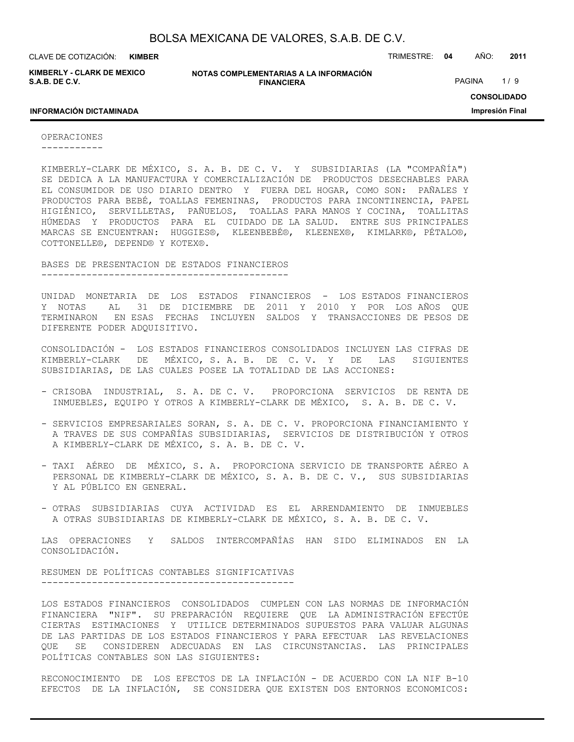**KIMBER**

**KIMBERLY - CLARK DE MEXICO S.A.B. DE C.V.**

**NOTAS COMPLEMENTARIAS A LA INFORMACIÓN FINANCIERA**

CLAVE DE COTIZACIÓN: TRIMESTRE: **04** AÑO: **2011**

PAGINA 1/9

**CONSOLIDADO Impresión Final**

### **INFORMACIÓN DICTAMINADA**

OPERACIONES

-----------

KIMBERLY-CLARK DE MÉXICO, S. A. B. DE C. V. Y SUBSIDIARIAS (LA "COMPAÑÍA") SE DEDICA A LA MANUFACTURA Y COMERCIALIZACIÓN DE PRODUCTOS DESECHABLES PARA EL CONSUMIDOR DE USO DIARIO DENTRO Y FUERA DEL HOGAR, COMO SON: PAÑALES Y PRODUCTOS PARA BEBÉ, TOALLAS FEMENINAS, PRODUCTOS PARA INCONTINENCIA, PAPEL HIGIÉNICO, SERVILLETAS, PAÑUELOS, TOALLAS PARA MANOS Y COCINA, TOALLITAS HÚMEDAS Y PRODUCTOS PARA EL CUIDADO DE LA SALUD. ENTRE SUS PRINCIPALES MARCAS SE ENCUENTRAN: HUGGIES®, KLEENBEBÉ®, KLEENEX®, KIMLARK®, PÉTALO®, COTTONELLE®, DEPEND® Y KOTEX®.

BASES DE PRESENTACION DE ESTADOS FINANCIEROS --------------------------------------------

UNIDAD MONETARIA DE LOS ESTADOS FINANCIEROS - LOS ESTADOS FINANCIEROS Y NOTAS AL 31 DE DICIEMBRE DE 2011 Y 2010 Y POR LOS AÑOS QUE TERMINARON EN ESAS FECHAS INCLUYEN SALDOS Y TRANSACCIONES DE PESOS DE DIFERENTE PODER ADQUISITIVO.

CONSOLIDACIÓN - LOS ESTADOS FINANCIEROS CONSOLIDADOS INCLUYEN LAS CIFRAS DE KIMBERLY-CLARK DE MÉXICO, S. A. B. DE C. V. Y DE LAS SIGUIENTES SUBSIDIARIAS, DE LAS CUALES POSEE LA TOTALIDAD DE LAS ACCIONES:

- CRISOBA INDUSTRIAL, S. A. DE C. V. PROPORCIONA SERVICIOS DE RENTA DE INMUEBLES, EQUIPO Y OTROS A KIMBERLY-CLARK DE MÉXICO, S. A. B. DE C. V.
- SERVICIOS EMPRESARIALES SORAN, S. A. DE C. V. PROPORCIONA FINANCIAMIENTO Y A TRAVES DE SUS COMPAÑÍAS SUBSIDIARIAS, SERVICIOS DE DISTRIBUCIÓN Y OTROS A KIMBERLY-CLARK DE MÉXICO, S. A. B. DE C. V.
- TAXI AÉREO DE MÉXICO, S. A. PROPORCIONA SERVICIO DE TRANSPORTE AÉREO A PERSONAL DE KIMBERLY-CLARK DE MÉXICO, S. A. B. DE C. V., SUS SUBSIDIARIAS Y AL PÚBLICO EN GENERAL.
- OTRAS SUBSIDIARIAS CUYA ACTIVIDAD ES EL ARRENDAMIENTO DE INMUEBLES A OTRAS SUBSIDIARIAS DE KIMBERLY-CLARK DE MÉXICO, S. A. B. DE C. V.

LAS OPERACIONES Y SALDOS INTERCOMPAÑÍAS HAN SIDO ELIMINADOS EN LA CONSOLIDACIÓN.

#### RESUMEN DE POLÍTICAS CONTABLES SIGNIFICATIVAS ---------------------------------------------

LOS ESTADOS FINANCIEROS CONSOLIDADOS CUMPLEN CON LAS NORMAS DE INFORMACIÓN FINANCIERA "NIF". SU PREPARACIÓN REQUIERE QUE LA ADMINISTRACIÓN EFECTÚE CIERTAS ESTIMACIONES Y UTILICE DETERMINADOS SUPUESTOS PARA VALUAR ALGUNAS DE LAS PARTIDAS DE LOS ESTADOS FINANCIEROS Y PARA EFECTUAR LAS REVELACIONES QUE SE CONSIDEREN ADECUADAS EN LAS CIRCUNSTANCIAS. LAS PRINCIPALES POLÍTICAS CONTABLES SON LAS SIGUIENTES:

RECONOCIMIENTO DE LOS EFECTOS DE LA INFLACIÓN - DE ACUERDO CON LA NIF B-10 EFECTOS DE LA INFLACIÓN, SE CONSIDERA QUE EXISTEN DOS ENTORNOS ECONOMICOS: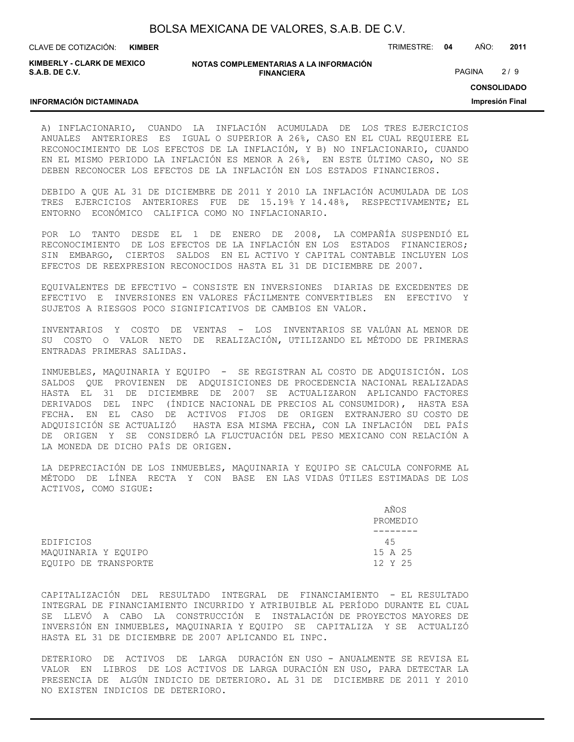| BOLSA MEXICANA DE VALORES, S.A.B. DE C.V. |  |  |  |
|-------------------------------------------|--|--|--|
|-------------------------------------------|--|--|--|

CLAVE DE COTIZACIÓN: TRIMESTRE: **04** AÑO: **2011 KIMBER**

**KIMBERLY - CLARK DE MEXICO S.A.B. DE C.V.**

#### **NOTAS COMPLEMENTARIAS A LA INFORMACIÓN FINANCIERA**

PAGINA 2/9

**CONSOLIDADO**

**Impresión Final**

### **INFORMACIÓN DICTAMINADA**

A) INFLACIONARIO, CUANDO LA INFLACIÓN ACUMULADA DE LOS TRES EJERCICIOS ANUALES ANTERIORES ES IGUAL O SUPERIOR A 26%, CASO EN EL CUAL REQUIERE EL RECONOCIMIENTO DE LOS EFECTOS DE LA INFLACIÓN, Y B) NO INFLACIONARIO, CUANDO EN EL MISMO PERIODO LA INFLACIÓN ES MENOR A 26%, EN ESTE ÚLTIMO CASO, NO SE DEBEN RECONOCER LOS EFECTOS DE LA INFLACIÓN EN LOS ESTADOS FINANCIEROS.

DEBIDO A QUE AL 31 DE DICIEMBRE DE 2011 Y 2010 LA INFLACIÓN ACUMULADA DE LOS TRES EJERCICIOS ANTERIORES FUE DE 15.19% Y 14.48%, RESPECTIVAMENTE; EL ENTORNO ECONÓMICO CALIFICA COMO NO INFLACIONARIO.

POR LO TANTO DESDE EL 1 DE ENERO DE 2008, LA COMPAÑÍA SUSPENDIÓ EL RECONOCIMIENTO DE LOS EFECTOS DE LA INFLACIÓN EN LOS ESTADOS FINANCIEROS; SIN EMBARGO, CIERTOS SALDOS EN EL ACTIVO Y CAPITAL CONTABLE INCLUYEN LOS EFECTOS DE REEXPRESION RECONOCIDOS HASTA EL 31 DE DICIEMBRE DE 2007.

EQUIVALENTES DE EFECTIVO - CONSISTE EN INVERSIONES DIARIAS DE EXCEDENTES DE EFECTIVO E INVERSIONES EN VALORES FÁCILMENTE CONVERTIBLES EN EFECTIVO Y SUJETOS A RIESGOS POCO SIGNIFICATIVOS DE CAMBIOS EN VALOR.

INVENTARIOS Y COSTO DE VENTAS - LOS INVENTARIOS SE VALÚAN AL MENOR DE SU COSTO O VALOR NETO DE REALIZACIÓN, UTILIZANDO EL MÉTODO DE PRIMERAS ENTRADAS PRIMERAS SALIDAS.

INMUEBLES, MAQUINARIA Y EQUIPO - SE REGISTRAN AL COSTO DE ADQUISICIÓN. LOS SALDOS QUE PROVIENEN DE ADQUISICIONES DE PROCEDENCIA NACIONAL REALIZADAS HASTA EL 31 DE DICIEMBRE DE 2007 SE ACTUALIZARON APLICANDO FACTORES DERIVADOS DEL INPC (ÍNDICE NACIONAL DE PRECIOS AL CONSUMIDOR), HASTA ESA FECHA. EN EL CASO DE ACTIVOS FIJOS DE ORIGEN EXTRANJERO SU COSTO DE ADQUISICIÓN SE ACTUALIZÓ HASTA ESA MISMA FECHA, CON LA INFLACIÓN DEL PAÍS DE ORIGEN Y SE CONSIDERÓ LA FLUCTUACIÓN DEL PESO MEXICANO CON RELACIÓN A LA MONEDA DE DICHO PAÍS DE ORIGEN.

LA DEPRECIACIÓN DE LOS INMUEBLES, MAQUINARIA Y EQUIPO SE CALCULA CONFORME AL MÉTODO DE LÍNEA RECTA Y CON BASE EN LAS VIDAS ÚTILES ESTIMADAS DE LOS ACTIVOS, COMO SIGUE:

|                      | AÑOS<br>PROMEDIO |
|----------------------|------------------|
|                      |                  |
| EDIFICIOS            | 45               |
| MAQUINARIA Y EQUIPO  | 15 A 25          |
| EOUIPO DE TRANSPORTE | 12 Y 25          |

CAPITALIZACIÓN DEL RESULTADO INTEGRAL DE FINANCIAMIENTO - EL RESULTADO INTEGRAL DE FINANCIAMIENTO INCURRIDO Y ATRIBUIBLE AL PERÍODO DURANTE EL CUAL SE LLEVÓ A CABO LA CONSTRUCCIÓN E INSTALACIÓN DE PROYECTOS MAYORES DE INVERSIÓN EN INMUEBLES, MAQUINARIA Y EQUIPO SE CAPITALIZA Y SE ACTUALIZÓ HASTA EL 31 DE DICIEMBRE DE 2007 APLICANDO EL INPC.

DETERIORO DE ACTIVOS DE LARGA DURACIÓN EN USO - ANUALMENTE SE REVISA EL VALOR EN LIBROS DE LOS ACTIVOS DE LARGA DURACIÓN EN USO, PARA DETECTAR LA PRESENCIA DE ALGÚN INDICIO DE DETERIORO. AL 31 DE DICIEMBRE DE 2011 Y 2010 NO EXISTEN INDICIOS DE DETERIORO.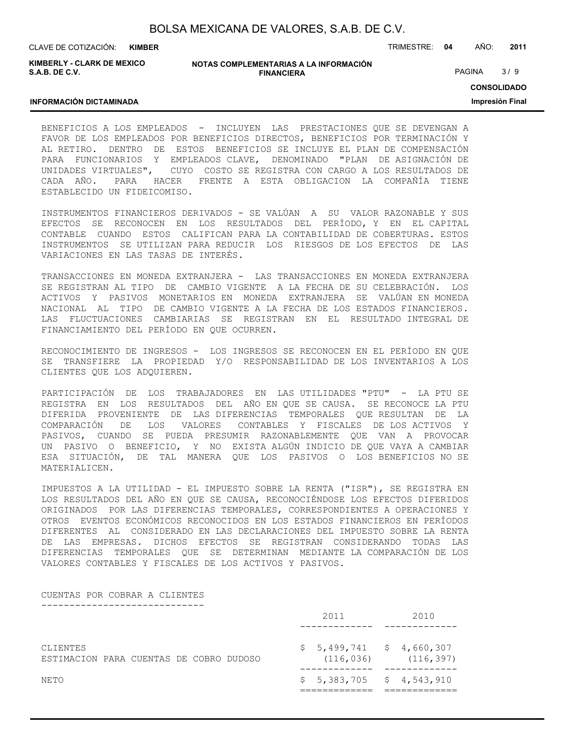| BOLSA MEXICANA DE VALORES, S.A.B. DE C.V. |  |  |
|-------------------------------------------|--|--|
|                                           |  |  |

CLAVE DE COTIZACIÓN: TRIMESTRE: **04** AÑO: **2011 KIMBER**

**KIMBERLY - CLARK DE MEXICO S.A.B. DE C.V.**

#### **NOTAS COMPLEMENTARIAS A LA INFORMACIÓN FINANCIERA**

PAGINA 3/9

**CONSOLIDADO**

**Impresión Final**

## **INFORMACIÓN DICTAMINADA**

BENEFICIOS A LOS EMPLEADOS - INCLUYEN LAS PRESTACIONES QUE SE DEVENGAN A FAVOR DE LOS EMPLEADOS POR BENEFICIOS DIRECTOS, BENEFICIOS POR TERMINACIÓN Y AL RETIRO. DENTRO DE ESTOS BENEFICIOS SE INCLUYE EL PLAN DE COMPENSACIÓN PARA FUNCIONARIOS Y EMPLEADOS CLAVE, DENOMINADO "PLAN DE ASIGNACIÓN DE UNIDADES VIRTUALES", CUYO COSTO SE REGISTRA CON CARGO A LOS RESULTADOS DE CADA AÑO. PARA HACER FRENTE A ESTA OBLIGACION LA COMPAÑÍA TIENE ESTABLECIDO UN FIDEICOMISO.

INSTRUMENTOS FINANCIEROS DERIVADOS - SE VALÚAN A SU VALOR RAZONABLE Y SUS EFECTOS SE RECONOCEN EN LOS RESULTADOS DEL PERÍODO, Y EN EL CAPITAL CONTABLE CUANDO ESTOS CALIFICAN PARA LA CONTABILIDAD DE COBERTURAS. ESTOS INSTRUMENTOS SE UTILIZAN PARA REDUCIR LOS RIESGOS DE LOS EFECTOS DE LAS VARIACIONES EN LAS TASAS DE INTERÉS.

TRANSACCIONES EN MONEDA EXTRANJERA - LAS TRANSACCIONES EN MONEDA EXTRANJERA SE REGISTRAN AL TIPO DE CAMBIO VIGENTE A LA FECHA DE SU CELEBRACIÓN. LOS ACTIVOS Y PASIVOS MONETARIOS EN MONEDA EXTRANJERA SE VALÚAN EN MONEDA NACIONAL AL TIPO DE CAMBIO VIGENTE A LA FECHA DE LOS ESTADOS FINANCIEROS. LAS FLUCTUACIONES CAMBIARIAS SE REGISTRAN EN EL RESULTADO INTEGRAL DE FINANCIAMIENTO DEL PERÍODO EN QUE OCURREN.

RECONOCIMIENTO DE INGRESOS - LOS INGRESOS SE RECONOCEN EN EL PERÍODO EN QUE SE TRANSFIERE LA PROPIEDAD Y/O RESPONSABILIDAD DE LOS INVENTARIOS A LOS CLIENTES QUE LOS ADQUIEREN.

PARTICIPACIÓN DE LOS TRABAJADORES EN LAS UTILIDADES "PTU" - LA PTU SE REGISTRA EN LOS RESULTADOS DEL AÑO EN QUE SE CAUSA. SE RECONOCE LA PTU DIFERIDA PROVENIENTE DE LAS DIFERENCIAS TEMPORALES QUE RESULTAN DE LA COMPARACIÓN DE LOS VALORES CONTABLES Y FISCALES DE LOS ACTIVOS Y PASIVOS, CUANDO SE PUEDA PRESUMIR RAZONABLEMENTE QUE VAN A PROVOCAR UN PASIVO O BENEFICIO, Y NO EXISTA ALGÚN INDICIO DE QUE VAYA A CAMBIAR ESA SITUACIÓN, DE TAL MANERA QUE LOS PASIVOS O LOS BENEFICIOS NO SE MATERIALICEN.

IMPUESTOS A LA UTILIDAD - EL IMPUESTO SOBRE LA RENTA ("ISR"), SE REGISTRA EN LOS RESULTADOS DEL AÑO EN QUE SE CAUSA, RECONOCIÉNDOSE LOS EFECTOS DIFERIDOS ORIGINADOS POR LAS DIFERENCIAS TEMPORALES, CORRESPONDIENTES A OPERACIONES Y OTROS EVENTOS ECONÓMICOS RECONOCIDOS EN LOS ESTADOS FINANCIEROS EN PERÍODOS DIFERENTES AL CONSIDERADO EN LAS DECLARACIONES DEL IMPUESTO SOBRE LA RENTA DE LAS EMPRESAS. DICHOS EFECTOS SE REGISTRAN CONSIDERANDO TODAS LAS DIFERENCIAS TEMPORALES QUE SE DETERMINAN MEDIANTE LA COMPARACIÓN DE LOS VALORES CONTABLES Y FISCALES DE LOS ACTIVOS Y PASIVOS.

#### CUENTAS POR COBRAR A CLIENTES -----------------------------

|                                                     |  |  |  | 2011                                    |  | 2010       |  |
|-----------------------------------------------------|--|--|--|-----------------------------------------|--|------------|--|
| CLIENTES<br>ESTIMACION PARA CUENTAS DE COBRO DUDOSO |  |  |  | $$5,499,741$ $$4,660,307$<br>(116, 036) |  | (116, 397) |  |
| NETO                                                |  |  |  | $$5,383,705$ $$4,543,910$               |  |            |  |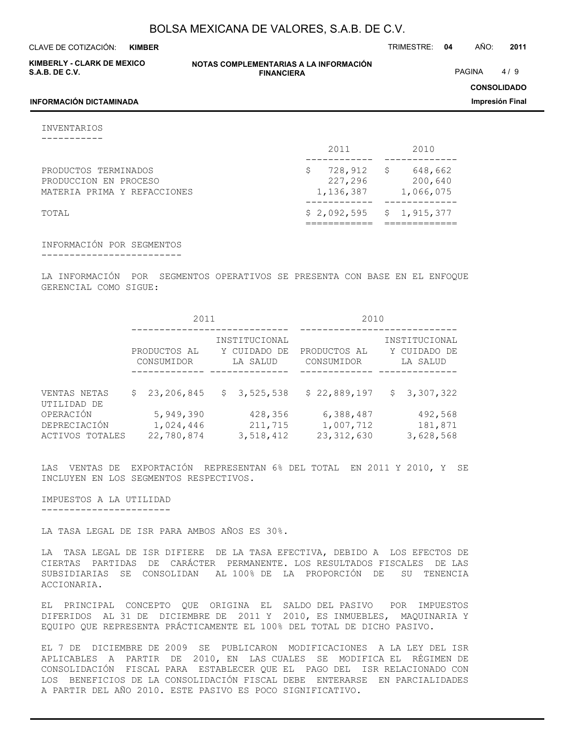**KIMBER**

CLAVE DE COTIZACIÓN: TRIMESTRE: **04** AÑO: **2011**

**KIMBERLY - CLARK DE MEXICO S.A.B. DE C.V.**

**NOTAS COMPLEMENTARIAS A LA INFORMACIÓN FINANCIERA**

PAGINA 4/9

**CONSOLIDADO**

**Impresión Final**

### **INFORMACIÓN DICTAMINADA**

INVENTARIOS

-----------

|                                                                              | 2011                            | 2010                                 |
|------------------------------------------------------------------------------|---------------------------------|--------------------------------------|
| PRODUCTOS TERMINADOS<br>PRODUCCION EN PROCESO<br>MATERIA PRIMA Y REFACCIONES | 728,912<br>227,296<br>1,136,387 | 648,662<br>S<br>200,640<br>1,066,075 |
| TOTAL                                                                        | \$2,092,595                     | \$1,915,377                          |

INFORMACIÓN POR SEGMENTOS

-------------------------

LA INFORMACIÓN POR SEGMENTOS OPERATIVOS SE PRESENTA CON BASE EN EL ENFOQUE GERENCIAL COMO SIGUE:

|                                              | 2011                       |                                      |                                           |                                 | 2010                       |                                        |                                           |                                 |
|----------------------------------------------|----------------------------|--------------------------------------|-------------------------------------------|---------------------------------|----------------------------|----------------------------------------|-------------------------------------------|---------------------------------|
|                                              | PRODUCTOS AL<br>CONSUMIDOR |                                      | INSTITUCIONAL<br>Y CUIDADO DE<br>LA SALUD |                                 | PRODUCTOS AL<br>CONSUMIDOR |                                        | INSTITUCIONAL<br>Y CUIDADO DE<br>LA SALUD |                                 |
| VENTAS NETAS<br>UTILIDAD DE                  | S.                         | 23,206,845                           |                                           | \$3,525,538                     |                            | \$22,889,197                           |                                           | \$3,307,322                     |
| OPERACIÓN<br>DEPRECIACIÓN<br>ACTIVOS TOTALES |                            | 5,949,390<br>1,024,446<br>22,780,874 |                                           | 428,356<br>211,715<br>3,518,412 |                            | 6,388,487<br>1,007,712<br>23, 312, 630 |                                           | 492,568<br>181,871<br>3,628,568 |

LAS VENTAS DE EXPORTACIÓN REPRESENTAN 6% DEL TOTAL EN 2011 Y 2010, Y SE INCLUYEN EN LOS SEGMENTOS RESPECTIVOS.

IMPUESTOS A LA UTILIDAD -----------------------

LA TASA LEGAL DE ISR PARA AMBOS AÑOS ES 30%.

LA TASA LEGAL DE ISR DIFIERE DE LA TASA EFECTIVA, DEBIDO A LOS EFECTOS DE CIERTAS PARTIDAS DE CARÁCTER PERMANENTE. LOS RESULTADOS FISCALES DE LAS SUBSIDIARIAS SE CONSOLIDAN AL 100% DE LA PROPORCIÓN DE SU TENENCIA ACCIONARIA.

EL PRINCIPAL CONCEPTO QUE ORIGINA EL SALDO DEL PASIVO POR IMPUESTOS DIFERIDOS AL 31 DE DICIEMBRE DE 2011 Y 2010, ES INMUEBLES, MAQUINARIA Y EQUIPO QUE REPRESENTA PRÁCTICAMENTE EL 100% DEL TOTAL DE DICHO PASIVO.

EL 7 DE DICIEMBRE DE 2009 SE PUBLICARON MODIFICACIONES A LA LEY DEL ISR APLICABLES A PARTIR DE 2010, EN LAS CUALES SE MODIFICA EL RÉGIMEN DE CONSOLIDACIÓN FISCAL PARA ESTABLECER QUE EL PAGO DEL ISR RELACIONADO CON LOS BENEFICIOS DE LA CONSOLIDACIÓN FISCAL DEBE ENTERARSE EN PARCIALIDADES A PARTIR DEL AÑO 2010. ESTE PASIVO ES POCO SIGNIFICATIVO.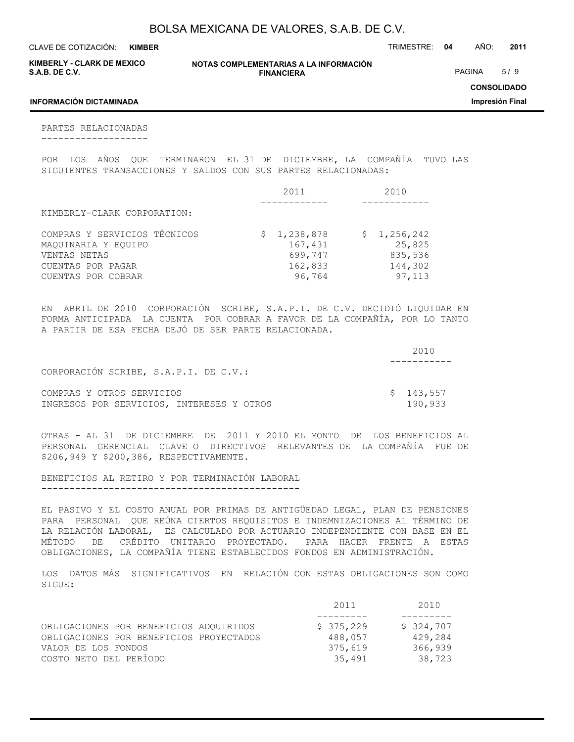CLAVE DE COTIZACIÓN: TRIMESTRE: **04** AÑO: **2011 KIMBER**

| <b>KIMBERLY - CLARK DE MEXICO</b> |  |
|-----------------------------------|--|
| S.A.B. DE C.V.                    |  |

**NOTAS COMPLEMENTARIAS A LA INFORMACIÓN FINANCIERA**

PAGINA 5/9

**CONSOLIDADO**

**Impresión Final**

### **INFORMACIÓN DICTAMINADA**

PARTES RELACIONADAS -------------------

POR LOS AÑOS QUE TERMINARON EL 31 DE DICIEMBRE, LA COMPAÑÍA TUVO LAS SIGUIENTES TRANSACCIONES Y SALDOS CON SUS PARTES RELACIONADAS:

|                                     | 2011               | 2010              |
|-------------------------------------|--------------------|-------------------|
| KIMBERLY-CLARK CORPORATION:         |                    |                   |
|                                     |                    |                   |
| COMPRAS Y SERVICIOS TÉCNICOS        | \$1,238,878        | \$1,256,242       |
| MAOUINARIA Y EOUIPO<br>VENTAS NETAS | 167,431<br>699,747 | 25,825<br>835,536 |
| CUENTAS POR PAGAR                   | 162,833            | 144,302           |
| CUENTAS POR COBRAR                  | 96,764             | 97,113            |

EN ABRIL DE 2010 CORPORACIÓN SCRIBE, S.A.P.I. DE C.V. DECIDIÓ LIQUIDAR EN FORMA ANTICIPADA LA CUENTA POR COBRAR A FAVOR DE LA COMPAÑÍA, POR LO TANTO A PARTIR DE ESA FECHA DEJÓ DE SER PARTE RELACIONADA.

|                                           | 2010      |
|-------------------------------------------|-----------|
|                                           |           |
| CORPORACIÓN SCRIBE, S.A.P.I. DE C.V.:     |           |
| COMPRAS Y OTROS SERVICIOS                 | \$143,557 |
| INGRESOS POR SERVICIOS, INTERESES Y OTROS | 190,933   |

OTRAS - AL 31 DE DICIEMBRE DE 2011 Y 2010 EL MONTO DE LOS BENEFICIOS AL PERSONAL GERENCIAL CLAVE O DIRECTIVOS RELEVANTES DE LA COMPAÑÍA FUE DE \$206,949 Y \$200,386, RESPECTIVAMENTE.

BENEFICIOS AL RETIRO Y POR TERMINACIÓN LABORAL ----------------------------------------------

EL PASIVO Y EL COSTO ANUAL POR PRIMAS DE ANTIGÜEDAD LEGAL, PLAN DE PENSIONES PARA PERSONAL QUE REÚNA CIERTOS REQUISITOS E INDEMNIZACIONES AL TÉRMINO DE LA RELACIÓN LABORAL, ES CALCULADO POR ACTUARIO INDEPENDIENTE CON BASE EN EL MÉTODO DE CRÉDITO UNITARIO PROYECTADO. PARA HACER FRENTE A ESTAS OBLIGACIONES, LA COMPAÑÍA TIENE ESTABLECIDOS FONDOS EN ADMINISTRACIÓN.

LOS DATOS MÁS SIGNIFICATIVOS EN RELACIÓN CON ESTAS OBLIGACIONES SON COMO SIGUE:

|                                         | 2011      | 2010      |
|-----------------------------------------|-----------|-----------|
|                                         |           |           |
| OBLIGACIONES POR BENEFICIOS ADOUIRIDOS  | \$375,229 | \$324,707 |
| OBLIGACIONES POR BENEFICIOS PROYECTADOS | 488,057   | 429,284   |
| VALOR DE LOS FONDOS                     | 375,619   | 366,939   |
| COSTO NETO DEL PERÍODO                  | 35,491    | 38,723    |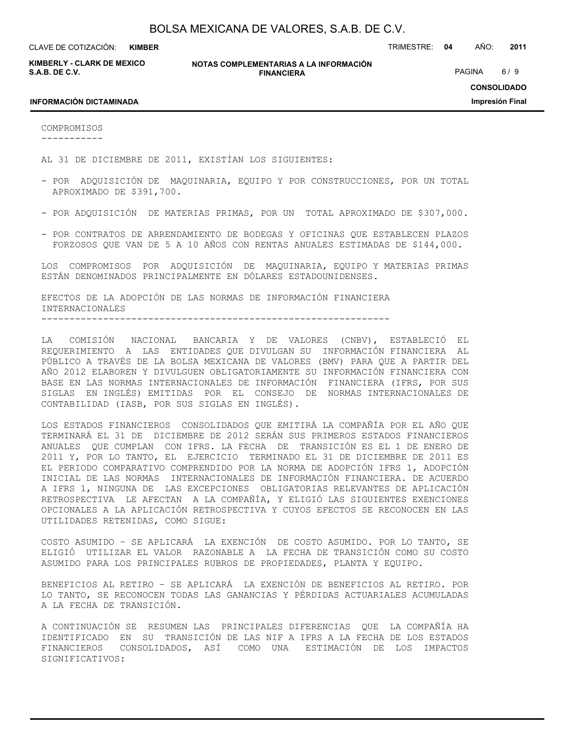**KIMBER**

CLAVE DE COTIZACIÓN: TRIMESTRE: **04** AÑO: **2011**

**KIMBERLY - CLARK DE MEXICO S.A.B. DE C.V.**

**NOTAS COMPLEMENTARIAS A LA INFORMACIÓN FINANCIERA**

PAGINA 6/9

### **INFORMACIÓN DICTAMINADA**

**CONSOLIDADO**

**Impresión Final**

COMPROMISOS -----------

AL 31 DE DICIEMBRE DE 2011, EXISTÍAN LOS SIGUIENTES:

- POR ADQUISICIÓN DE MAQUINARIA, EQUIPO Y POR CONSTRUCCIONES, POR UN TOTAL APROXIMADO DE \$391,700.
- POR ADQUISICIÓN DE MATERIAS PRIMAS, POR UN TOTAL APROXIMADO DE \$307,000.
- POR CONTRATOS DE ARRENDAMIENTO DE BODEGAS Y OFICINAS QUE ESTABLECEN PLAZOS FORZOSOS QUE VAN DE 5 A 10 AÑOS CON RENTAS ANUALES ESTIMADAS DE \$144,000.

LOS COMPROMISOS POR ADQUISICIÓN DE MAQUINARIA, EQUIPO Y MATERIAS PRIMAS ESTÁN DENOMINADOS PRINCIPALMENTE EN DÓLARES ESTADOUNIDENSES.

EFECTOS DE LA ADOPCIÓN DE LAS NORMAS DE INFORMACIÓN FINANCIERA INTERNACIONALES --------------------------------------------------------------

LA COMISIÓN NACIONAL BANCARIA Y DE VALORES (CNBV), ESTABLECIÓ EL REQUERIMIENTO A LAS ENTIDADES QUE DIVULGAN SU INFORMACIÓN FINANCIERA AL PÚBLICO A TRAVÉS DE LA BOLSA MEXICANA DE VALORES (BMV) PARA QUE A PARTIR DEL AÑO 2012 ELABOREN Y DIVULGUEN OBLIGATORIAMENTE SU INFORMACIÓN FINANCIERA CON BASE EN LAS NORMAS INTERNACIONALES DE INFORMACIÓN FINANCIERA (IFRS, POR SUS SIGLAS EN INGLÉS) EMITIDAS POR EL CONSEJO DE NORMAS INTERNACIONALES DE CONTABILIDAD (IASB, POR SUS SIGLAS EN INGLÉS).

LOS ESTADOS FINANCIEROS CONSOLIDADOS QUE EMITIRÁ LA COMPAÑÍA POR EL AÑO QUE TERMINARÁ EL 31 DE DICIEMBRE DE 2012 SERÁN SUS PRIMEROS ESTADOS FINANCIEROS ANUALES QUE CUMPLAN CON IFRS. LA FECHA DE TRANSICIÓN ES EL 1 DE ENERO DE 2011 Y, POR LO TANTO, EL EJERCICIO TERMINADO EL 31 DE DICIEMBRE DE 2011 ES EL PERIODO COMPARATIVO COMPRENDIDO POR LA NORMA DE ADOPCIÓN IFRS 1, ADOPCIÓN INICIAL DE LAS NORMAS INTERNACIONALES DE INFORMACIÓN FINANCIERA. DE ACUERDO A IFRS 1, NINGUNA DE LAS EXCEPCIONES OBLIGATORIAS RELEVANTES DE APLICACIÓN RETROSPECTIVA LE AFECTAN A LA COMPAÑÍA, Y ELIGIÓ LAS SIGUIENTES EXENCIONES OPCIONALES A LA APLICACIÓN RETROSPECTIVA Y CUYOS EFECTOS SE RECONOCEN EN LAS UTILIDADES RETENIDAS, COMO SIGUE:

COSTO ASUMIDO – SE APLICARÁ LA EXENCIÓN DE COSTO ASUMIDO. POR LO TANTO, SE ELIGIÓ UTILIZAR EL VALOR RAZONABLE A LA FECHA DE TRANSICIÓN COMO SU COSTO ASUMIDO PARA LOS PRINCIPALES RUBROS DE PROPIEDADES, PLANTA Y EQUIPO.

BENEFICIOS AL RETIRO – SE APLICARÁ LA EXENCIÓN DE BENEFICIOS AL RETIRO. POR LO TANTO, SE RECONOCEN TODAS LAS GANANCIAS Y PÉRDIDAS ACTUARIALES ACUMULADAS A LA FECHA DE TRANSICIÓN.

A CONTINUACIÓN SE RESUMEN LAS PRINCIPALES DIFERENCIAS QUE LA COMPAÑÍA HA IDENTIFICADO EN SU TRANSICIÓN DE LAS NIF A IFRS A LA FECHA DE LOS ESTADOS FINANCIEROS CONSOLIDADOS, ASÍ COMO UNA ESTIMACIÓN DE LOS IMPACTOS SIGNIFICATIVOS: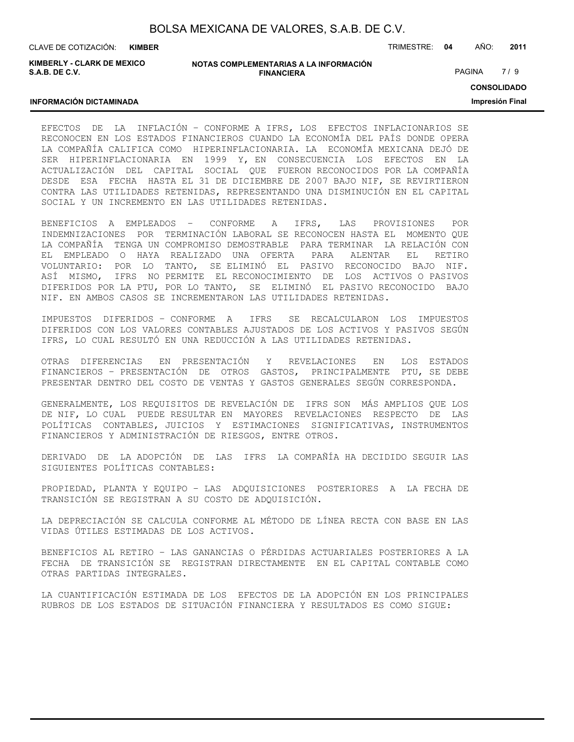| BOLSA MEXICANA DE VALORES, S.A.B. DE C.V. |  |  |
|-------------------------------------------|--|--|
|-------------------------------------------|--|--|

CLAVE DE COTIZACIÓN: TRIMESTRE: **04** AÑO: **2011 KIMBER**

**KIMBERLY - CLARK DE MEXICO S.A.B. DE C.V.**

**INFORMACIÓN DICTAMINADA**

### **NOTAS COMPLEMENTARIAS A LA INFORMACIÓN FINANCIERA**

PAGINA 7/9

**CONSOLIDADO**

**Impresión Final**

# EFECTOS DE LA INFLACIÓN – CONFORME A IFRS, LOS EFECTOS INFLACIONARIOS SE RECONOCEN EN LOS ESTADOS FINANCIEROS CUANDO LA ECONOMÍA DEL PAÍS DONDE OPERA LA COMPAÑÍA CALIFICA COMO HIPERINFLACIONARIA. LA ECONOMÍA MEXICANA DEJÓ DE SER HIPERINFLACIONARIA EN 1999 Y, EN CONSECUENCIA LOS EFECTOS EN LA ACTUALIZACIÓN DEL CAPITAL SOCIAL QUE FUERON RECONOCIDOS POR LA COMPAÑÍA DESDE ESA FECHA HASTA EL 31 DE DICIEMBRE DE 2007 BAJO NIF, SE REVIRTIERON CONTRA LAS UTILIDADES RETENIDAS, REPRESENTANDO UNA DISMINUCIÓN EN EL CAPITAL SOCIAL Y UN INCREMENTO EN LAS UTILIDADES RETENIDAS.

BENEFICIOS A EMPLEADOS – CONFORME A IFRS, LAS PROVISIONES POR INDEMNIZACIONES POR TERMINACIÓN LABORAL SE RECONOCEN HASTA EL MOMENTO QUE LA COMPAÑÍA TENGA UN COMPROMISO DEMOSTRABLE PARA TERMINAR LA RELACIÓN CON EL EMPLEADO O HAYA REALIZADO UNA OFERTA PARA ALENTAR EL RETIRO VOLUNTARIO: POR LO TANTO, SE ELIMINÓ EL PASIVO RECONOCIDO BAJO NIF. ASÍ MISMO, IFRS NO PERMITE EL RECONOCIMIENTO DE LOS ACTIVOS O PASIVOS DIFERIDOS POR LA PTU, POR LO TANTO, SE ELIMINÓ EL PASIVO RECONOCIDO BAJO NIF. EN AMBOS CASOS SE INCREMENTARON LAS UTILIDADES RETENIDAS.

IMPUESTOS DIFERIDOS – CONFORME A IFRS SE RECALCULARON LOS IMPUESTOS DIFERIDOS CON LOS VALORES CONTABLES AJUSTADOS DE LOS ACTIVOS Y PASIVOS SEGÚN IFRS, LO CUAL RESULTÓ EN UNA REDUCCIÓN A LAS UTILIDADES RETENIDAS.

OTRAS DIFERENCIAS EN PRESENTACIÓN Y REVELACIONES EN LOS ESTADOS FINANCIEROS – PRESENTACIÓN DE OTROS GASTOS, PRINCIPALMENTE PTU, SE DEBE PRESENTAR DENTRO DEL COSTO DE VENTAS Y GASTOS GENERALES SEGÚN CORRESPONDA.

GENERALMENTE, LOS REQUISITOS DE REVELACIÓN DE IFRS SON MÁS AMPLIOS QUE LOS DE NIF, LO CUAL PUEDE RESULTAR EN MAYORES REVELACIONES RESPECTO DE LAS POLÍTICAS CONTABLES, JUICIOS Y ESTIMACIONES SIGNIFICATIVAS, INSTRUMENTOS FINANCIEROS Y ADMINISTRACIÓN DE RIESGOS, ENTRE OTROS.

DERIVADO DE LA ADOPCIÓN DE LAS IFRS LA COMPAÑÍA HA DECIDIDO SEGUIR LAS SIGUIENTES POLÍTICAS CONTABLES:

PROPIEDAD, PLANTA Y EQUIPO – LAS ADQUISICIONES POSTERIORES A LA FECHA DE TRANSICIÓN SE REGISTRAN A SU COSTO DE ADQUISICIÓN.

LA DEPRECIACIÓN SE CALCULA CONFORME AL MÉTODO DE LÍNEA RECTA CON BASE EN LAS VIDAS ÚTILES ESTIMADAS DE LOS ACTIVOS.

BENEFICIOS AL RETIRO – LAS GANANCIAS O PÉRDIDAS ACTUARIALES POSTERIORES A LA FECHA DE TRANSICIÓN SE REGISTRAN DIRECTAMENTE EN EL CAPITAL CONTABLE COMO OTRAS PARTIDAS INTEGRALES.

LA CUANTIFICACIÓN ESTIMADA DE LOS EFECTOS DE LA ADOPCIÓN EN LOS PRINCIPALES RUBROS DE LOS ESTADOS DE SITUACIÓN FINANCIERA Y RESULTADOS ES COMO SIGUE: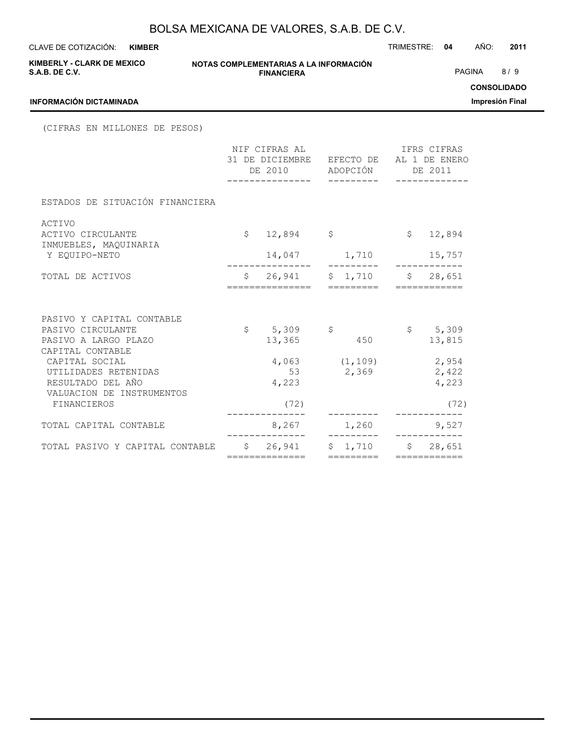**KIMBER**

CLAVE DE COTIZACIÓN: TRIMESTRE: **04** AÑO: **2011**

| <b>KIMBERLY - CLARK DE MEXICO</b><br><b>S.A.B. DE C.V.</b>    |  | NOTAS COMPLEMENTARIAS A LA INFORMACIÓN<br><b>FINANCIERA</b>                          |               |              | PAGINA 8/9        |                                       |
|---------------------------------------------------------------|--|--------------------------------------------------------------------------------------|---------------|--------------|-------------------|---------------------------------------|
| <b>INFORMACIÓN DICTAMINADA</b>                                |  |                                                                                      |               |              |                   | <b>CONSOLIDADO</b><br>Impresión Final |
| (CIFRAS EN MILLONES DE PESOS)                                 |  |                                                                                      |               |              |                   |                                       |
|                                                               |  | NIF CIFRAS AL<br>31 DE DICIEMBRE EFECTO DE AL 1 DE ENERO<br>DE 2010 ADOPCIÓN DE 2011 | IFRS CIFRAS   |              |                   |                                       |
| ESTADOS DE SITUACIÓN FINANCIERA                               |  |                                                                                      |               |              |                   |                                       |
| ACTIVO<br>ACTIVO CIRCULANTE<br>INMUEBLES, MAQUINARIA          |  | $$12,894$ \$                                                                         |               | $\mathsf{S}$ | 12,894            |                                       |
| Y EOUIPO-NETO                                                 |  |                                                                                      |               |              |                   |                                       |
| TOTAL DE ACTIVOS                                              |  | \$ 26,941 \$ 1,710 \$ 28,651                                                         |               |              |                   |                                       |
| PASIVO Y CAPITAL CONTABLE                                     |  |                                                                                      |               |              |                   |                                       |
| PASIVO CIRCULANTE<br>PASIVO A LARGO PLAZO                     |  | $$5,309$ \$<br>13,365 450                                                            |               |              | \$5,309<br>13,815 |                                       |
| CAPITAL CONTABLE                                              |  |                                                                                      |               |              |                   |                                       |
| CAPITAL SOCIAL                                                |  | $4,063$ $(1,109)$ 2,954                                                              |               |              |                   |                                       |
| UTILIDADES RETENIDAS<br>RESULTADO DEL AÑO                     |  | 53 2,369 2,422<br>4,223                                                              |               |              | 4,223             |                                       |
| VALUACION DE INSTRUMENTOS                                     |  |                                                                                      |               |              |                   |                                       |
| FINANCIEROS                                                   |  | (72)                                                                                 | ----------    |              | (72)              |                                       |
| TOTAL CAPITAL CONTABLE                                        |  | 8,267                                                                                | $1,260$ 9,527 |              | ------------      |                                       |
| TOTAL PASIVO Y CAPITAL CONTABLE $$ 26,941 $ 1,710 $ $ 28,651$ |  | ==============                                                                       | =========     |              |                   |                                       |
|                                                               |  |                                                                                      |               |              |                   |                                       |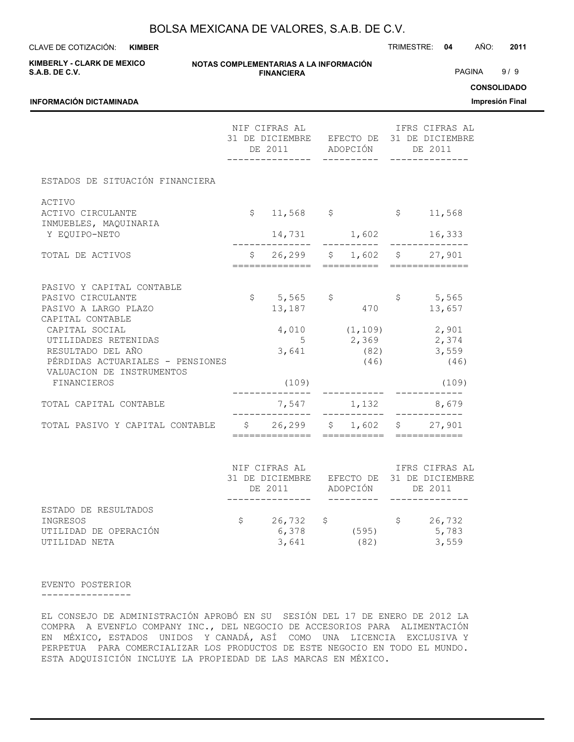**KIMBER**

CLAVE DE COTIZACIÓN: TRIMESTRE: **04** AÑO: **2011**

**CONSOLIDADO Impresión Final**

| <b>KIMBERLY - CLARK DE MEXICO</b><br><b>S.A.B. DE C.V.</b>                                                                                  |  | NOTAS COMPLEMENTARIAS A LA INFORMACIÓN<br><b>FINANCIERA</b>                                                                      |              |                                                              | PAGINA | 9/9<br><b>CONSOLIDAD</b> |
|---------------------------------------------------------------------------------------------------------------------------------------------|--|----------------------------------------------------------------------------------------------------------------------------------|--------------|--------------------------------------------------------------|--------|--------------------------|
| INFORMACIÓN DICTAMINADA                                                                                                                     |  |                                                                                                                                  |              |                                                              |        | Impresión Fin            |
|                                                                                                                                             |  | NIF CIFRAS AL                            IFRS CIFRAS AL<br>31 DE DICIEMBRE EFECTO DE 31 DE DICIEMBRE<br>DE 2011 ADOPCIÓN DE 2011 | -----------  |                                                              |        |                          |
| ESTADOS DE SITUACIÓN FINANCIERA                                                                                                             |  |                                                                                                                                  |              |                                                              |        |                          |
| ACTIVO<br>ACTIVO CIRCULANTE<br>INMUEBLES, MAQUINARIA                                                                                        |  | $$11,568$ $$51,568$                                                                                                              |              |                                                              |        |                          |
| Y EQUIPO-NETO                                                                                                                               |  |                                                                                                                                  |              | 14,731 1,602 16,333                                          |        |                          |
| TOTAL DE ACTIVOS                                                                                                                            |  | $$26,299$ $$1,602$ $$27,901$                                                                                                     |              |                                                              |        |                          |
| PASIVO Y CAPITAL CONTABLE<br>PASIVO CIRCULANTE<br>PASIVO A LARGO PLAZO<br>CAPITAL CONTABLE                                                  |  | $$5,565$ \$<br>13, 187 470                                                                                                       |              | \$5,565<br>13,657                                            |        |                          |
| CAPITAL SOCIAL<br>UTILIDADES RETENIDAS<br>RESULTADO DEL AÑO<br>PÉRDIDAS ACTUARIALES - PENSIONES<br>VALUACION DE INSTRUMENTOS<br>FINANCIEROS |  | 5 <sup>5</sup><br>3,641<br>(109)                                                                                                 | (82)<br>(46) | 4,010 (1,109) 2,901<br>2,369 2,374<br>3,559<br>(46)<br>(109) |        |                          |
| TOTAL CAPITAL CONTABLE                                                                                                                      |  | 7,547 1,132 8,679                                                                                                                |              |                                                              |        |                          |
| TOTAL PASIVO Y CAPITAL CONTABLE $\begin{array}{cccc} \xi & 26,299 & \xi & 1,602 & \xi & 27,901 \end{array}$                                 |  |                                                                                                                                  |              |                                                              |        |                          |
|                                                                                                                                             |  | NIF CIFRAS AL<br>31 BE DICIEMBRE – FEECTO DE 31 BE DICIEMBRE                                                                     |              | IFRS CIFRAS AL                                               |        |                          |

|                       | 31 DE DICIEMBRE<br>DE 2011 |     | ADOPCIÓN | EFECTO DE 31 DE DICIEMBRE<br>DE 2011 |
|-----------------------|----------------------------|-----|----------|--------------------------------------|
|                       |                            |     |          |                                      |
| ESTADO DE RESULTADOS  |                            |     |          |                                      |
| INGRESOS              | 26,732                     | S S |          | 26,732                               |
| UTILIDAD DE OPERACIÓN | 6,378                      |     | (595)    | 5,783                                |
| UTILIDAD NETA         | 3,641                      |     | (82)     | 3,559                                |

### EVENTO POSTERIOR

#### ----------------

EL CONSEJO DE ADMINISTRACIÓN APROBÓ EN SU SESIÓN DEL 17 DE ENERO DE 2012 LA COMPRA A EVENFLO COMPANY INC., DEL NEGOCIO DE ACCESORIOS PARA ALIMENTACIÓN EN MÉXICO, ESTADOS UNIDOS Y CANADÁ, ASÍ COMO UNA LICENCIA EXCLUSIVA Y PERPETUA PARA COMERCIALIZAR LOS PRODUCTOS DE ESTE NEGOCIO EN TODO EL MUNDO. ESTA ADQUISICIÓN INCLUYE LA PROPIEDAD DE LAS MARCAS EN MÉXICO.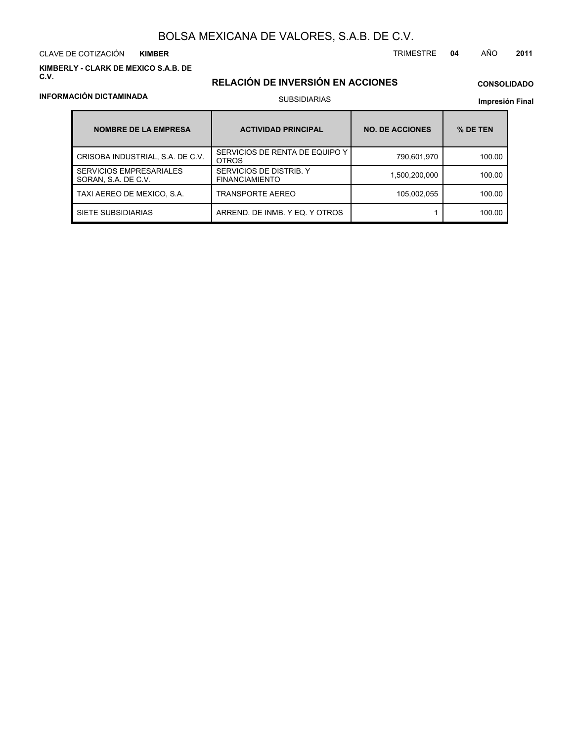CLAVE DE COTIZACIÓN TRIMESTRE **04** AÑO **2011 KIMBER**

**KIMBERLY - CLARK DE MEXICO S.A.B. DE C.V.**

# **RELACIÓN DE INVERSIÓN EN ACCIONES**

# **CONSOLIDADO**

**Impresión Final**

| <b>NOMBRE DE LA EMPRESA</b>                           | <b>ACTIVIDAD PRINCIPAL</b>                       | <b>NO. DE ACCIONES</b> | % DE TEN |
|-------------------------------------------------------|--------------------------------------------------|------------------------|----------|
| CRISOBA INDUSTRIAL, S.A. DE C.V.                      | SERVICIOS DE RENTA DE EQUIPO Y<br><b>OTROS</b>   | 790,601,970            | 100.00   |
| <b>SERVICIOS EMPRESARIALES</b><br>SORAN, S.A. DE C.V. | SERVICIOS DE DISTRIB. Y<br><b>FINANCIAMIENTO</b> | 1,500,200,000          | 100.00   |
| TAXI AEREO DE MEXICO, S.A.                            | <b>TRANSPORTE AEREO</b>                          | 105.002.055            | 100.00   |
| SIETE SUBSIDIARIAS                                    | ARREND. DE INMB. Y EQ. Y OTROS                   |                        | 100.00   |

# **INFORMACIÓN DICTAMINADA**

# SUBSIDIARIAS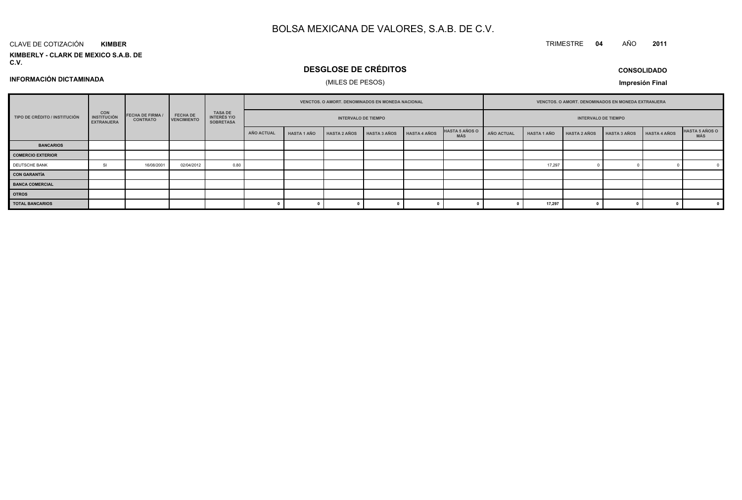#### CLAVE DE COTIZACIÓN**KIMBER**

**KIMBERLY - CLARK DE MEXICO S.A.B. DE C.V.**

# **DESGLOSE DE CRÉDITOS**

**CONSOLIDADO**

**INFORMACIÓN DICTAMINADA**

# (MILES DE PESOS)

**Impresión Final**

|                               |                                                       |                                            |                                       |                                                          |            | VENCTOS. O AMORT. DENOMINADOS EN MONEDA NACIONAL |                            |                     |                     |                              | VENCTOS. O AMORT. DENOMINADOS EN MONEDA EXTRANJERA |                    |                            |                     |                     |                              |
|-------------------------------|-------------------------------------------------------|--------------------------------------------|---------------------------------------|----------------------------------------------------------|------------|--------------------------------------------------|----------------------------|---------------------|---------------------|------------------------------|----------------------------------------------------|--------------------|----------------------------|---------------------|---------------------|------------------------------|
| TIPO DE CRÉDITO / INSTITUCIÓN | <b>CON</b><br><b>INSTITUCIÓN</b><br><b>EXTRANJERA</b> | <b>FECHA DE FIRMA /</b><br><b>CONTRATO</b> | <b>FECHA DE</b><br><b>VENCIMIENTO</b> | <b>TASA DE</b><br><b>INTERÉS Y/O</b><br><b>SOBRETASA</b> |            |                                                  | <b>INTERVALO DE TIEMPO</b> |                     |                     |                              |                                                    |                    | <b>INTERVALO DE TIEMPO</b> |                     |                     |                              |
|                               |                                                       |                                            |                                       |                                                          | AÑO ACTUAL | <b>HASTA 1 AÑO</b>                               | <b>HASTA 2 AÑOS</b>        | <b>HASTA 3 AÑOS</b> | <b>HASTA 4 AÑOS</b> | <b>HASTA 5 AÑOS O</b><br>MÁS | AÑO ACTUAL                                         | <b>HASTA 1 AÑO</b> | <b>HASTA 2 AÑOS</b>        | <b>HASTA 3 AÑOS</b> | <b>HASTA 4 AÑOS</b> | <b>HASTA 5 AÑOS O</b><br>MÁS |
| <b>BANCARIOS</b>              |                                                       |                                            |                                       |                                                          |            |                                                  |                            |                     |                     |                              |                                                    |                    |                            |                     |                     |                              |
| <b>COMERCIO EXTERIOR</b>      |                                                       |                                            |                                       |                                                          |            |                                                  |                            |                     |                     |                              |                                                    |                    |                            |                     |                     |                              |
| DEUTSCHE BANK                 | SI                                                    | 16/08/2001                                 | 02/04/2012                            | 0.80                                                     |            |                                                  |                            |                     |                     |                              |                                                    | 17,297             |                            |                     |                     |                              |
| CON GARANTÍA                  |                                                       |                                            |                                       |                                                          |            |                                                  |                            |                     |                     |                              |                                                    |                    |                            |                     |                     |                              |
| <b>BANCA COMERCIAL</b>        |                                                       |                                            |                                       |                                                          |            |                                                  |                            |                     |                     |                              |                                                    |                    |                            |                     |                     |                              |
| <b>OTROS</b>                  |                                                       |                                            |                                       |                                                          |            |                                                  |                            |                     |                     |                              |                                                    |                    |                            |                     |                     |                              |
| <b>TOTAL BANCARIOS</b>        |                                                       |                                            |                                       |                                                          |            |                                                  | 0                          |                     |                     |                              |                                                    | 17,297             |                            |                     |                     |                              |

TRIMESTRE **<sup>04</sup>** AÑO**<sup>2011</sup>**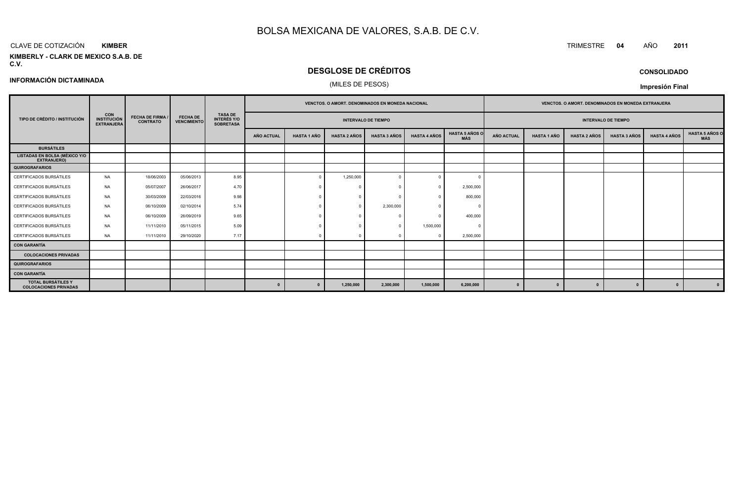#### CLAVE DE COTIZACIÓN TRIMESTRE **<sup>04</sup>** AÑO **<sup>2011</sup> KIMBER**

**INFORMACIÓN DICTAMINADA**

#### **KIMBERLY - CLARK DE MEXICO S.A.B. DE C.V.**

# **DESGLOSE DE CRÉDITOS**

### (MILES DE PESOS)

**CONSOLIDADO**

**Impresión Final**

|                                                           |                                                       |                                            |                                       | <b>TASA DE</b>                         |                   | <b>VENCTOS, O AMORT, DENOMINADOS EN MONEDA NACIONAL</b> |                     |                            |                     |                              |            | <b>VENCTOS, O AMORT, DENOMINADOS EN MONEDA EXTRANJERA</b> |                     |                            |                     |                              |
|-----------------------------------------------------------|-------------------------------------------------------|--------------------------------------------|---------------------------------------|----------------------------------------|-------------------|---------------------------------------------------------|---------------------|----------------------------|---------------------|------------------------------|------------|-----------------------------------------------------------|---------------------|----------------------------|---------------------|------------------------------|
| TIPO DE CRÉDITO / INSTITUCIÓN                             | <b>CON</b><br><b>INSTITUCIÓN</b><br><b>EXTRANJERA</b> | <b>FECHA DE FIRMA /</b><br><b>CONTRATO</b> | <b>FECHA DE</b><br><b>VENCIMIENTO</b> | <b>INTERÉS Y/O</b><br><b>SOBRETASA</b> |                   |                                                         |                     | <b>INTERVALO DE TIEMPO</b> |                     |                              |            |                                                           |                     | <b>INTERVALO DE TIEMPO</b> |                     |                              |
|                                                           |                                                       |                                            |                                       |                                        | <b>AÑO ACTUAL</b> | <b>HASTA 1 AÑO</b>                                      | <b>HASTA 2 AÑOS</b> | <b>HASTA 3 AÑOS</b>        | <b>HASTA 4 AÑOS</b> | <b>HASTA 5 AÑOS O</b><br>MÁS | AÑO ACTUAL | <b>HASTA 1 AÑO</b>                                        | <b>HASTA 2 AÑOS</b> | <b>HASTA 3 AÑOS</b>        | <b>HASTA 4 AÑOS</b> | <b>HASTA 5 AÑOS O</b><br>MÁS |
| <b>BURSÁTILES</b>                                         |                                                       |                                            |                                       |                                        |                   |                                                         |                     |                            |                     |                              |            |                                                           |                     |                            |                     |                              |
| <b>LISTADAS EN BOLSA (MÉXICO Y/O</b><br>EXTRANJERO)       |                                                       |                                            |                                       |                                        |                   |                                                         |                     |                            |                     |                              |            |                                                           |                     |                            |                     |                              |
| QUIROGRAFARIOS                                            |                                                       |                                            |                                       |                                        |                   |                                                         |                     |                            |                     |                              |            |                                                           |                     |                            |                     |                              |
| CERTIFICADOS BURSÁTILES                                   | <b>NA</b>                                             | 18/06/2003                                 | 05/06/2013                            | 8.95                                   |                   | $\Omega$                                                | 1,250,000           |                            |                     |                              |            |                                                           |                     |                            |                     |                              |
| CERTIFICADOS BURSÁTILES                                   | <b>NA</b>                                             | 05/07/2007                                 | 26/06/2017                            | 4.70                                   |                   |                                                         |                     |                            |                     | 2,500,000                    |            |                                                           |                     |                            |                     |                              |
| CERTIFICADOS BURSÁTILES                                   | NA.                                                   | 30/03/2009                                 | 22/03/2016                            | 9.98                                   |                   |                                                         |                     |                            |                     | 800,000                      |            |                                                           |                     |                            |                     |                              |
| CERTIFICADOS BURSÁTILES                                   | <b>NA</b>                                             | 06/10/2009                                 | 02/10/2014                            | 5.74                                   |                   |                                                         |                     | 2,300,000                  |                     |                              |            |                                                           |                     |                            |                     |                              |
| CERTIFICADOS BURSÁTILES                                   | <b>NA</b>                                             | 06/10/2009                                 | 26/09/2019                            | 9.65                                   |                   |                                                         |                     |                            |                     | 400,000                      |            |                                                           |                     |                            |                     |                              |
| CERTIFICADOS BURSÁTILES                                   | <b>NA</b>                                             | 11/11/2010                                 | 05/11/2015                            | 5.09                                   |                   |                                                         |                     |                            | 1,500,000           |                              |            |                                                           |                     |                            |                     |                              |
| CERTIFICADOS BURSÁTILES                                   | <b>NA</b>                                             | 11/11/2010                                 | 29/10/2020                            | 7.17                                   |                   |                                                         |                     |                            |                     | 2,500,000                    |            |                                                           |                     |                            |                     |                              |
| <b>CON GARANTÍA</b>                                       |                                                       |                                            |                                       |                                        |                   |                                                         |                     |                            |                     |                              |            |                                                           |                     |                            |                     |                              |
| <b>COLOCACIONES PRIVADAS</b>                              |                                                       |                                            |                                       |                                        |                   |                                                         |                     |                            |                     |                              |            |                                                           |                     |                            |                     |                              |
| <b>QUIROGRAFARIOS</b>                                     |                                                       |                                            |                                       |                                        |                   |                                                         |                     |                            |                     |                              |            |                                                           |                     |                            |                     |                              |
| <b>CON GARANTÍA</b>                                       |                                                       |                                            |                                       |                                        |                   |                                                         |                     |                            |                     |                              |            |                                                           |                     |                            |                     |                              |
| <b>TOTAL BURSÁTILES Y</b><br><b>COLOCACIONES PRIVADAS</b> |                                                       |                                            |                                       |                                        | $\mathbf{0}$      |                                                         | 1,250,000           | 2,300,000                  | 1,500,000           | 6,200,000                    | $\Omega$   | $\Omega$                                                  | $\Omega$            |                            | $\mathbf{0}$        |                              |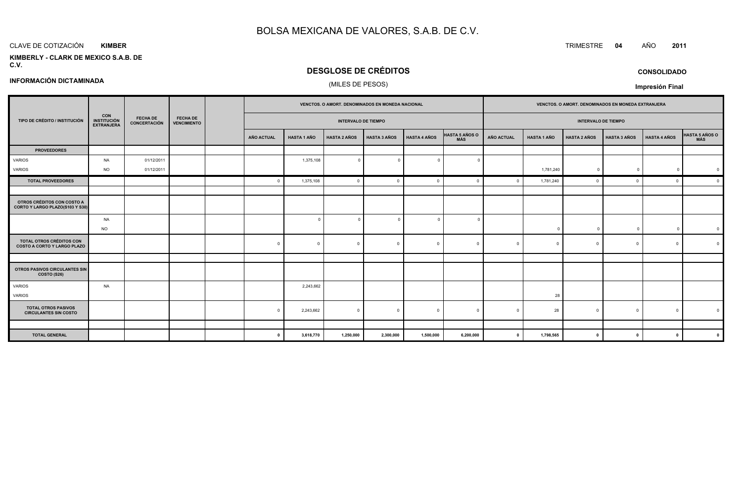#### CLAVE DE COTIZACIÓN TRIMESTRE **<sup>04</sup>** AÑO **<sup>2011</sup> KIMBER**

#### **KIMBERLY - CLARK DE MEXICO S.A.B. DEC.V.**

# **DESGLOSE DE CRÉDITOS**

### (MILES DE PESOS)

# **CONSOLIDADO**

**Impresión Final**

|                                                                |                                                 |                                        |                                       | VENCTOS. O AMORT. DENOMINADOS EN MONEDA NACIONAL |                    |                            |                     |                     |                | VENCTOS. O AMORT. DENOMINADOS EN MONEDA EXTRANJERA |                    |                     |                     |                     |                |
|----------------------------------------------------------------|-------------------------------------------------|----------------------------------------|---------------------------------------|--------------------------------------------------|--------------------|----------------------------|---------------------|---------------------|----------------|----------------------------------------------------|--------------------|---------------------|---------------------|---------------------|----------------|
| TIPO DE CRÉDITO / INSTITUCIÓN                                  | <b>CON<br/>INSTITUCIÓN</b><br><b>EXTRANJERA</b> | <b>FECHA DE</b><br><b>CONCERTACIÓN</b> | <b>FECHA DE</b><br><b>VENCIMIENTO</b> |                                                  |                    | <b>INTERVALO DE TIEMPO</b> |                     |                     |                | <b>INTERVALO DE TIEMPO</b>                         |                    |                     |                     |                     |                |
|                                                                |                                                 |                                        |                                       | <b>AÑO ACTUAL</b>                                | <b>HASTA 1 AÑO</b> | <b>HASTA 2 AÑOS</b>        | <b>HASTA 3 AÑOS</b> | <b>HASTA 4 AÑOS</b> | HASTA 5 AÑOS O | <b>AÑO ACTUAL</b>                                  | <b>HASTA 1 AÑO</b> | <b>HASTA 2 AÑOS</b> | <b>HASTA 3 AÑOS</b> | <b>HASTA 4 AÑOS</b> | HASTA 5 AÑOS O |
| <b>PROVEEDORES</b>                                             |                                                 |                                        |                                       |                                                  |                    |                            |                     |                     |                |                                                    |                    |                     |                     |                     |                |
| VARIOS                                                         | <b>NA</b>                                       | 01/12/2011                             |                                       |                                                  | 1,375,108          | $\Omega$                   | $\Omega$            | $\Omega$            |                |                                                    |                    |                     |                     |                     |                |
| <b>VARIOS</b>                                                  | <b>NO</b>                                       | 01/12/2011                             |                                       |                                                  |                    |                            |                     |                     |                |                                                    | 1,781,240          | $\Omega$            | $\Omega$            | $\Omega$            | $\Omega$       |
| <b>TOTAL PROVEEDORES</b>                                       |                                                 |                                        |                                       |                                                  | 1,375,108          | - 0                        | $\Omega$            | $\Omega$            |                | $\Omega$                                           | 1,781,240          | $\Omega$            | $\Omega$            | $\mathbf{0}$        | $\Omega$       |
|                                                                |                                                 |                                        |                                       |                                                  |                    |                            |                     |                     |                |                                                    |                    |                     |                     |                     |                |
| OTROS CRÉDITOS CON COSTO A<br>CORTO Y LARGO PLAZO(S103 Y S30)  |                                                 |                                        |                                       |                                                  |                    |                            |                     |                     |                |                                                    |                    |                     |                     |                     |                |
|                                                                | <b>NA</b>                                       |                                        |                                       |                                                  | $\circ$            | $\Omega$                   | $\Omega$            | $\Omega$            |                |                                                    |                    |                     |                     |                     |                |
|                                                                | <b>NO</b>                                       |                                        |                                       |                                                  |                    |                            |                     |                     |                |                                                    | $\Omega$           | $\Omega$            | $\Omega$            | $\Omega$            | $\mathbf 0$    |
| TOTAL OTROS CRÉDITOS CON<br><b>COSTO A CORTO Y LARGO PLAZO</b> |                                                 |                                        |                                       |                                                  | $\Omega$           | - 0                        | $\Omega$            | $\Omega$            |                |                                                    |                    | $\Omega$            |                     | $\Omega$            | $\Omega$       |
|                                                                |                                                 |                                        |                                       |                                                  |                    |                            |                     |                     |                |                                                    |                    |                     |                     |                     |                |
| OTROS PASIVOS CIRCULANTES SIN<br>COSTO (S26)                   |                                                 |                                        |                                       |                                                  |                    |                            |                     |                     |                |                                                    |                    |                     |                     |                     |                |
| VARIOS                                                         | <b>NA</b>                                       |                                        |                                       |                                                  | 2,243,662          |                            |                     |                     |                |                                                    |                    |                     |                     |                     |                |
| <b>VARIOS</b>                                                  |                                                 |                                        |                                       |                                                  |                    |                            |                     |                     |                |                                                    | 28                 |                     |                     |                     |                |
| <b>TOTAL OTROS PASIVOS</b><br><b>CIRCULANTES SIN COSTO</b>     |                                                 |                                        |                                       |                                                  | 2,243,662          | $\overline{0}$             | $\Omega$            | $\Omega$            |                | $\Omega$                                           | 28                 | $\Omega$            | $\Omega$            | $\Omega$            | $\Omega$       |
|                                                                |                                                 |                                        |                                       |                                                  |                    |                            |                     |                     |                |                                                    |                    |                     |                     |                     |                |
| <b>TOTAL GENERAL</b>                                           |                                                 |                                        |                                       |                                                  | 3,618,770          | 1,250,000                  | 2,300,000           | 1,500,000           | 6,200,000      | $\mathbf{0}$                                       | 1,798,565          | $\Omega$            | $\mathbf{0}$        | $\mathbf{a}$        | $\Omega$       |

### **INFORMACIÓN DICTAMINADA**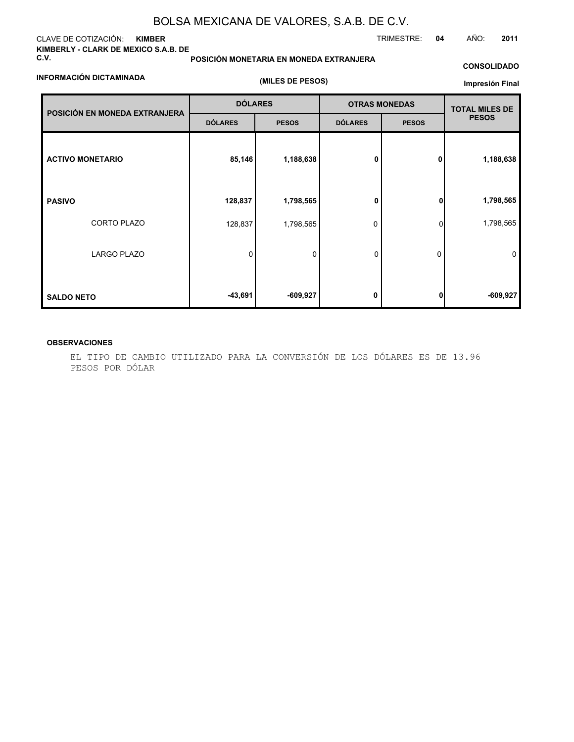### CLAVE DE COTIZACIÓN: **KIMBER KIMBERLY - CLARK DE MEXICO S.A.B. DE C.V.**

### **INFORMACIÓN DICTAMINADA**

# **POSICIÓN MONETARIA EN MONEDA EXTRANJERA**

# **CONSOLIDADO**

TRIMESTRE: **04** AÑO: **2011**

|  |  |  | (MILES DE PESOS) |
|--|--|--|------------------|
|--|--|--|------------------|

### **Impresión Final**

|                               | <b>DÓLARES</b> |              |                | <b>OTRAS MONEDAS</b> | <b>TOTAL MILES DE</b> |
|-------------------------------|----------------|--------------|----------------|----------------------|-----------------------|
| POSICIÓN EN MONEDA EXTRANJERA | <b>DÓLARES</b> | <b>PESOS</b> | <b>DÓLARES</b> | <b>PESOS</b>         | <b>PESOS</b>          |
| <b>ACTIVO MONETARIO</b>       | 85,146         | 1,188,638    | 0              | 0                    | 1,188,638             |
| <b>PASIVO</b>                 | 128,837        | 1,798,565    | 0              | $\mathbf{0}$         | 1,798,565             |
| CORTO PLAZO                   | 128,837        | 1,798,565    | 0              | $\Omega$             | 1,798,565             |
| <b>LARGO PLAZO</b>            | 0              | 0            | 0              | 0                    | $\mathbf 0$           |
| <b>SALDO NETO</b>             | -43,691        | $-609,927$   | 0              | 01                   | $-609,927$            |

### **OBSERVACIONES**

EL TIPO DE CAMBIO UTILIZADO PARA LA CONVERSIÓN DE LOS DÓLARES ES DE 13.96 PESOS POR DÓLAR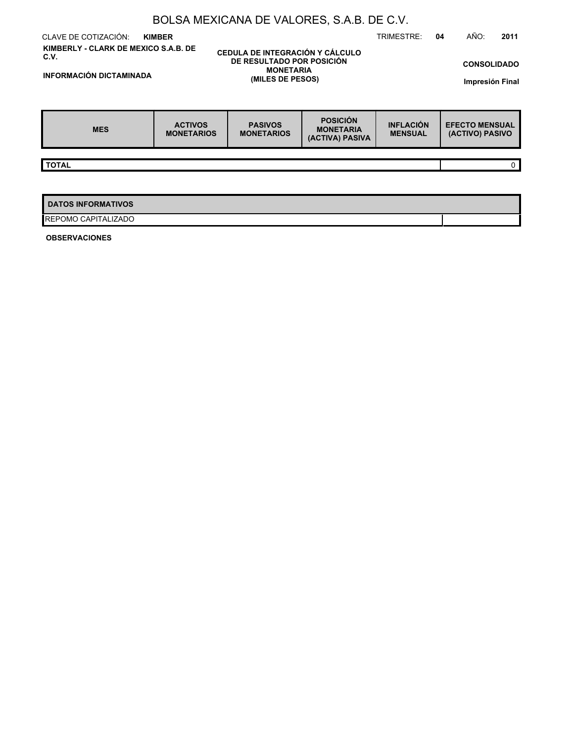| BOLSA MEXICANA DE VALORES, S.A.B. DE C.V.                                      |                                     |                                                                                                             |                                                        |                                    |                                          |  |  |  |  |  |  |  |
|--------------------------------------------------------------------------------|-------------------------------------|-------------------------------------------------------------------------------------------------------------|--------------------------------------------------------|------------------------------------|------------------------------------------|--|--|--|--|--|--|--|
| CLAVE DE COTIZACIÓN:                                                           | <b>KIMBER</b>                       |                                                                                                             |                                                        | TRIMESTRE:                         | AÑO:<br>2011<br>04                       |  |  |  |  |  |  |  |
| KIMBERLY - CLARK DE MEXICO S.A.B. DE<br>C.V.<br><b>INFORMACIÓN DICTAMINADA</b> |                                     | CEDULA DE INTEGRACIÓN Y CÁLCULO<br><b>DE RESULTADO POR POSICIÓN</b><br><b>MONETARIA</b><br>(MILES DE PESOS) |                                                        |                                    | <b>CONSOLIDADO</b><br>Impresión Final    |  |  |  |  |  |  |  |
| <b>MES</b>                                                                     | <b>ACTIVOS</b><br><b>MONETARIOS</b> | <b>PASIVOS</b><br><b>MONETARIOS</b>                                                                         | <b>POSICIÓN</b><br><b>MONETARIA</b><br>(ACTIVA) PASIVA | <b>INFLACIÓN</b><br><b>MENSUAL</b> | <b>EFECTO MENSUAL</b><br>(ACTIVO) PASIVO |  |  |  |  |  |  |  |
|                                                                                |                                     |                                                                                                             |                                                        |                                    |                                          |  |  |  |  |  |  |  |
| <b>TOTAL</b>                                                                   |                                     |                                                                                                             |                                                        |                                    | $\mathbf 0$                              |  |  |  |  |  |  |  |
|                                                                                |                                     |                                                                                                             |                                                        |                                    |                                          |  |  |  |  |  |  |  |
| <b>DATOS INFORMATIVOS</b>                                                      |                                     |                                                                                                             |                                                        |                                    |                                          |  |  |  |  |  |  |  |
| REPOMO CAPITALIZADO                                                            |                                     |                                                                                                             |                                                        |                                    |                                          |  |  |  |  |  |  |  |

**OBSERVACIONES**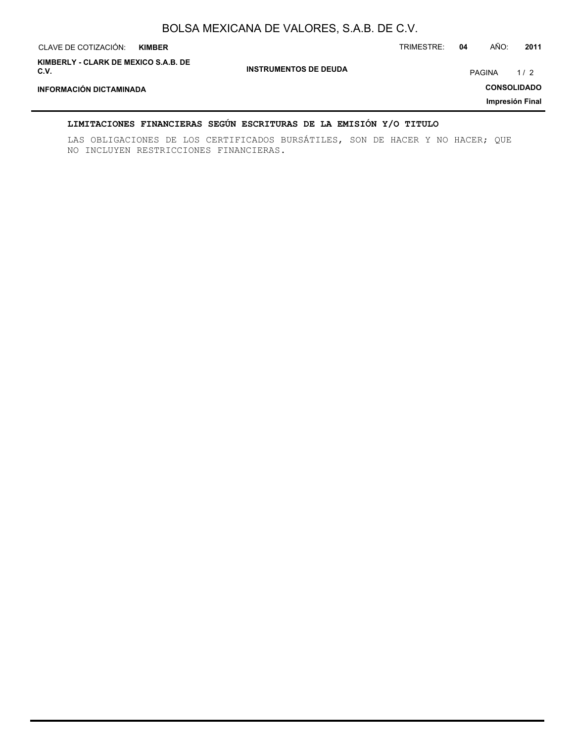| CLAVE DE COTIZACIÓN:                         | <b>KIMBER</b> |                              | TRIMESTRE: | 04 | AÑO:   | 2011               |
|----------------------------------------------|---------------|------------------------------|------------|----|--------|--------------------|
| KIMBERLY - CLARK DE MEXICO S.A.B. DE<br>C.V. |               | <b>INSTRUMENTOS DE DEUDA</b> |            |    | PAGINA | 1/2                |
| <b>INFORMACIÓN DICTAMINADA</b>               |               |                              |            |    |        | <b>CONSOLIDADO</b> |
|                                              |               |                              |            |    |        | Impresión Final    |

### **LIMITACIONES FINANCIERAS SEGÚN ESCRITURAS DE LA EMISIÓN Y/O TITULO**

LAS OBLIGACIONES DE LOS CERTIFICADOS BURSÁTILES, SON DE HACER Y NO HACER; QUE NO INCLUYEN RESTRICCIONES FINANCIERAS.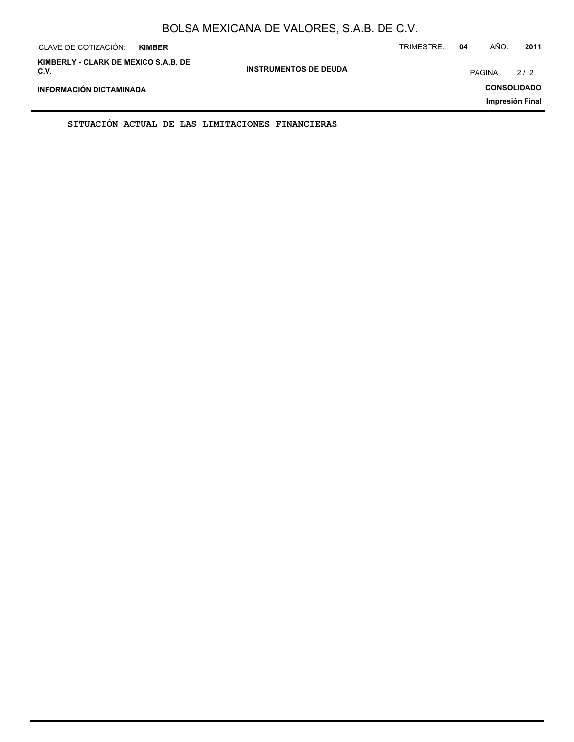| CLAVE DE COTIZACIÓN:<br><b>KIMBER</b>        |                              | TRIMESTRE: | 04            | AÑO: | 2011               |
|----------------------------------------------|------------------------------|------------|---------------|------|--------------------|
| KIMBERLY - CLARK DE MEXICO S.A.B. DE<br>C.V. | <b>INSTRUMENTOS DE DEUDA</b> |            | <b>PAGINA</b> |      | 2/2                |
| INFORMACIÓN DICTAMINADA                      |                              |            |               |      | <b>CONSOLIDADO</b> |
|                                              |                              |            |               |      | Impresión Final    |

**SITUACIÓN ACTUAL DE LAS LIMITACIONES FINANCIERAS**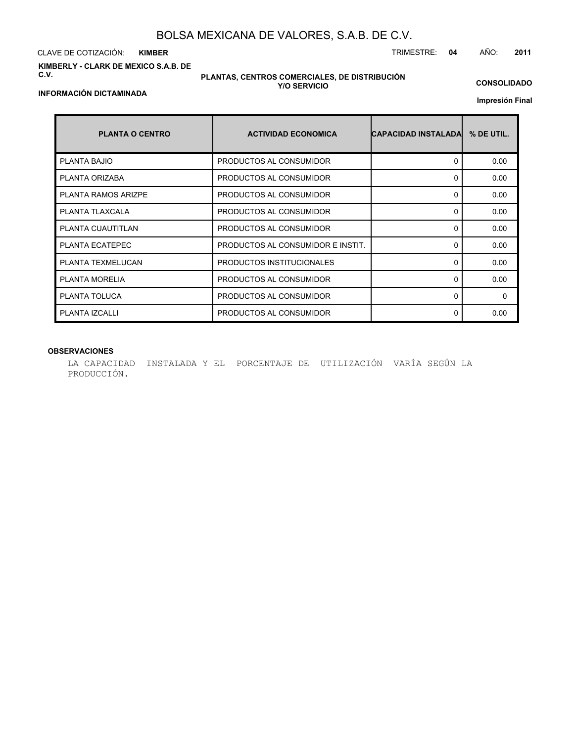CLAVE DE COTIZACIÓN: TRIMESTRE: **04** AÑO: **2011 KIMBER**

**KIMBERLY - CLARK DE MEXICO S.A.B. DE C.V.**

### **PLANTAS, CENTROS COMERCIALES, DE DISTRIBUCIÓN Y/O SERVICIO**

**CONSOLIDADO**

**Impresión Final**

| <b>PLANTA O CENTRO</b>     | <b>ACTIVIDAD ECONOMICA</b>        | <b>CAPACIDAD INSTALADAL</b> | % DE UTIL. |
|----------------------------|-----------------------------------|-----------------------------|------------|
| <b>PLANTA BAJIO</b>        | PRODUCTOS AL CONSUMIDOR           | $\Omega$                    | 0.00       |
| PLANTA ORIZABA             | PRODUCTOS AL CONSUMIDOR           | $\Omega$                    | 0.00       |
| <b>PLANTA RAMOS ARIZPE</b> | PRODUCTOS AL CONSUMIDOR           | $\Omega$                    | 0.00       |
| PLANTA TLAXCALA            | PRODUCTOS AL CONSUMIDOR           | $\Omega$                    | 0.00       |
| PLANTA CUAUTITLAN          | PRODUCTOS AL CONSUMIDOR           | 0                           | 0.00       |
| PLANTA ECATEPEC            | PRODUCTOS AL CONSUMIDOR E INSTIT. | <sup>0</sup>                | 0.00       |
| PLANTA TEXMELUCAN          | PRODUCTOS INSTITUCIONALES         | $\Omega$                    | 0.00       |
| <b>PLANTA MORELIA</b>      | PRODUCTOS AL CONSUMIDOR           | $\Omega$                    | 0.00       |
| PLANTA TOLUCA              | PRODUCTOS AL CONSUMIDOR           | 0                           | 0          |
| PLANTA IZCALLI             | PRODUCTOS AL CONSUMIDOR           | 0                           | 0.00       |

### **OBSERVACIONES**

LA CAPACIDAD INSTALADA Y EL PORCENTAJE DE UTILIZACIÓN VARÍA SEGÚN LA PRODUCCIÓN.

**INFORMACIÓN DICTAMINADA**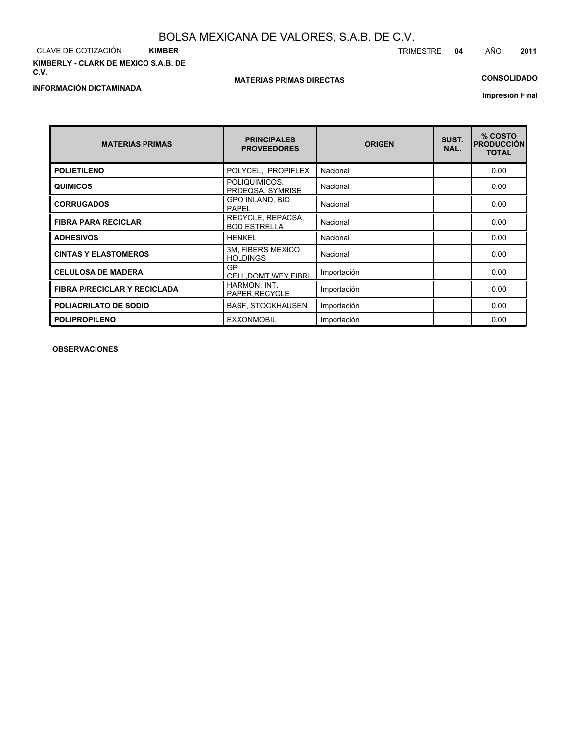CLAVE DE COTIZACIÓN **KIMBER KIMBERLY - CLARK DE MEXICO S.A.B. DE C.V.**

### **MATERIAS PRIMAS DIRECTAS**

# **CONSOLIDADO**

**Impresión Final**

| <b>MATERIAS PRIMAS</b>              | <b>PRINCIPALES</b><br><b>PROVEEDORES</b> | <b>ORIGEN</b> | SUST.<br>NAL. | % COSTO<br><b>PRODUCCIÓN</b><br><b>TOTAL</b> |
|-------------------------------------|------------------------------------------|---------------|---------------|----------------------------------------------|
| <b>POLIETILENO</b>                  | POLYCEL, PROPIFLEX                       | Nacional      |               | 0.00                                         |
| <b>QUIMICOS</b>                     | POLIQUIMICOS,<br>PROEQSA, SYMRISE        | Nacional      |               | 0.00                                         |
| <b>CORRUGADOS</b>                   | GPO INLAND, BIO<br>PAPEL                 | Nacional      |               | 0.00                                         |
| <b>FIBRA PARA RECICLAR</b>          | RECYCLE, REPACSA,<br><b>BOD ESTRELLA</b> | Nacional      |               | 0.00                                         |
| <b>ADHESIVOS</b>                    | <b>HENKEL</b>                            | Nacional      |               | 0.00                                         |
| <b>CINTAS Y ELASTOMEROS</b>         | 3M, FIBERS MEXICO<br><b>HOLDINGS</b>     | Nacional      |               | 0.00                                         |
| <b>CELULOSA DE MADERA</b>           | GP<br>CELL.DOMT.WEY.FIBRI                | Importación   |               | 0.00                                         |
| <b>FIBRA P/RECICLAR Y RECICLADA</b> | HARMON, INT.<br>PAPER, RECYCLE           | Importación   |               | 0.00                                         |
| <b>POLIACRILATO DE SODIO</b>        | <b>BASF, STOCKHAUSEN</b>                 | Importación   |               | 0.00                                         |
| <b>POLIPROPILENO</b>                | <b>EXXONMOBIL</b>                        | Importación   |               | 0.00                                         |

**OBSERVACIONES**

TRIMESTRE **04** AÑO **2011**

# **INFORMACIÓN DICTAMINADA**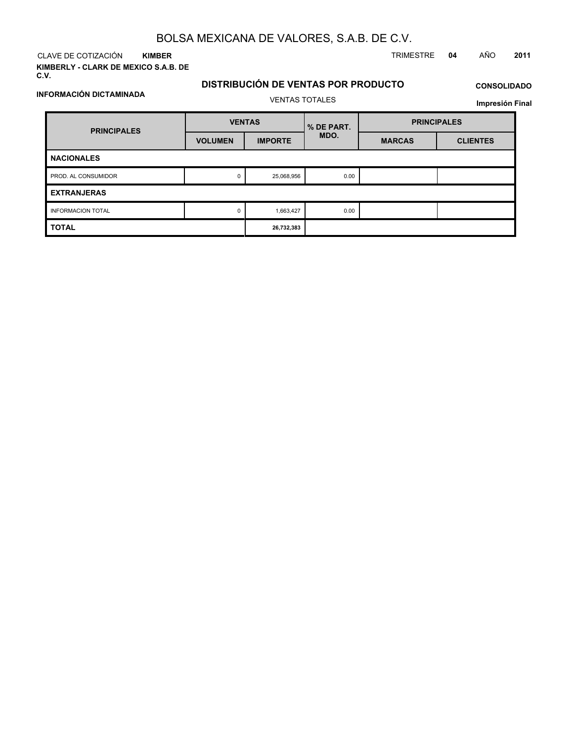**KIMBER**

**INFORMACIÓN DICTAMINADA**

**KIMBERLY - CLARK DE MEXICO S.A.B. DE C.V.**

CLAVE DE COTIZACIÓN TRIMESTRE **04** AÑO **2011**

# **DISTRIBUCIÓN DE VENTAS POR PRODUCTO** VENTAS TOTALES

# **CONSOLIDADO**

**Impresión Final**

| <b>PRINCIPALES</b>       | <b>VENTAS</b>  |                | % DE PART. | <b>PRINCIPALES</b> |                 |  |  |  |
|--------------------------|----------------|----------------|------------|--------------------|-----------------|--|--|--|
|                          | <b>VOLUMEN</b> | <b>IMPORTE</b> | MDO.       | <b>MARCAS</b>      | <b>CLIENTES</b> |  |  |  |
| <b>NACIONALES</b>        |                |                |            |                    |                 |  |  |  |
| PROD. AL CONSUMIDOR      | 0              | 25,068,956     | 0.00       |                    |                 |  |  |  |
| <b>EXTRANJERAS</b>       |                |                |            |                    |                 |  |  |  |
| <b>INFORMACION TOTAL</b> | 0              | 1,663,427      | 0.00       |                    |                 |  |  |  |
| <b>TOTAL</b>             | 26,732,383     |                |            |                    |                 |  |  |  |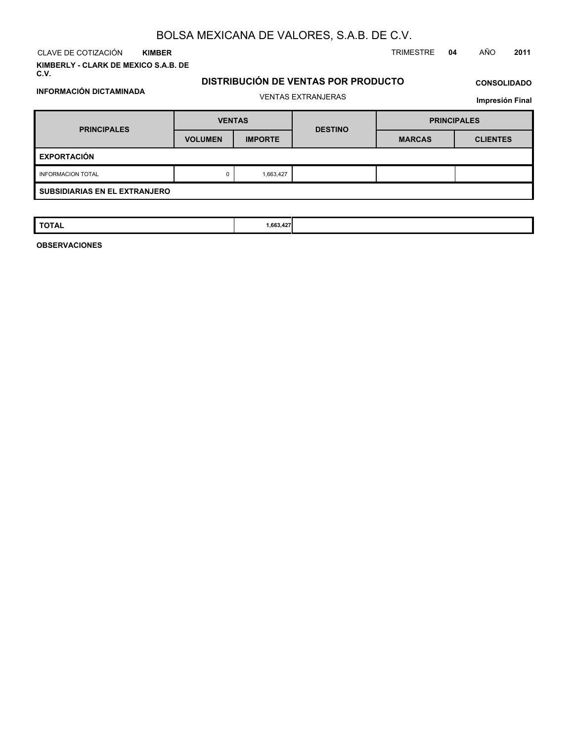CLAVE DE COTIZACIÓN TRIMESTRE **04** AÑO **2011 KIMBER**

**INFORMACIÓN DICTAMINADA**

**KIMBERLY - CLARK DE MEXICO S.A.B. DE C.V.**

# **DISTRIBUCIÓN DE VENTAS POR PRODUCTO** VENTAS EXTRANJERAS

# **CONSOLIDADO**

**Impresión Final**

| <b>PRINCIPALES</b>                   | <b>VENTAS</b>  |                | <b>DESTINO</b> | <b>PRINCIPALES</b> |                 |  |  |
|--------------------------------------|----------------|----------------|----------------|--------------------|-----------------|--|--|
|                                      | <b>VOLUMEN</b> | <b>IMPORTE</b> |                | <b>MARCAS</b>      | <b>CLIENTES</b> |  |  |
| <b>EXPORTACIÓN</b>                   |                |                |                |                    |                 |  |  |
| <b>INFORMACION TOTAL</b>             | 0              | 1,663,427      |                |                    |                 |  |  |
| <b>SUBSIDIARIAS EN EL EXTRANJERO</b> |                |                |                |                    |                 |  |  |

| <b>TOTAL</b> | 1,663,427<br>, , |  |  |
|--------------|------------------|--|--|
|              |                  |  |  |

**OBSERVACIONES**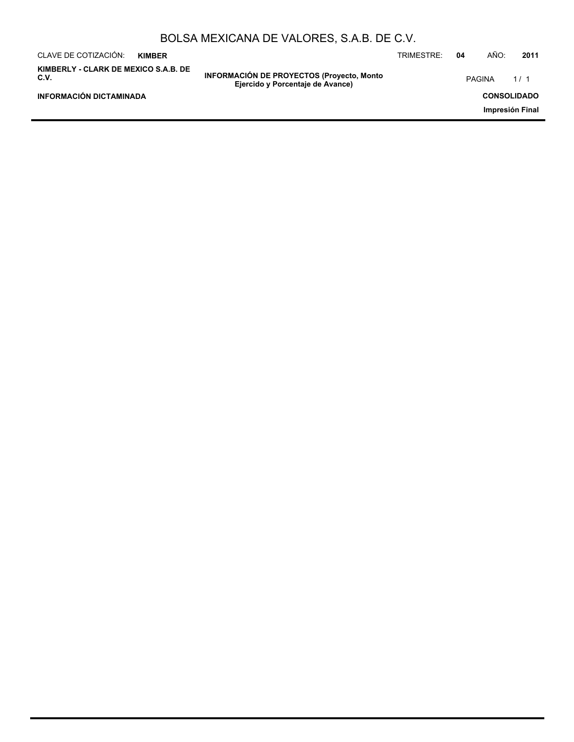| BOLSA MEXICANA DE VALORES, S.A.B. DE C.V. |  |
|-------------------------------------------|--|
|-------------------------------------------|--|

| CLAVE DE COTIZACIÓN:<br><b>KIMBER</b>        |                                                                                      | TRIMESTRE: | 04 | AÑO:          | 2011               |
|----------------------------------------------|--------------------------------------------------------------------------------------|------------|----|---------------|--------------------|
| KIMBERLY - CLARK DE MEXICO S.A.B. DE<br>C.V. | <b>INFORMACIÓN DE PROYECTOS (Proyecto, Monto</b><br>Ejercido y Porcentaje de Avance) |            |    | <b>PAGINA</b> | 1/1                |
| INFORMACIÓN DICTAMINADA                      |                                                                                      |            |    |               | <b>CONSOLIDADO</b> |
|                                              |                                                                                      |            |    |               | Impresión Final    |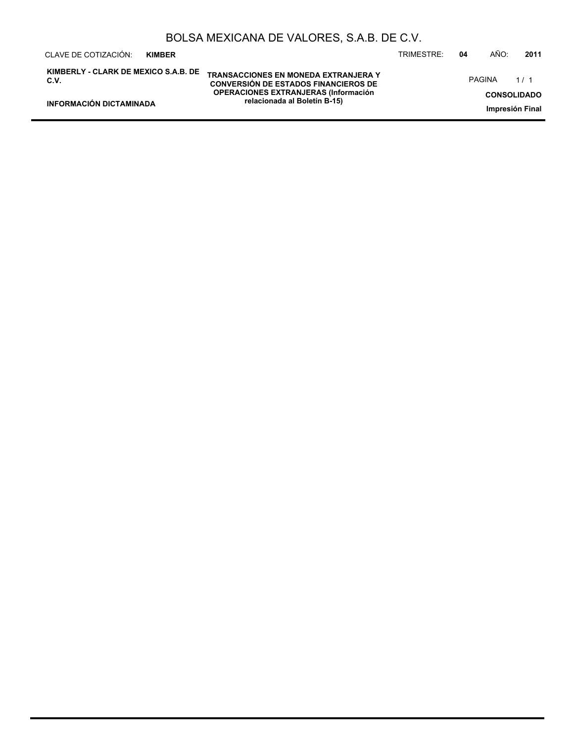| CLAVE DE COTIZACIÓN:<br><b>KIMBER</b>        |                                                                                            | TRIMESTRE: | 04 | AÑO:          | 2011                                  |
|----------------------------------------------|--------------------------------------------------------------------------------------------|------------|----|---------------|---------------------------------------|
| KIMBERLY - CLARK DE MEXICO S.A.B. DE<br>C.V. | <b>TRANSACCIONES EN MONEDA EXTRANJERA Y</b><br><b>CONVERSIÓN DE ESTADOS FINANCIEROS DE</b> |            |    | <b>PAGINA</b> | $1/1$                                 |
| <b>INFORMACIÓN DICTAMINADA</b>               | <b>OPERACIONES EXTRANJERAS (Información)</b><br>relacionada al Boletín B-15)               |            |    |               | <b>CONSOLIDADO</b><br>Impresión Final |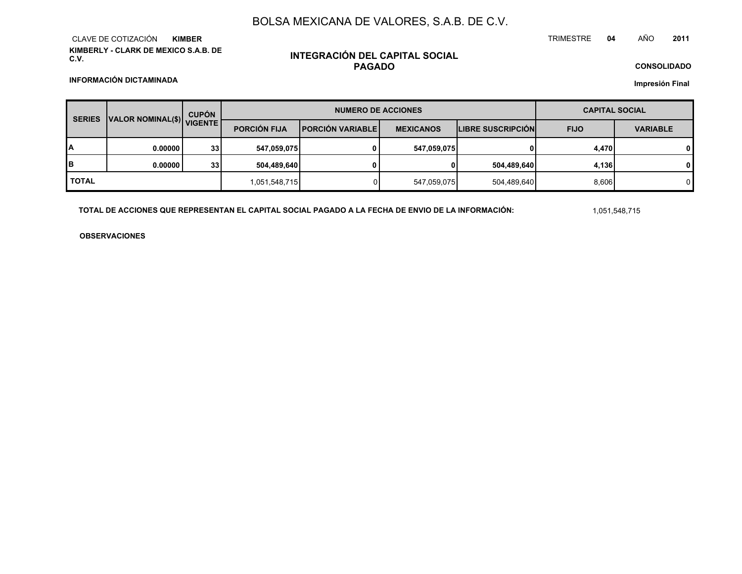**KIMBERLY - CLARK DE MEXICO S.A.B. DE C.V.**CLAVE DE COTIZACIÓN**KIMBER**

# **INTEGRACIÓN DEL CAPITAL SOCIALPAGADO**

**CONSOLIDADOImpresión Final**

**INFORMACIÓN DICTAMINADA**

| VALOR NOMINAL(\$) VIGENTE<br><b>SERIES</b> |          | <b>CUPÓN</b>    |                     | <b>NUMERO DE ACCIONES</b> | <b>CAPITAL SOCIAL</b> |                          |             |                 |
|--------------------------------------------|----------|-----------------|---------------------|---------------------------|-----------------------|--------------------------|-------------|-----------------|
|                                            |          |                 | <b>PORCIÓN FIJA</b> | <b>IPORCIÓN VARIABLE</b>  | <b>MEXICANOS</b>      | <b>LIBRE SUSCRIPCIÓN</b> | <b>FIJO</b> | <b>VARIABLE</b> |
| I٨                                         | 0.000001 | 33 <sub>1</sub> | 547,059,075         | 0                         | 547,059,075           |                          | 4,470       | $\mathbf{0}$    |
| Iв                                         | 0.000001 | 33              | 504.489.640         |                           | 0                     | 504,489,640              | 4,136       | 0               |
| I TOTAL                                    |          |                 | 1,051,548,715       |                           | 547,059,075           | 504,489,640              | 8,606       | 0               |

**TOTAL DE ACCIONES QUE REPRESENTAN EL CAPITAL SOCIAL PAGADO A LA FECHA DE ENVIO DE LA INFORMACIÓN:**

1,051,548,715

**OBSERVACIONES**

 **<sup>04</sup>** AÑO**<sup>2011</sup>**

TRIMESTRE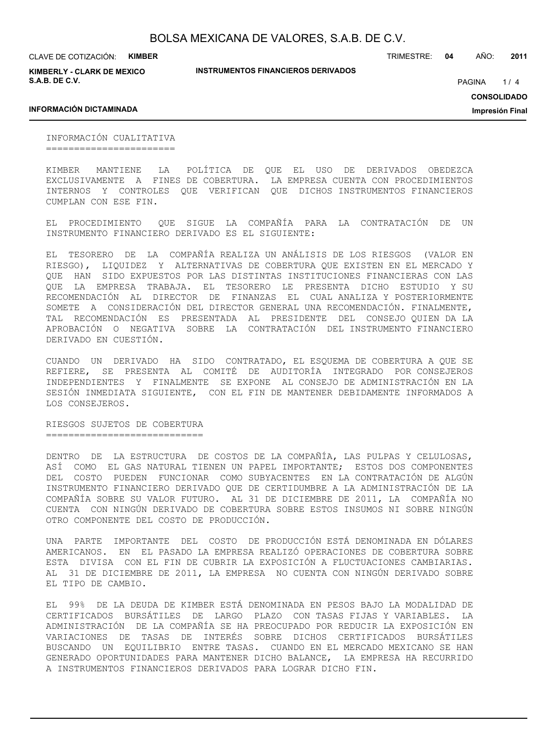**KIMBERLY - CLARK DE MEXICO S.A.B. DE C.V.**

**INSTRUMENTOS FINANCIEROS DERIVADOS**

TRIMESTRE: **04** AÑO: **2011**

 $1/4$ PAGINA

**INFORMACIÓN DICTAMINADA**

**CONSOLIDADO Impresión Final**

INFORMACIÓN CUALITATIVA =======================

KIMBER MANTIENE LA POLÍTICA DE QUE EL USO DE DERIVADOS OBEDEZCA EXCLUSIVAMENTE A FINES DE COBERTURA. LA EMPRESA CUENTA CON PROCEDIMIENTOS INTERNOS Y CONTROLES QUE VERIFICAN QUE DICHOS INSTRUMENTOS FINANCIEROS CUMPLAN CON ESE FIN.

EL PROCEDIMIENTO QUE SIGUE LA COMPAÑÍA PARA LA CONTRATACIÓN DE UN INSTRUMENTO FINANCIERO DERIVADO ES EL SIGUIENTE:

EL TESORERO DE LA COMPAÑÍA REALIZA UN ANÁLISIS DE LOS RIESGOS (VALOR EN RIESGO), LIQUIDEZ Y ALTERNATIVAS DE COBERTURA QUE EXISTEN EN EL MERCADO Y QUE HAN SIDO EXPUESTOS POR LAS DISTINTAS INSTITUCIONES FINANCIERAS CON LAS QUE LA EMPRESA TRABAJA. EL TESORERO LE PRESENTA DICHO ESTUDIO Y SU RECOMENDACIÓN AL DIRECTOR DE FINANZAS EL CUAL ANALIZA Y POSTERIORMENTE SOMETE A CONSIDERACIÓN DEL DIRECTOR GENERAL UNA RECOMENDACIÓN. FINALMENTE, TAL RECOMENDACIÓN ES PRESENTADA AL PRESIDENTE DEL CONSEJO QUIEN DA LA APROBACIÓN O NEGATIVA SOBRE LA CONTRATACIÓN DEL INSTRUMENTO FINANCIERO DERIVADO EN CUESTIÓN.

CUANDO UN DERIVADO HA SIDO CONTRATADO, EL ESQUEMA DE COBERTURA A QUE SE REFIERE, SE PRESENTA AL COMITÉ DE AUDITORÍA INTEGRADO POR CONSEJEROS INDEPENDIENTES Y FINALMENTE SE EXPONE AL CONSEJO DE ADMINISTRACIÓN EN LA SESIÓN INMEDIATA SIGUIENTE, CON EL FIN DE MANTENER DEBIDAMENTE INFORMADOS A LOS CONSEJEROS.

RIESGOS SUJETOS DE COBERTURA ============================

DENTRO DE LA ESTRUCTURA DE COSTOS DE LA COMPAÑÍA, LAS PULPAS Y CELULOSAS, ASÍ COMO EL GAS NATURAL TIENEN UN PAPEL IMPORTANTE; ESTOS DOS COMPONENTES DEL COSTO PUEDEN FUNCIONAR COMO SUBYACENTES EN LA CONTRATACIÓN DE ALGÚN INSTRUMENTO FINANCIERO DERIVADO QUE DE CERTIDUMBRE A LA ADMINISTRACIÓN DE LA COMPAÑÍA SOBRE SU VALOR FUTURO. AL 31 DE DICIEMBRE DE 2011, LA COMPAÑÍA NO CUENTA CON NINGÚN DERIVADO DE COBERTURA SOBRE ESTOS INSUMOS NI SOBRE NINGÚN OTRO COMPONENTE DEL COSTO DE PRODUCCIÓN.

UNA PARTE IMPORTANTE DEL COSTO DE PRODUCCIÓN ESTÁ DENOMINADA EN DÓLARES AMERICANOS. EN EL PASADO LA EMPRESA REALIZÓ OPERACIONES DE COBERTURA SOBRE ESTA DIVISA CON EL FIN DE CUBRIR LA EXPOSICIÓN A FLUCTUACIONES CAMBIARIAS. AL 31 DE DICIEMBRE DE 2011, LA EMPRESA NO CUENTA CON NINGÚN DERIVADO SOBRE EL TIPO DE CAMBIO.

EL 99% DE LA DEUDA DE KIMBER ESTÁ DENOMINADA EN PESOS BAJO LA MODALIDAD DE CERTIFICADOS BURSÁTILES DE LARGO PLAZO CON TASAS FIJAS Y VARIABLES. LA ADMINISTRACIÓN DE LA COMPAÑÍA SE HA PREOCUPADO POR REDUCIR LA EXPOSICIÓN EN VARIACIONES DE TASAS DE INTERÉS SOBRE DICHOS CERTIFICADOS BURSÁTILES BUSCANDO UN EQUILIBRIO ENTRE TASAS. CUANDO EN EL MERCADO MEXICANO SE HAN GENERADO OPORTUNIDADES PARA MANTENER DICHO BALANCE, LA EMPRESA HA RECURRIDO A INSTRUMENTOS FINANCIEROS DERIVADOS PARA LOGRAR DICHO FIN.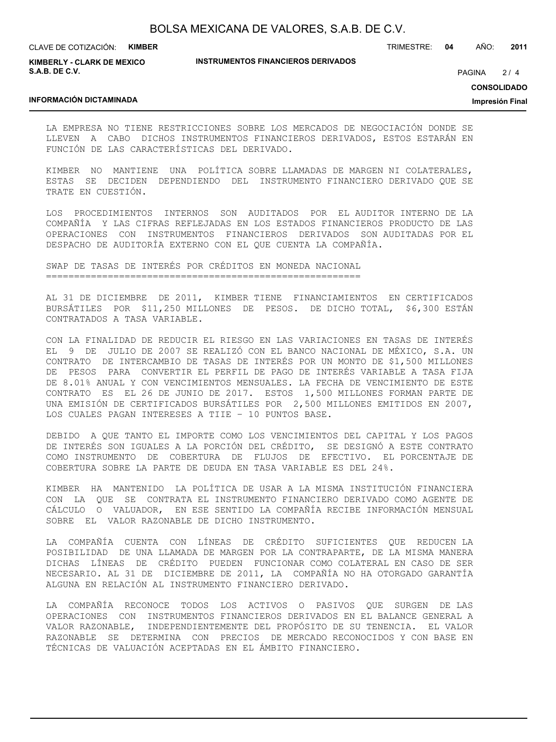**KIMBERLY - CLARK DE MEXICO S.A.B. DE C.V.**

#### **INSTRUMENTOS FINANCIEROS DERIVADOS**

TRIMESTRE: **04** AÑO: **2011**

 $2/4$ **PAGINA** 

**CONSOLIDADO**

**Impresión Final**

### **INFORMACIÓN DICTAMINADA**

LA EMPRESA NO TIENE RESTRICCIONES SOBRE LOS MERCADOS DE NEGOCIACIÓN DONDE SE LLEVEN A CABO DICHOS INSTRUMENTOS FINANCIEROS DERIVADOS, ESTOS ESTARÁN EN FUNCIÓN DE LAS CARACTERÍSTICAS DEL DERIVADO.

KIMBER NO MANTIENE UNA POLÍTICA SOBRE LLAMADAS DE MARGEN NI COLATERALES, ESTAS SE DECIDEN DEPENDIENDO DEL INSTRUMENTO FINANCIERO DERIVADO QUE SE TRATE EN CUESTIÓN.

LOS PROCEDIMIENTOS INTERNOS SON AUDITADOS POR EL AUDITOR INTERNO DE LA COMPAÑÍA Y LAS CIFRAS REFLEJADAS EN LOS ESTADOS FINANCIEROS PRODUCTO DE LAS OPERACIONES CON INSTRUMENTOS FINANCIEROS DERIVADOS SON AUDITADAS POR EL DESPACHO DE AUDITORÍA EXTERNO CON EL QUE CUENTA LA COMPAÑÍA.

SWAP DE TASAS DE INTERÉS POR CRÉDITOS EN MONEDA NACIONAL ========================================================

AL 31 DE DICIEMBRE DE 2011, KIMBER TIENE FINANCIAMIENTOS EN CERTIFICADOS BURSÁTILES POR \$11,250 MILLONES DE PESOS. DE DICHO TOTAL, \$6,300 ESTÁN CONTRATADOS A TASA VARIABLE.

CON LA FINALIDAD DE REDUCIR EL RIESGO EN LAS VARIACIONES EN TASAS DE INTERÉS EL 9 DE JULIO DE 2007 SE REALIZÓ CON EL BANCO NACIONAL DE MÉXICO, S.A. UN CONTRATO DE INTERCAMBIO DE TASAS DE INTERÉS POR UN MONTO DE \$1,500 MILLONES DE PESOS PARA CONVERTIR EL PERFIL DE PAGO DE INTERÉS VARIABLE A TASA FIJA DE 8.01% ANUAL Y CON VENCIMIENTOS MENSUALES. LA FECHA DE VENCIMIENTO DE ESTE CONTRATO ES EL 26 DE JUNIO DE 2017. ESTOS 1,500 MILLONES FORMAN PARTE DE UNA EMISIÓN DE CERTIFICADOS BURSÁTILES POR 2,500 MILLONES EMITIDOS EN 2007, LOS CUALES PAGAN INTERESES A TIIE – 10 PUNTOS BASE.

DEBIDO A QUE TANTO EL IMPORTE COMO LOS VENCIMIENTOS DEL CAPITAL Y LOS PAGOS DE INTERÉS SON IGUALES A LA PORCIÓN DEL CRÉDITO, SE DESIGNÓ A ESTE CONTRATO COMO INSTRUMENTO DE COBERTURA DE FLUJOS DE EFECTIVO. EL PORCENTAJE DE COBERTURA SOBRE LA PARTE DE DEUDA EN TASA VARIABLE ES DEL 24%.

KIMBER HA MANTENIDO LA POLÍTICA DE USAR A LA MISMA INSTITUCIÓN FINANCIERA CON LA QUE SE CONTRATA EL INSTRUMENTO FINANCIERO DERIVADO COMO AGENTE DE CÁLCULO O VALUADOR, EN ESE SENTIDO LA COMPAÑÍA RECIBE INFORMACIÓN MENSUAL SOBRE EL VALOR RAZONABLE DE DICHO INSTRUMENTO.

LA COMPAÑÍA CUENTA CON LÍNEAS DE CRÉDITO SUFICIENTES QUE REDUCEN LA POSIBILIDAD DE UNA LLAMADA DE MARGEN POR LA CONTRAPARTE, DE LA MISMA MANERA DICHAS LÍNEAS DE CRÉDITO PUEDEN FUNCIONAR COMO COLATERAL EN CASO DE SER NECESARIO. AL 31 DE DICIEMBRE DE 2011, LA COMPAÑÍA NO HA OTORGADO GARANTÍA ALGUNA EN RELACIÓN AL INSTRUMENTO FINANCIERO DERIVADO.

LA COMPAÑÍA RECONOCE TODOS LOS ACTIVOS O PASIVOS QUE SURGEN DE LAS OPERACIONES CON INSTRUMENTOS FINANCIEROS DERIVADOS EN EL BALANCE GENERAL A VALOR RAZONABLE, INDEPENDIENTEMENTE DEL PROPÓSITO DE SU TENENCIA. EL VALOR RAZONABLE SE DETERMINA CON PRECIOS DE MERCADO RECONOCIDOS Y CON BASE EN TÉCNICAS DE VALUACIÓN ACEPTADAS EN EL ÁMBITO FINANCIERO.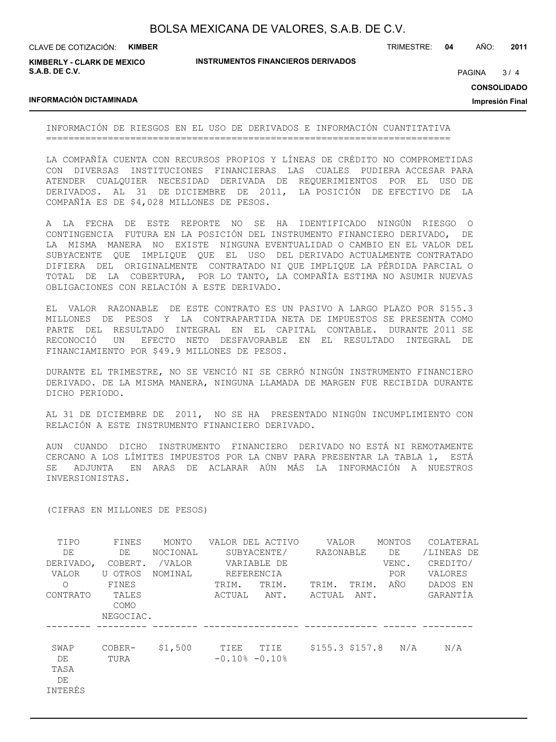| BOLSA MEXICANA DE VALORES, S.A.B. DE C.V. |  |  |  |
|-------------------------------------------|--|--|--|
|-------------------------------------------|--|--|--|

**KIMBERLY - CLARK DE MEXICO S.A.B. DE C.V.**

### **INSTRUMENTOS FINANCIEROS DERIVADOS**

TRIMESTRE: **04** AÑO: **2011**

 $3/4$ **PAGINA** 

**CONSOLIDADO**

**Impresión Final**

### **INFORMACIÓN DICTAMINADA**

INFORMACIÓN DE RIESGOS EN EL USO DE DERIVADOS E INFORMACIÓN CUANTITATIVA ========================================================================

LA COMPAÑÍA CUENTA CON RECURSOS PROPIOS Y LÍNEAS DE CRÉDITO NO COMPROMETIDAS CON DIVERSAS INSTITUCIONES FINANCIERAS LAS CUALES PUDIERA ACCESAR PARA ATENDER CUALQUIER NECESIDAD DERIVADA DE REQUERIMIENTOS POR EL USO DE DERIVADOS. AL 31 DE DICIEMBRE DE 2011, LA POSICIÓN DE EFECTIVO DE LA COMPAÑÍA ES DE \$4,028 MILLONES DE PESOS.

A LA FECHA DE ESTE REPORTE NO SE HA IDENTIFICADO NINGÚN RIESGO O CONTINGENCIA FUTURA EN LA POSICIÓN DEL INSTRUMENTO FINANCIERO DERIVADO, DE LA MISMA MANERA NO EXISTE NINGUNA EVENTUALIDAD O CAMBIO EN EL VALOR DEL SUBYACENTE QUE IMPLIQUE QUE EL USO DEL DERIVADO ACTUALMENTE CONTRATADO DIFIERA DEL ORIGINALMENTE CONTRATADO NI QUE IMPLIQUE LA PÉRDIDA PARCIAL O TOTAL DE LA COBERTURA, POR LO TANTO, LA COMPAÑÍA ESTIMA NO ASUMIR NUEVAS OBLIGACIONES CON RELACIÓN A ESTE DERIVADO.

EL VALOR RAZONABLE DE ESTE CONTRATO ES UN PASIVO A LARGO PLAZO POR \$155.3 MILLONES DE PESOS Y LA CONTRAPARTIDA NETA DE IMPUESTOS SE PRESENTA COMO PARTE DEL RESULTADO INTEGRAL EN EL CAPITAL CONTABLE. DURANTE 2011 SE RECONOCIÓ UN EFECTO NETO DESFAVORABLE EN EL RESULTADO INTEGRAL DE FINANCIAMIENTO POR \$49.9 MILLONES DE PESOS.

DURANTE EL TRIMESTRE, NO SE VENCIÓ NI SE CERRÓ NINGÚN INSTRUMENTO FINANCIERO DERIVADO. DE LA MISMA MANERA, NINGUNA LLAMADA DE MARGEN FUE RECIBIDA DURANTE DICHO PERIODO.

AL 31 DE DICIEMBRE DE 2011, NO SE HA PRESENTADO NINGÚN INCUMPLIMIENTO CON RELACIÓN A ESTE INSTRUMENTO FINANCIERO DERIVADO.

AUN CUANDO DICHO INSTRUMENTO FINANCIERO DERIVADO NO ESTÁ NI REMOTAMENTE CERCANO A LOS LÍMITES IMPUESTOS POR LA CNBV PARA PRESENTAR LA TABLA 1, ESTÁ SE ADJUNTA EN ARAS DE ACLARAR AÚN MÁS LA INFORMACIÓN A NUESTROS INVERSIONISTAS.

### (CIFRAS EN MILLONES DE PESOS)

| TIPO       | FINES         | MONTO    |                     | VALOR DEL ACTIVO | VALOR            |       | MONTOS | COLATERAL  |
|------------|---------------|----------|---------------------|------------------|------------------|-------|--------|------------|
| DE         | DE            | NOCIONAL |                     | SUBYACENTE/      | RAZONABLE        |       | DE     | /LINEAS DE |
| DERIVADO,  | COBERT.       | /VALOR   |                     | VARIABLE DE      |                  |       | VENC.  | CREDITO/   |
| VALOR      | U OTROS       | NOMINAL  | REFERENCIA          |                  |                  |       | POR.   | VALORES    |
| $\bigcirc$ | FINES         |          | TRIM.               | TRIM.            | TRIM.            | TRIM. | AÑO    | DADOS EN   |
| CONTRATO   | TALES<br>COMO |          | ACTUAL              | ANT.             | ACTUAL           | ANT.  |        | GARANTÍA   |
|            | NEGOCIAC.     |          |                     |                  |                  |       |        |            |
|            |               |          |                     |                  |                  |       |        |            |
| SWAP       | COBER-        | \$1,500  | TIEE                | TIIE             | $$155.3$ \$157.8 |       | N/A    | N/A        |
| DE         | TURA          |          | $-0.10$ % $-0.10$ % |                  |                  |       |        |            |
| TASA       |               |          |                     |                  |                  |       |        |            |
| DE         |               |          |                     |                  |                  |       |        |            |
| INTERÉS    |               |          |                     |                  |                  |       |        |            |